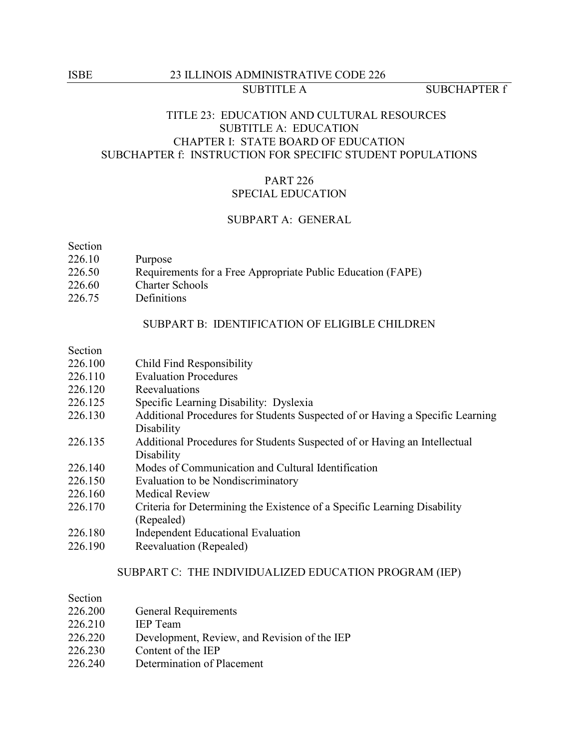# ISBE 23 ILLINOIS ADMINISTRATIVE CODE 226 SUBTITLE A SUBCHAPTER f

# TITLE 23: EDUCATION AND CULTURAL RESOURCES SUBTITLE A: EDUCATION CHAPTER I: STATE BOARD OF EDUCATION SUBCHAPTER f: INSTRUCTION FOR SPECIFIC STUDENT POPULATIONS

# PART 226 SPECIAL EDUCATION

# SUBPART A: GENERAL

Section

- 226.10 Purpose
- 226.50 Requirements for a Free Appropriate Public Education (FAPE)
- 226.60 Charter Schools
- 226.75 Definitions

### SUBPART B: IDENTIFICATION OF ELIGIBLE CHILDREN

## Section

- 226.100 Child Find Responsibility
- 226.110 Evaluation Procedures
- 226.120 Reevaluations
- 226.125 Specific Learning Disability: Dyslexia
- 226.130 Additional Procedures for Students Suspected of or Having a Specific Learning **Disability**
- 226.135 Additional Procedures for Students Suspected of or Having an Intellectual **Disability**
- 226.140 Modes of Communication and Cultural Identification
- 226.150 Evaluation to be Nondiscriminatory
- 226.160 Medical Review
- 226.170 Criteria for Determining the Existence of a Specific Learning Disability (Repealed)
- 226.180 Independent Educational Evaluation
- 226.190 Reevaluation (Repealed)

# SUBPART C: THE INDIVIDUALIZED EDUCATION PROGRAM (IEP)

| Section |                                              |
|---------|----------------------------------------------|
| 226.200 | <b>General Requirements</b>                  |
| 226.210 | <b>IEP</b> Team                              |
| 226.220 | Development, Review, and Revision of the IEP |

- 226.230 Content of the IEP
- 226.240 Determination of Placement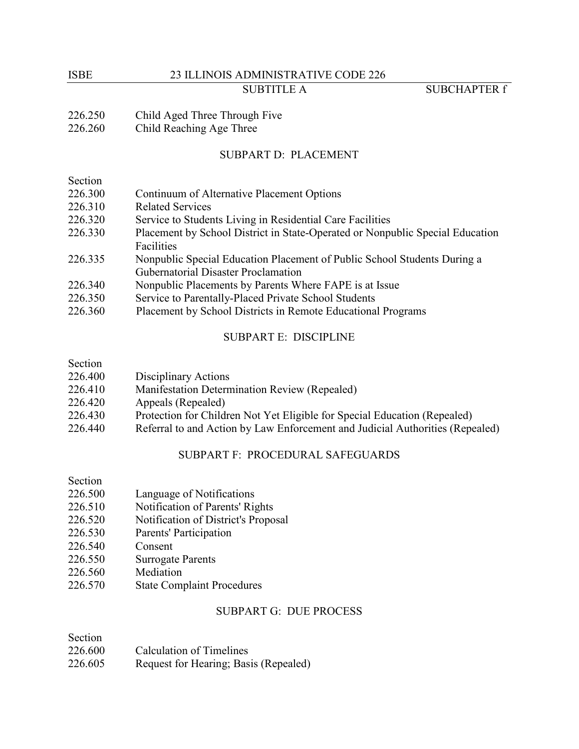# ISBE 23 ILLINOIS ADMINISTRATIVE CODE 226 SUBTITLE A SUBCHAPTER f

226.250 Child Aged Three Through Five

226.260 Child Reaching Age Three

# SUBPART D: PLACEMENT

| Section |                                                                               |
|---------|-------------------------------------------------------------------------------|
| 226.300 | Continuum of Alternative Placement Options                                    |
| 226.310 | <b>Related Services</b>                                                       |
| 226.320 | Service to Students Living in Residential Care Facilities                     |
| 226.330 | Placement by School District in State-Operated or Nonpublic Special Education |
|         | Facilities                                                                    |
| 226.335 | Nonpublic Special Education Placement of Public School Students During a      |
|         | <b>Gubernatorial Disaster Proclamation</b>                                    |
| 226.340 | Nonpublic Placements by Parents Where FAPE is at Issue                        |
| 226.350 | Service to Parentally-Placed Private School Students                          |
| 226.360 | Placement by School Districts in Remote Educational Programs                  |

## SUBPART E: DISCIPLINE

| Section |                                                                               |
|---------|-------------------------------------------------------------------------------|
| 226.400 | Disciplinary Actions                                                          |
| 226.410 | Manifestation Determination Review (Repealed)                                 |
| 226.420 | Appeals (Repealed)                                                            |
| 226.430 | Protection for Children Not Yet Eligible for Special Education (Repealed)     |
| 226.440 | Referral to and Action by Law Enforcement and Judicial Authorities (Repealed) |
|         |                                                                               |

# SUBPART F: PROCEDURAL SAFEGUARDS

# Section

- 226.500 Language of Notifications
- 226.510 Notification of Parents' Rights
- 226.520 Notification of District's Proposal
- 226.530 Parents' Participation
- 226.540 Consent
- 226.550 Surrogate Parents
- 226.560 Mediation
- 226.570 State Complaint Procedures

# SUBPART G: DUE PROCESS

| Section |                                       |
|---------|---------------------------------------|
| 226.600 | Calculation of Timelines              |
| 226.605 | Request for Hearing; Basis (Repealed) |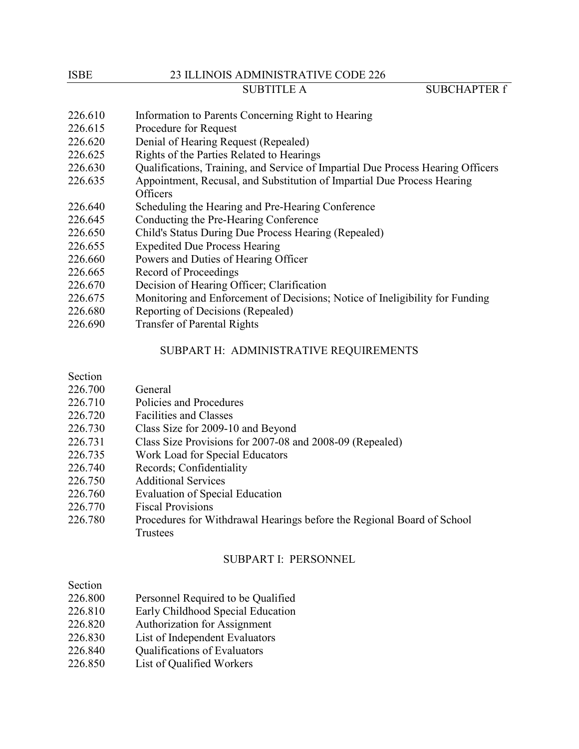#### ISBE 23 ILLINOIS ADMINISTRATIVE CODE 226

SUBTITLE A SUBCHAPTER f

- 226.610 Information to Parents Concerning Right to Hearing
- 226.615 Procedure for Request
- 226.620 Denial of Hearing Request (Repealed)
- 226.625 Rights of the Parties Related to Hearings
- 226.630 Qualifications, Training, and Service of Impartial Due Process Hearing Officers
- 226.635 Appointment, Recusal, and Substitution of Impartial Due Process Hearing **Officers**
- 226.640 Scheduling the Hearing and Pre-Hearing Conference
- 226.645 Conducting the Pre-Hearing Conference
- 226.650 Child's Status During Due Process Hearing (Repealed)
- 226.655 Expedited Due Process Hearing
- 226.660 Powers and Duties of Hearing Officer
- 226.665 Record of Proceedings
- 226.670 Decision of Hearing Officer; Clarification
- 226.675 Monitoring and Enforcement of Decisions; Notice of Ineligibility for Funding
- 226.680 Reporting of Decisions (Repealed)
- 226.690 Transfer of Parental Rights

# SUBPART H: ADMINISTRATIVE REQUIREMENTS

| Section |                                                                        |
|---------|------------------------------------------------------------------------|
| 226.700 | General                                                                |
| 226.710 | Policies and Procedures                                                |
| 226.720 | <b>Facilities and Classes</b>                                          |
| 226.730 | Class Size for 2009-10 and Beyond                                      |
| 226.731 | Class Size Provisions for 2007-08 and 2008-09 (Repealed)               |
| 226.735 | Work Load for Special Educators                                        |
| 226.740 | Records; Confidentiality                                               |
| 226.750 | <b>Additional Services</b>                                             |
| 226.760 | <b>Evaluation of Special Education</b>                                 |
| 226.770 | <b>Fiscal Provisions</b>                                               |
| 226.780 | Procedures for Withdrawal Hearings before the Regional Board of School |
|         | Trustees                                                               |

### SUBPART I: PERSONNEL

# Section

- 226.800 Personnel Required to be Qualified
- 226.810 Early Childhood Special Education
- 226.820 Authorization for Assignment
- 226.830 List of Independent Evaluators
- 226.840 **Qualifications of Evaluators**
- 226.850 List of Qualified Workers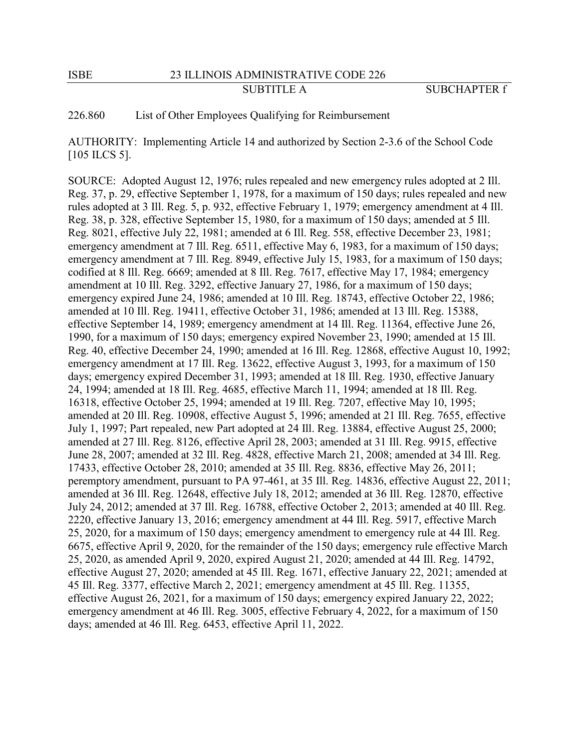ISBE 23 ILLINOIS ADMINISTRATIVE CODE 226

226.860 List of Other Employees Qualifying for Reimbursement

AUTHORITY: Implementing Article 14 and authorized by Section 2-3.6 of the School Code [105 ILCS 5].

SOURCE: Adopted August 12, 1976; rules repealed and new emergency rules adopted at 2 Ill. Reg. 37, p. 29, effective September 1, 1978, for a maximum of 150 days; rules repealed and new rules adopted at 3 Ill. Reg. 5, p. 932, effective February 1, 1979; emergency amendment at 4 Ill. Reg. 38, p. 328, effective September 15, 1980, for a maximum of 150 days; amended at 5 Ill. Reg. 8021, effective July 22, 1981; amended at 6 Ill. Reg. 558, effective December 23, 1981; emergency amendment at 7 Ill. Reg. 6511, effective May 6, 1983, for a maximum of 150 days; emergency amendment at 7 Ill. Reg. 8949, effective July 15, 1983, for a maximum of 150 days; codified at 8 Ill. Reg. 6669; amended at 8 Ill. Reg. 7617, effective May 17, 1984; emergency amendment at 10 Ill. Reg. 3292, effective January 27, 1986, for a maximum of 150 days; emergency expired June 24, 1986; amended at 10 Ill. Reg. 18743, effective October 22, 1986; amended at 10 Ill. Reg. 19411, effective October 31, 1986; amended at 13 Ill. Reg. 15388, effective September 14, 1989; emergency amendment at 14 Ill. Reg. 11364, effective June 26, 1990, for a maximum of 150 days; emergency expired November 23, 1990; amended at 15 Ill. Reg. 40, effective December 24, 1990; amended at 16 Ill. Reg. 12868, effective August 10, 1992; emergency amendment at 17 Ill. Reg. 13622, effective August 3, 1993, for a maximum of 150 days; emergency expired December 31, 1993; amended at 18 Ill. Reg. 1930, effective January 24, 1994; amended at 18 Ill. Reg. 4685, effective March 11, 1994; amended at 18 Ill. Reg. 16318, effective October 25, 1994; amended at 19 Ill. Reg. 7207, effective May 10, 1995; amended at 20 Ill. Reg. 10908, effective August 5, 1996; amended at 21 Ill. Reg. 7655, effective July 1, 1997; Part repealed, new Part adopted at 24 Ill. Reg. 13884, effective August 25, 2000; amended at 27 Ill. Reg. 8126, effective April 28, 2003; amended at 31 Ill. Reg. 9915, effective June 28, 2007; amended at 32 Ill. Reg. 4828, effective March 21, 2008; amended at 34 Ill. Reg. 17433, effective October 28, 2010; amended at 35 Ill. Reg. 8836, effective May 26, 2011; peremptory amendment, pursuant to PA 97-461, at 35 Ill. Reg. 14836, effective August 22, 2011; amended at 36 Ill. Reg. 12648, effective July 18, 2012; amended at 36 Ill. Reg. 12870, effective July 24, 2012; amended at 37 Ill. Reg. 16788, effective October 2, 2013; amended at 40 Ill. Reg. 2220, effective January 13, 2016; emergency amendment at 44 Ill. Reg. 5917, effective March 25, 2020, for a maximum of 150 days; emergency amendment to emergency rule at 44 Ill. Reg. 6675, effective April 9, 2020, for the remainder of the 150 days; emergency rule effective March 25, 2020, as amended April 9, 2020, expired August 21, 2020; amended at 44 Ill. Reg. 14792, effective August 27, 2020; amended at 45 Ill. Reg. 1671, effective January 22, 2021; amended at 45 Ill. Reg. 3377, effective March 2, 2021; emergency amendment at 45 Ill. Reg. 11355, effective August 26, 2021, for a maximum of 150 days; emergency expired January 22, 2022; emergency amendment at 46 Ill. Reg. 3005, effective February 4, 2022, for a maximum of 150 days; amended at 46 Ill. Reg. 6453, effective April 11, 2022.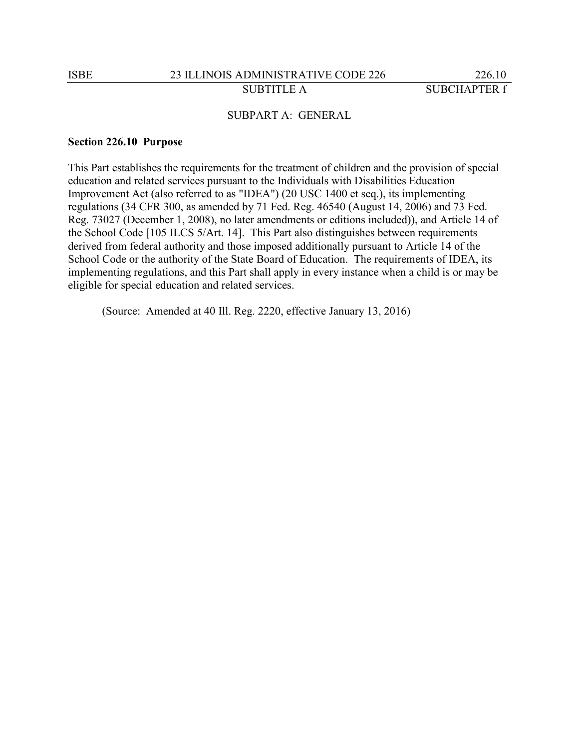# SUBPART A: GENERAL

#### **Section 226.10 Purpose**

This Part establishes the requirements for the treatment of children and the provision of special education and related services pursuant to the Individuals with Disabilities Education Improvement Act (also referred to as "IDEA") (20 USC 1400 et seq.), its implementing regulations (34 CFR 300, as amended by 71 Fed. Reg. 46540 (August 14, 2006) and 73 Fed. Reg. 73027 (December 1, 2008), no later amendments or editions included)), and Article 14 of the School Code [105 ILCS 5/Art. 14]. This Part also distinguishes between requirements derived from federal authority and those imposed additionally pursuant to Article 14 of the School Code or the authority of the State Board of Education. The requirements of IDEA, its implementing regulations, and this Part shall apply in every instance when a child is or may be eligible for special education and related services.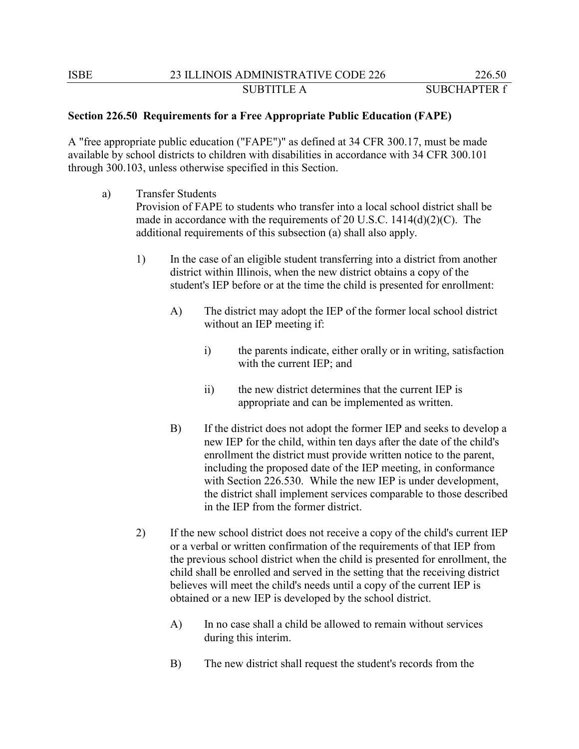# **Section 226.50 Requirements for a Free Appropriate Public Education (FAPE)**

A "free appropriate public education ("FAPE")" as defined at 34 CFR 300.17, must be made available by school districts to children with disabilities in accordance with 34 CFR 300.101 through 300.103, unless otherwise specified in this Section.

- a) Transfer Students Provision of FAPE to students who transfer into a local school district shall be made in accordance with the requirements of 20 U.S.C. 1414(d)(2)(C). The additional requirements of this subsection (a) shall also apply.
	- 1) In the case of an eligible student transferring into a district from another district within Illinois, when the new district obtains a copy of the student's IEP before or at the time the child is presented for enrollment:
		- A) The district may adopt the IEP of the former local school district without an IEP meeting if:
			- i) the parents indicate, either orally or in writing, satisfaction with the current IEP; and
			- ii) the new district determines that the current IEP is appropriate and can be implemented as written.
		- B) If the district does not adopt the former IEP and seeks to develop a new IEP for the child, within ten days after the date of the child's enrollment the district must provide written notice to the parent, including the proposed date of the IEP meeting, in conformance with Section 226.530. While the new IEP is under development, the district shall implement services comparable to those described in the IEP from the former district.
	- 2) If the new school district does not receive a copy of the child's current IEP or a verbal or written confirmation of the requirements of that IEP from the previous school district when the child is presented for enrollment, the child shall be enrolled and served in the setting that the receiving district believes will meet the child's needs until a copy of the current IEP is obtained or a new IEP is developed by the school district.
		- A) In no case shall a child be allowed to remain without services during this interim.
		- B) The new district shall request the student's records from the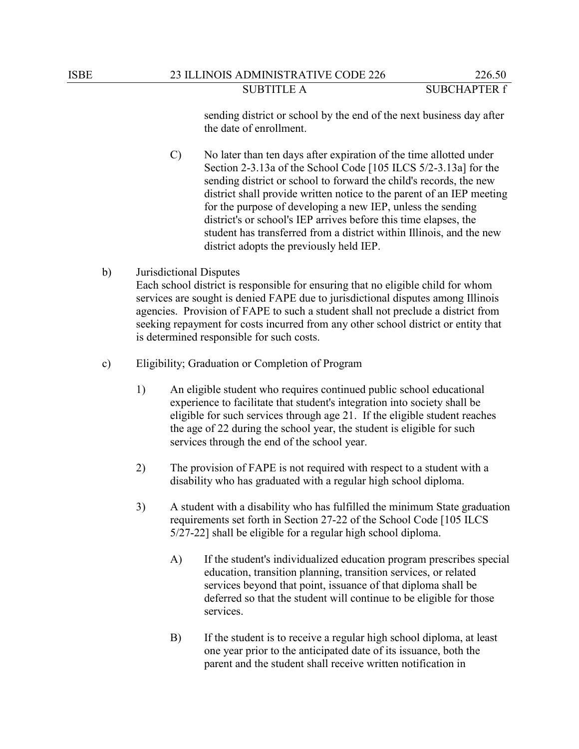sending district or school by the end of the next business day after the date of enrollment.

- C) No later than ten days after expiration of the time allotted under Section 2-3.13a of the School Code [105 ILCS 5/2-3.13a] for the sending district or school to forward the child's records, the new district shall provide written notice to the parent of an IEP meeting for the purpose of developing a new IEP, unless the sending district's or school's IEP arrives before this time elapses, the student has transferred from a district within Illinois, and the new district adopts the previously held IEP.
- b) Jurisdictional Disputes Each school district is responsible for ensuring that no eligible child for whom services are sought is denied FAPE due to jurisdictional disputes among Illinois agencies. Provision of FAPE to such a student shall not preclude a district from seeking repayment for costs incurred from any other school district or entity that is determined responsible for such costs.
- c) Eligibility; Graduation or Completion of Program
	- 1) An eligible student who requires continued public school educational experience to facilitate that student's integration into society shall be eligible for such services through age 21. If the eligible student reaches the age of 22 during the school year, the student is eligible for such services through the end of the school year.
	- 2) The provision of FAPE is not required with respect to a student with a disability who has graduated with a regular high school diploma.
	- 3) A student with a disability who has fulfilled the minimum State graduation requirements set forth in Section 27-22 of the School Code [105 ILCS 5/27-22] shall be eligible for a regular high school diploma.
		- A) If the student's individualized education program prescribes special education, transition planning, transition services, or related services beyond that point, issuance of that diploma shall be deferred so that the student will continue to be eligible for those services.
		- B) If the student is to receive a regular high school diploma, at least one year prior to the anticipated date of its issuance, both the parent and the student shall receive written notification in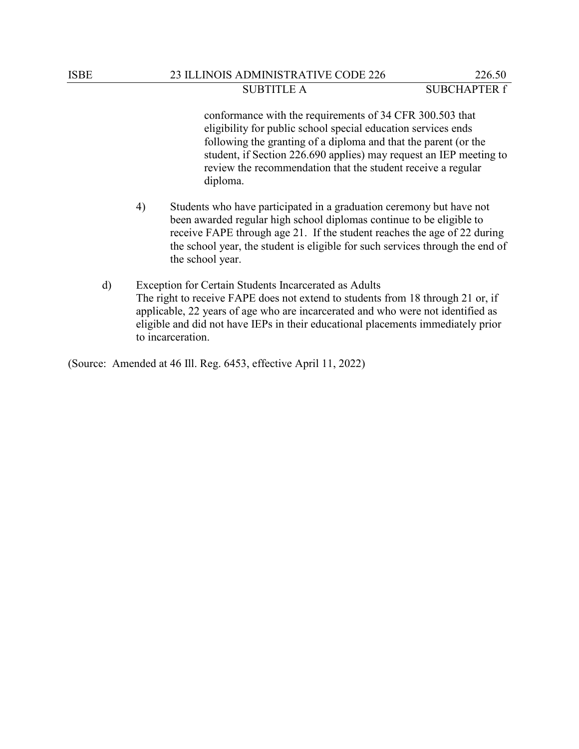## ISBE 23 ILLINOIS ADMINISTRATIVE CODE 226 226.50 SUBTITLE A SUBCHAPTER f

conformance with the requirements of 34 CFR 300.503 that eligibility for public school special education services ends following the granting of a diploma and that the parent (or the student, if Section 226.690 applies) may request an IEP meeting to review the recommendation that the student receive a regular diploma.

- 4) Students who have participated in a graduation ceremony but have not been awarded regular high school diplomas continue to be eligible to receive FAPE through age 21. If the student reaches the age of 22 during the school year, the student is eligible for such services through the end of the school year.
- d) Exception for Certain Students Incarcerated as Adults The right to receive FAPE does not extend to students from 18 through 21 or, if applicable, 22 years of age who are incarcerated and who were not identified as eligible and did not have IEPs in their educational placements immediately prior to incarceration.

(Source: Amended at 46 Ill. Reg. 6453, effective April 11, 2022)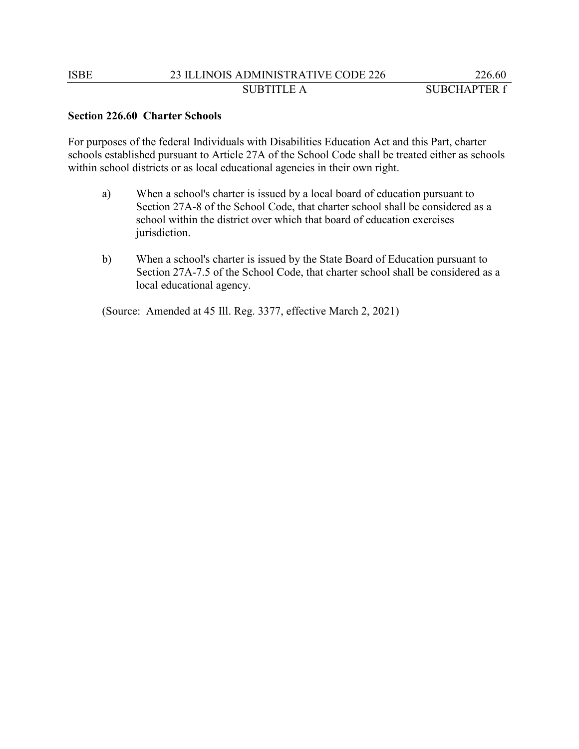# **Section 226.60 Charter Schools**

For purposes of the federal Individuals with Disabilities Education Act and this Part, charter schools established pursuant to Article 27A of the School Code shall be treated either as schools within school districts or as local educational agencies in their own right.

- a) When a school's charter is issued by a local board of education pursuant to Section 27A-8 of the School Code, that charter school shall be considered as a school within the district over which that board of education exercises jurisdiction.
- b) When a school's charter is issued by the State Board of Education pursuant to Section 27A-7.5 of the School Code, that charter school shall be considered as a local educational agency.

(Source: Amended at 45 Ill. Reg. 3377, effective March 2, 2021)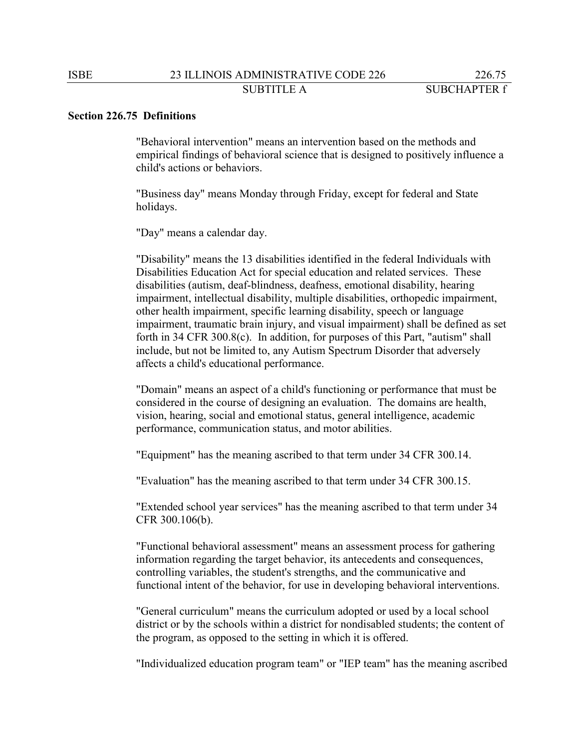#### **Section 226.75 Definitions**

"Behavioral intervention" means an intervention based on the methods and empirical findings of behavioral science that is designed to positively influence a child's actions or behaviors.

"Business day" means Monday through Friday, except for federal and State holidays.

"Day" means a calendar day.

"Disability" means the 13 disabilities identified in the federal Individuals with Disabilities Education Act for special education and related services. These disabilities (autism, deaf-blindness, deafness, emotional disability, hearing impairment, intellectual disability, multiple disabilities, orthopedic impairment, other health impairment, specific learning disability, speech or language impairment, traumatic brain injury, and visual impairment) shall be defined as set forth in 34 CFR 300.8(c). In addition, for purposes of this Part, "autism" shall include, but not be limited to, any Autism Spectrum Disorder that adversely affects a child's educational performance.

"Domain" means an aspect of a child's functioning or performance that must be considered in the course of designing an evaluation. The domains are health, vision, hearing, social and emotional status, general intelligence, academic performance, communication status, and motor abilities.

"Equipment" has the meaning ascribed to that term under 34 CFR 300.14.

"Evaluation" has the meaning ascribed to that term under 34 CFR 300.15.

"Extended school year services" has the meaning ascribed to that term under 34 CFR 300.106(b).

"Functional behavioral assessment" means an assessment process for gathering information regarding the target behavior, its antecedents and consequences, controlling variables, the student's strengths, and the communicative and functional intent of the behavior, for use in developing behavioral interventions.

"General curriculum" means the curriculum adopted or used by a local school district or by the schools within a district for nondisabled students; the content of the program, as opposed to the setting in which it is offered.

"Individualized education program team" or "IEP team" has the meaning ascribed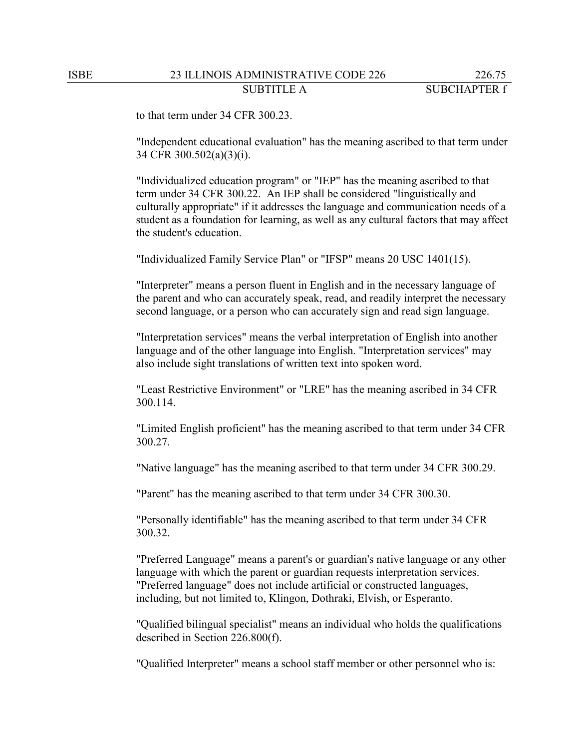to that term under 34 CFR 300.23.

"Independent educational evaluation" has the meaning ascribed to that term under 34 CFR 300.502(a)(3)(i).

"Individualized education program" or "IEP" has the meaning ascribed to that term under 34 CFR 300.22. An IEP shall be considered "linguistically and culturally appropriate" if it addresses the language and communication needs of a student as a foundation for learning, as well as any cultural factors that may affect the student's education.

"Individualized Family Service Plan" or "IFSP" means 20 USC 1401(15).

"Interpreter" means a person fluent in English and in the necessary language of the parent and who can accurately speak, read, and readily interpret the necessary second language, or a person who can accurately sign and read sign language.

"Interpretation services" means the verbal interpretation of English into another language and of the other language into English. "Interpretation services" may also include sight translations of written text into spoken word.

"Least Restrictive Environment" or "LRE" has the meaning ascribed in 34 CFR 300.114.

"Limited English proficient" has the meaning ascribed to that term under 34 CFR 300.27.

"Native language" has the meaning ascribed to that term under 34 CFR 300.29.

"Parent" has the meaning ascribed to that term under 34 CFR 300.30.

"Personally identifiable" has the meaning ascribed to that term under 34 CFR 300.32.

"Preferred Language" means a parent's or guardian's native language or any other language with which the parent or guardian requests interpretation services. "Preferred language" does not include artificial or constructed languages, including, but not limited to, Klingon, Dothraki, Elvish, or Esperanto.

"Qualified bilingual specialist" means an individual who holds the qualifications described in Section 226.800(f).

"Qualified Interpreter" means a school staff member or other personnel who is: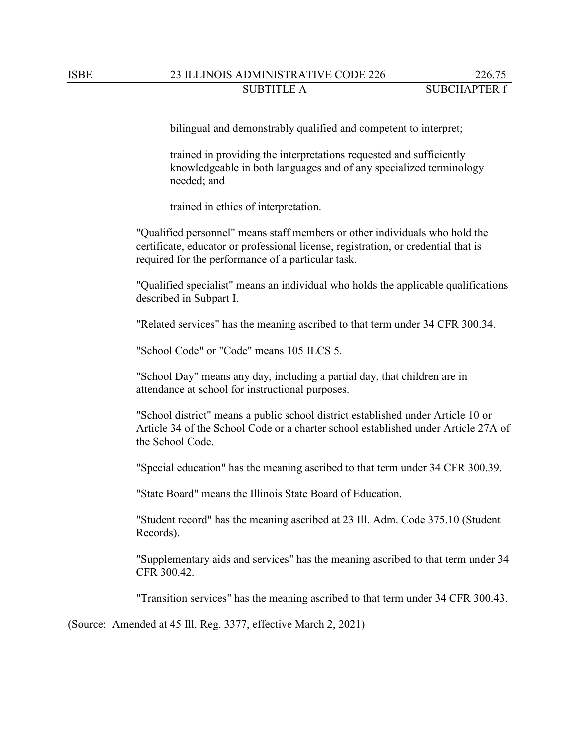# ISBE 23 ILLINOIS ADMINISTRATIVE CODE 226 226.75 SUBTITLE A SUBCHAPTER f

bilingual and demonstrably qualified and competent to interpret;

trained in providing the interpretations requested and sufficiently knowledgeable in both languages and of any specialized terminology needed; and

trained in ethics of interpretation.

"Qualified personnel" means staff members or other individuals who hold the certificate, educator or professional license, registration, or credential that is required for the performance of a particular task.

"Qualified specialist" means an individual who holds the applicable qualifications described in Subpart I.

"Related services" has the meaning ascribed to that term under 34 CFR 300.34.

"School Code" or "Code" means 105 ILCS 5.

"School Day" means any day, including a partial day, that children are in attendance at school for instructional purposes.

"School district" means a public school district established under Article 10 or Article 34 of the School Code or a charter school established under Article 27A of the School Code.

"Special education" has the meaning ascribed to that term under 34 CFR 300.39.

"State Board" means the Illinois State Board of Education.

"Student record" has the meaning ascribed at 23 Ill. Adm. Code 375.10 (Student Records).

"Supplementary aids and services" has the meaning ascribed to that term under 34 CFR 300.42.

"Transition services" has the meaning ascribed to that term under 34 CFR 300.43.

(Source: Amended at 45 Ill. Reg. 3377, effective March 2, 2021)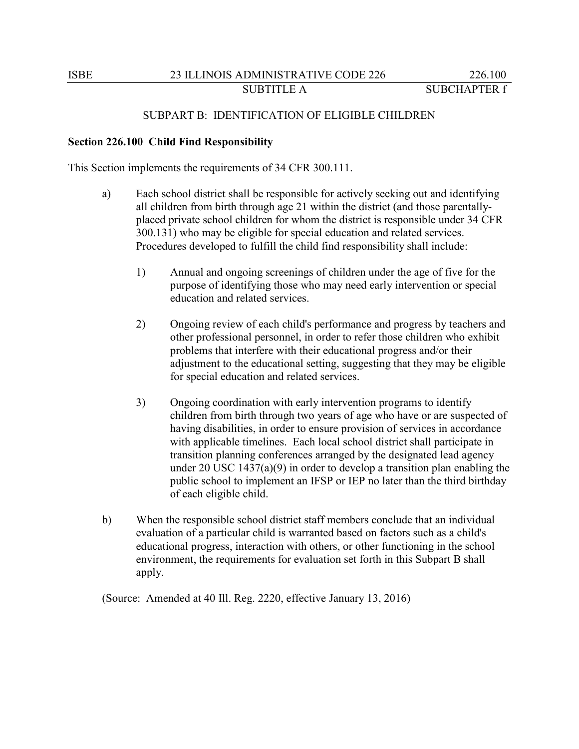### SUBPART B: IDENTIFICATION OF ELIGIBLE CHILDREN

#### **Section 226.100 Child Find Responsibility**

This Section implements the requirements of 34 CFR 300.111.

- a) Each school district shall be responsible for actively seeking out and identifying all children from birth through age 21 within the district (and those parentallyplaced private school children for whom the district is responsible under 34 CFR 300.131) who may be eligible for special education and related services. Procedures developed to fulfill the child find responsibility shall include:
	- 1) Annual and ongoing screenings of children under the age of five for the purpose of identifying those who may need early intervention or special education and related services.
	- 2) Ongoing review of each child's performance and progress by teachers and other professional personnel, in order to refer those children who exhibit problems that interfere with their educational progress and/or their adjustment to the educational setting, suggesting that they may be eligible for special education and related services.
	- 3) Ongoing coordination with early intervention programs to identify children from birth through two years of age who have or are suspected of having disabilities, in order to ensure provision of services in accordance with applicable timelines. Each local school district shall participate in transition planning conferences arranged by the designated lead agency under 20 USC 1437(a)(9) in order to develop a transition plan enabling the public school to implement an IFSP or IEP no later than the third birthday of each eligible child.
- b) When the responsible school district staff members conclude that an individual evaluation of a particular child is warranted based on factors such as a child's educational progress, interaction with others, or other functioning in the school environment, the requirements for evaluation set forth in this Subpart B shall apply.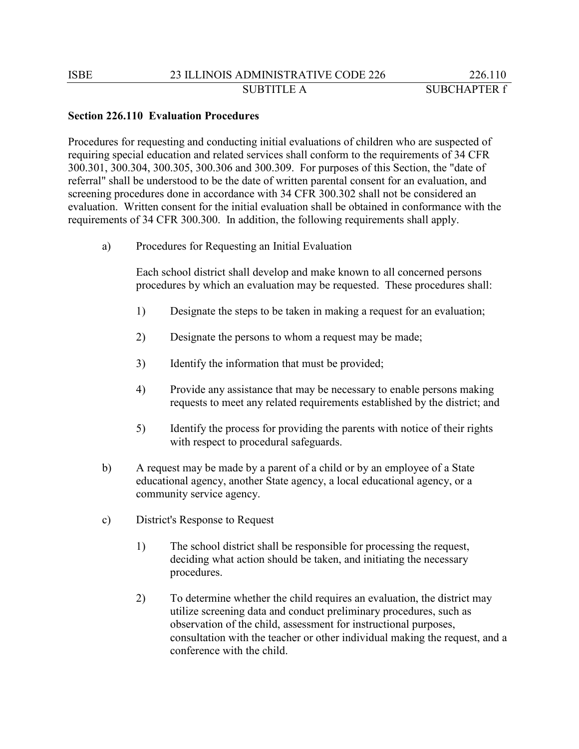#### **Section 226.110 Evaluation Procedures**

Procedures for requesting and conducting initial evaluations of children who are suspected of requiring special education and related services shall conform to the requirements of 34 CFR 300.301, 300.304, 300.305, 300.306 and 300.309. For purposes of this Section, the "date of referral" shall be understood to be the date of written parental consent for an evaluation, and screening procedures done in accordance with 34 CFR 300.302 shall not be considered an evaluation. Written consent for the initial evaluation shall be obtained in conformance with the requirements of 34 CFR 300.300. In addition, the following requirements shall apply.

a) Procedures for Requesting an Initial Evaluation

Each school district shall develop and make known to all concerned persons procedures by which an evaluation may be requested. These procedures shall:

- 1) Designate the steps to be taken in making a request for an evaluation;
- 2) Designate the persons to whom a request may be made;
- 3) Identify the information that must be provided;
- 4) Provide any assistance that may be necessary to enable persons making requests to meet any related requirements established by the district; and
- 5) Identify the process for providing the parents with notice of their rights with respect to procedural safeguards.
- b) A request may be made by a parent of a child or by an employee of a State educational agency, another State agency, a local educational agency, or a community service agency.
- c) District's Response to Request
	- 1) The school district shall be responsible for processing the request, deciding what action should be taken, and initiating the necessary procedures.
	- 2) To determine whether the child requires an evaluation, the district may utilize screening data and conduct preliminary procedures, such as observation of the child, assessment for instructional purposes, consultation with the teacher or other individual making the request, and a conference with the child.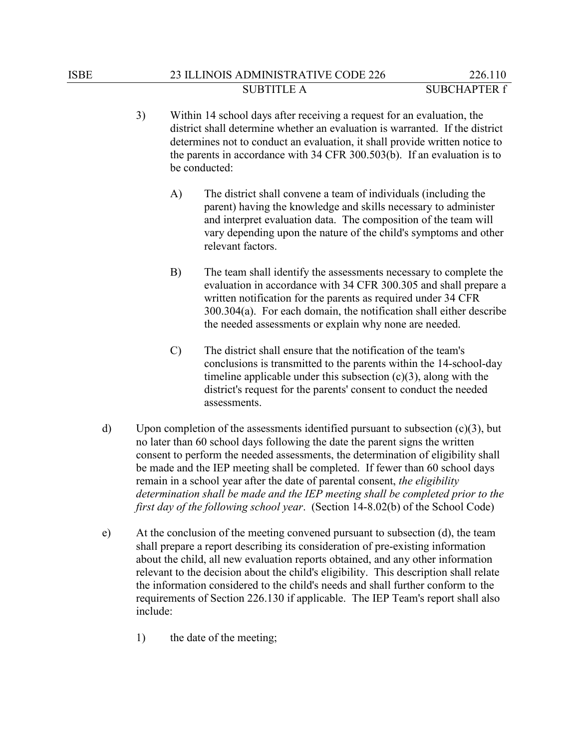- 3) Within 14 school days after receiving a request for an evaluation, the district shall determine whether an evaluation is warranted. If the district determines not to conduct an evaluation, it shall provide written notice to the parents in accordance with 34 CFR 300.503(b). If an evaluation is to be conducted:
	- A) The district shall convene a team of individuals (including the parent) having the knowledge and skills necessary to administer and interpret evaluation data. The composition of the team will vary depending upon the nature of the child's symptoms and other relevant factors.
	- B) The team shall identify the assessments necessary to complete the evaluation in accordance with 34 CFR 300.305 and shall prepare a written notification for the parents as required under 34 CFR 300.304(a). For each domain, the notification shall either describe the needed assessments or explain why none are needed.
	- C) The district shall ensure that the notification of the team's conclusions is transmitted to the parents within the 14-school-day timeline applicable under this subsection  $(c)(3)$ , along with the district's request for the parents' consent to conduct the needed assessments.
- d) Upon completion of the assessments identified pursuant to subsection  $(c)(3)$ , but no later than 60 school days following the date the parent signs the written consent to perform the needed assessments, the determination of eligibility shall be made and the IEP meeting shall be completed. If fewer than 60 school days remain in a school year after the date of parental consent, *the eligibility determination shall be made and the IEP meeting shall be completed prior to the first day of the following school year*. (Section 14-8.02(b) of the School Code)
- e) At the conclusion of the meeting convened pursuant to subsection (d), the team shall prepare a report describing its consideration of pre-existing information about the child, all new evaluation reports obtained, and any other information relevant to the decision about the child's eligibility. This description shall relate the information considered to the child's needs and shall further conform to the requirements of Section 226.130 if applicable. The IEP Team's report shall also include:
	- 1) the date of the meeting;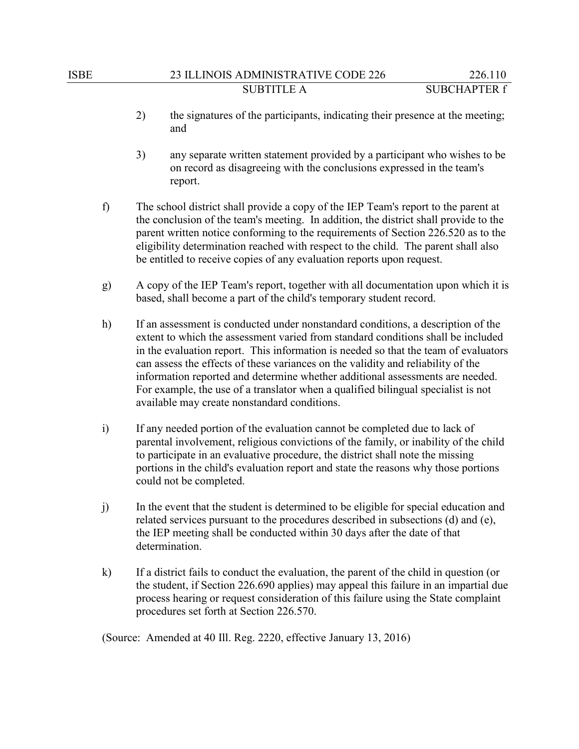- 2) the signatures of the participants, indicating their presence at the meeting; and
- 3) any separate written statement provided by a participant who wishes to be on record as disagreeing with the conclusions expressed in the team's report.
- f) The school district shall provide a copy of the IEP Team's report to the parent at the conclusion of the team's meeting. In addition, the district shall provide to the parent written notice conforming to the requirements of Section 226.520 as to the eligibility determination reached with respect to the child. The parent shall also be entitled to receive copies of any evaluation reports upon request.
- g) A copy of the IEP Team's report, together with all documentation upon which it is based, shall become a part of the child's temporary student record.
- h) If an assessment is conducted under nonstandard conditions, a description of the extent to which the assessment varied from standard conditions shall be included in the evaluation report. This information is needed so that the team of evaluators can assess the effects of these variances on the validity and reliability of the information reported and determine whether additional assessments are needed. For example, the use of a translator when a qualified bilingual specialist is not available may create nonstandard conditions.
- i) If any needed portion of the evaluation cannot be completed due to lack of parental involvement, religious convictions of the family, or inability of the child to participate in an evaluative procedure, the district shall note the missing portions in the child's evaluation report and state the reasons why those portions could not be completed.
- j) In the event that the student is determined to be eligible for special education and related services pursuant to the procedures described in subsections (d) and (e), the IEP meeting shall be conducted within 30 days after the date of that determination.
- k) If a district fails to conduct the evaluation, the parent of the child in question (or the student, if Section 226.690 applies) may appeal this failure in an impartial due process hearing or request consideration of this failure using the State complaint procedures set forth at Section 226.570.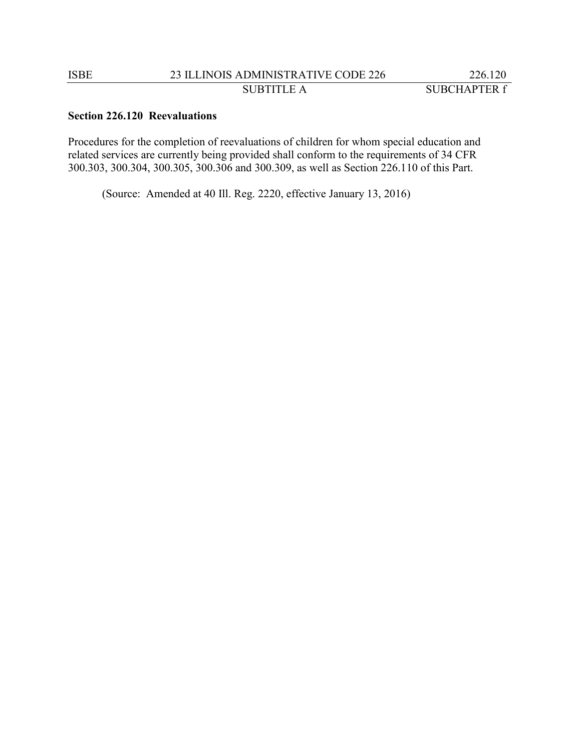# **Section 226.120 Reevaluations**

Procedures for the completion of reevaluations of children for whom special education and related services are currently being provided shall conform to the requirements of 34 CFR 300.303, 300.304, 300.305, 300.306 and 300.309, as well as Section 226.110 of this Part.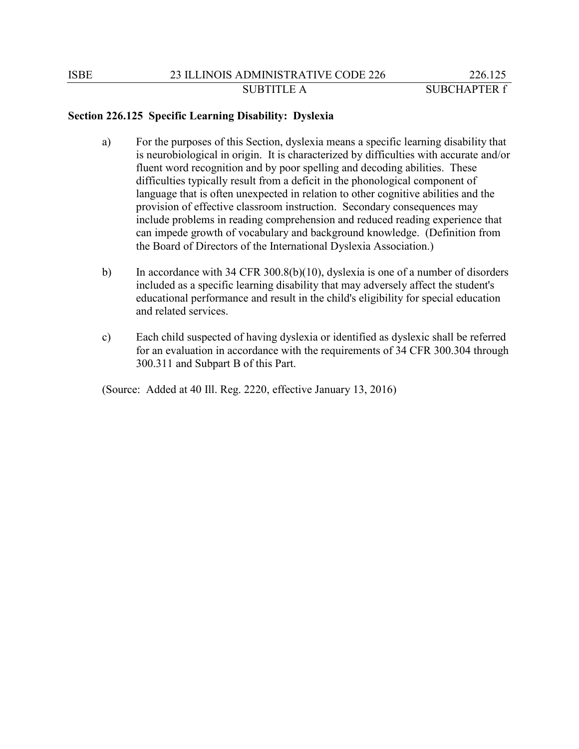# **Section 226.125 Specific Learning Disability: Dyslexia**

- a) For the purposes of this Section, dyslexia means a specific learning disability that is neurobiological in origin. It is characterized by difficulties with accurate and/or fluent word recognition and by poor spelling and decoding abilities. These difficulties typically result from a deficit in the phonological component of language that is often unexpected in relation to other cognitive abilities and the provision of effective classroom instruction. Secondary consequences may include problems in reading comprehension and reduced reading experience that can impede growth of vocabulary and background knowledge. (Definition from the Board of Directors of the International Dyslexia Association.)
- b) In accordance with 34 CFR 300.8(b)(10), dyslexia is one of a number of disorders included as a specific learning disability that may adversely affect the student's educational performance and result in the child's eligibility for special education and related services.
- c) Each child suspected of having dyslexia or identified as dyslexic shall be referred for an evaluation in accordance with the requirements of 34 CFR 300.304 through 300.311 and Subpart B of this Part.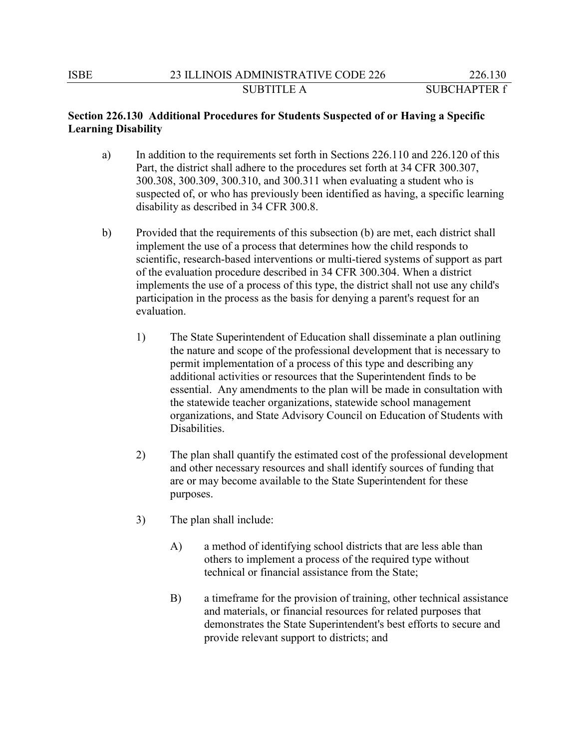# **Section 226.130 Additional Procedures for Students Suspected of or Having a Specific Learning Disability**

- a) In addition to the requirements set forth in Sections 226.110 and 226.120 of this Part, the district shall adhere to the procedures set forth at 34 CFR 300.307, 300.308, 300.309, 300.310, and 300.311 when evaluating a student who is suspected of, or who has previously been identified as having, a specific learning disability as described in 34 CFR 300.8.
- b) Provided that the requirements of this subsection (b) are met, each district shall implement the use of a process that determines how the child responds to scientific, research-based interventions or multi-tiered systems of support as part of the evaluation procedure described in 34 CFR 300.304. When a district implements the use of a process of this type, the district shall not use any child's participation in the process as the basis for denying a parent's request for an evaluation.
	- 1) The State Superintendent of Education shall disseminate a plan outlining the nature and scope of the professional development that is necessary to permit implementation of a process of this type and describing any additional activities or resources that the Superintendent finds to be essential. Any amendments to the plan will be made in consultation with the statewide teacher organizations, statewide school management organizations, and State Advisory Council on Education of Students with Disabilities.
	- 2) The plan shall quantify the estimated cost of the professional development and other necessary resources and shall identify sources of funding that are or may become available to the State Superintendent for these purposes.
	- 3) The plan shall include:
		- A) a method of identifying school districts that are less able than others to implement a process of the required type without technical or financial assistance from the State;
		- B) a timeframe for the provision of training, other technical assistance and materials, or financial resources for related purposes that demonstrates the State Superintendent's best efforts to secure and provide relevant support to districts; and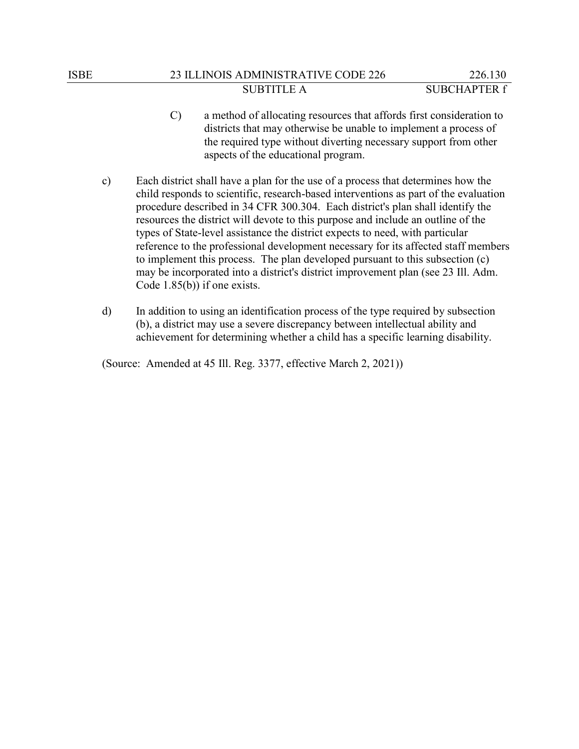- C) a method of allocating resources that affords first consideration to districts that may otherwise be unable to implement a process of the required type without diverting necessary support from other aspects of the educational program.
- c) Each district shall have a plan for the use of a process that determines how the child responds to scientific, research-based interventions as part of the evaluation procedure described in 34 CFR 300.304. Each district's plan shall identify the resources the district will devote to this purpose and include an outline of the types of State-level assistance the district expects to need, with particular reference to the professional development necessary for its affected staff members to implement this process. The plan developed pursuant to this subsection (c) may be incorporated into a district's district improvement plan (see 23 Ill. Adm. Code 1.85(b)) if one exists.
- d) In addition to using an identification process of the type required by subsection (b), a district may use a severe discrepancy between intellectual ability and achievement for determining whether a child has a specific learning disability.

(Source: Amended at 45 Ill. Reg. 3377, effective March 2, 2021))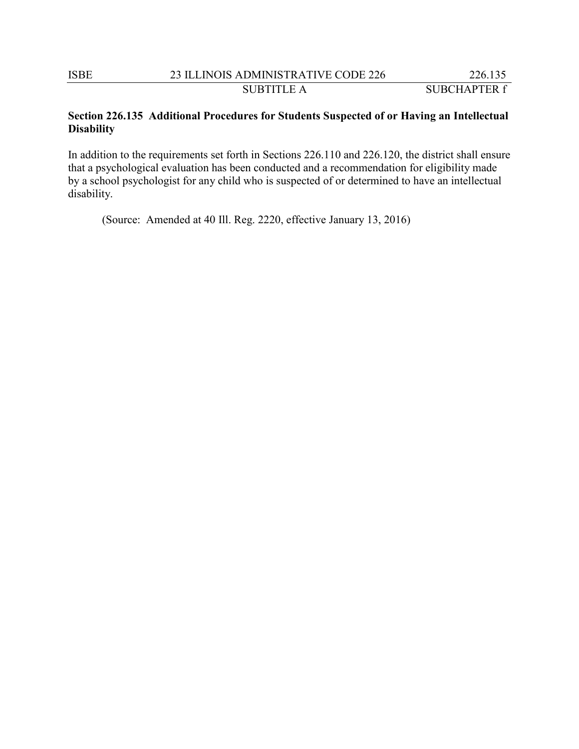# **Section 226.135 Additional Procedures for Students Suspected of or Having an Intellectual Disability**

In addition to the requirements set forth in Sections 226.110 and 226.120, the district shall ensure that a psychological evaluation has been conducted and a recommendation for eligibility made by a school psychologist for any child who is suspected of or determined to have an intellectual disability.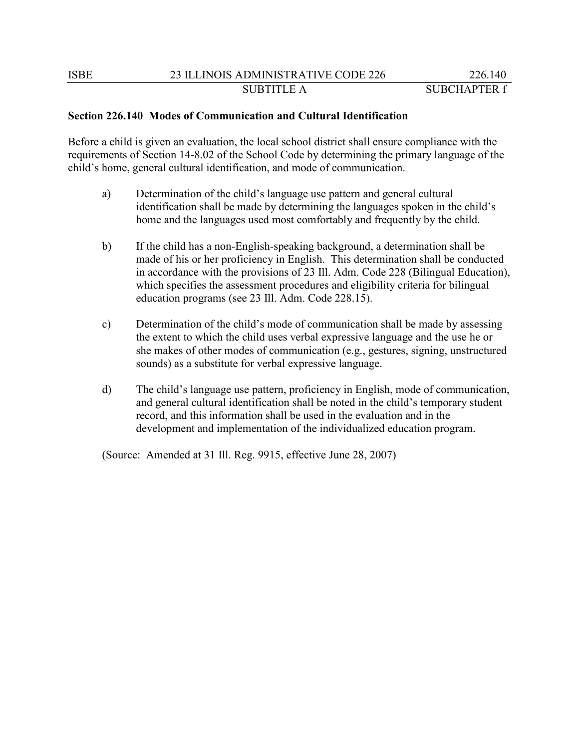# **Section 226.140 Modes of Communication and Cultural Identification**

Before a child is given an evaluation, the local school district shall ensure compliance with the requirements of Section 14-8.02 of the School Code by determining the primary language of the child's home, general cultural identification, and mode of communication.

- a) Determination of the child's language use pattern and general cultural identification shall be made by determining the languages spoken in the child's home and the languages used most comfortably and frequently by the child.
- b) If the child has a non-English-speaking background, a determination shall be made of his or her proficiency in English. This determination shall be conducted in accordance with the provisions of 23 Ill. Adm. Code 228 (Bilingual Education), which specifies the assessment procedures and eligibility criteria for bilingual education programs (see 23 Ill. Adm. Code 228.15).
- c) Determination of the child's mode of communication shall be made by assessing the extent to which the child uses verbal expressive language and the use he or she makes of other modes of communication (e.g., gestures, signing, unstructured sounds) as a substitute for verbal expressive language.
- d) The child's language use pattern, proficiency in English, mode of communication, and general cultural identification shall be noted in the child's temporary student record, and this information shall be used in the evaluation and in the development and implementation of the individualized education program.

(Source: Amended at 31 Ill. Reg. 9915, effective June 28, 2007)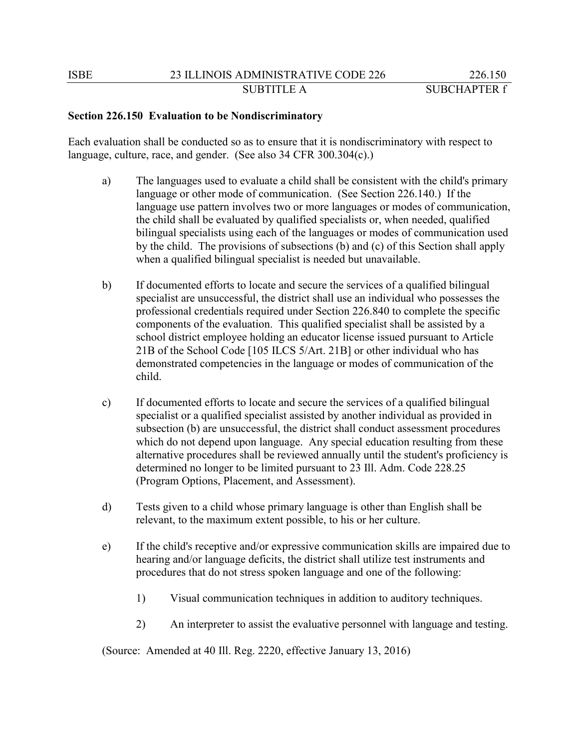### **Section 226.150 Evaluation to be Nondiscriminatory**

Each evaluation shall be conducted so as to ensure that it is nondiscriminatory with respect to language, culture, race, and gender. (See also 34 CFR 300.304(c).)

- a) The languages used to evaluate a child shall be consistent with the child's primary language or other mode of communication. (See Section 226.140.) If the language use pattern involves two or more languages or modes of communication, the child shall be evaluated by qualified specialists or, when needed, qualified bilingual specialists using each of the languages or modes of communication used by the child. The provisions of subsections (b) and (c) of this Section shall apply when a qualified bilingual specialist is needed but unavailable.
- b) If documented efforts to locate and secure the services of a qualified bilingual specialist are unsuccessful, the district shall use an individual who possesses the professional credentials required under Section 226.840 to complete the specific components of the evaluation. This qualified specialist shall be assisted by a school district employee holding an educator license issued pursuant to Article 21B of the School Code [105 ILCS 5/Art. 21B] or other individual who has demonstrated competencies in the language or modes of communication of the child.
- c) If documented efforts to locate and secure the services of a qualified bilingual specialist or a qualified specialist assisted by another individual as provided in subsection (b) are unsuccessful, the district shall conduct assessment procedures which do not depend upon language. Any special education resulting from these alternative procedures shall be reviewed annually until the student's proficiency is determined no longer to be limited pursuant to 23 Ill. Adm. Code 228.25 (Program Options, Placement, and Assessment).
- d) Tests given to a child whose primary language is other than English shall be relevant, to the maximum extent possible, to his or her culture.
- e) If the child's receptive and/or expressive communication skills are impaired due to hearing and/or language deficits, the district shall utilize test instruments and procedures that do not stress spoken language and one of the following:
	- 1) Visual communication techniques in addition to auditory techniques.
	- 2) An interpreter to assist the evaluative personnel with language and testing.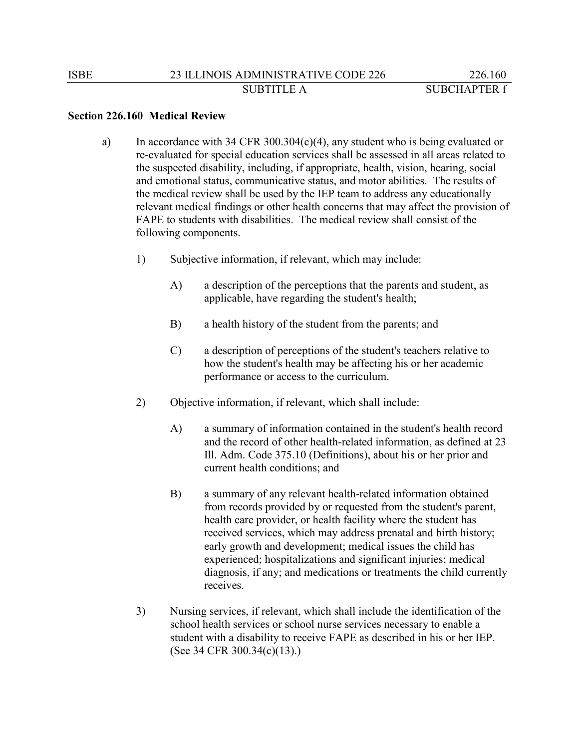### **Section 226.160 Medical Review**

- a) In accordance with 34 CFR 300.304(c)(4), any student who is being evaluated or re-evaluated for special education services shall be assessed in all areas related to the suspected disability, including, if appropriate, health, vision, hearing, social and emotional status, communicative status, and motor abilities. The results of the medical review shall be used by the IEP team to address any educationally relevant medical findings or other health concerns that may affect the provision of FAPE to students with disabilities. The medical review shall consist of the following components.
	- 1) Subjective information, if relevant, which may include:
		- A) a description of the perceptions that the parents and student, as applicable, have regarding the student's health;
		- B) a health history of the student from the parents; and
		- C) a description of perceptions of the student's teachers relative to how the student's health may be affecting his or her academic performance or access to the curriculum.
	- 2) Objective information, if relevant, which shall include:
		- A) a summary of information contained in the student's health record and the record of other health-related information, as defined at 23 Ill. Adm. Code 375.10 (Definitions), about his or her prior and current health conditions; and
		- B) a summary of any relevant health-related information obtained from records provided by or requested from the student's parent, health care provider, or health facility where the student has received services, which may address prenatal and birth history; early growth and development; medical issues the child has experienced; hospitalizations and significant injuries; medical diagnosis, if any; and medications or treatments the child currently receives.
	- 3) Nursing services, if relevant, which shall include the identification of the school health services or school nurse services necessary to enable a student with a disability to receive FAPE as described in his or her IEP. (See 34 CFR 300.34(c)(13).)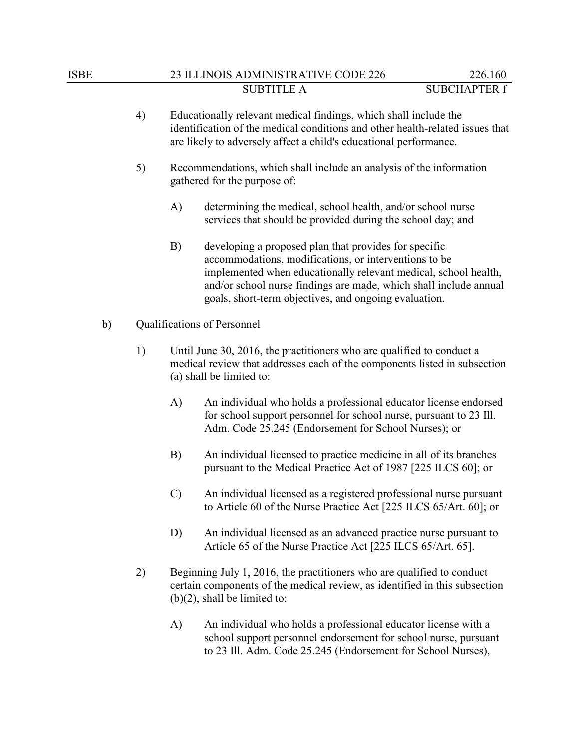# ISBE 23 ILLINOIS ADMINISTRATIVE CODE 226 226.160 SUBTITLE A SUBCHAPTER f

- 4) Educationally relevant medical findings, which shall include the identification of the medical conditions and other health-related issues that are likely to adversely affect a child's educational performance.
- 5) Recommendations, which shall include an analysis of the information gathered for the purpose of:
	- A) determining the medical, school health, and/or school nurse services that should be provided during the school day; and
	- B) developing a proposed plan that provides for specific accommodations, modifications, or interventions to be implemented when educationally relevant medical, school health, and/or school nurse findings are made, which shall include annual goals, short-term objectives, and ongoing evaluation.
- b) Qualifications of Personnel
	- 1) Until June 30, 2016, the practitioners who are qualified to conduct a medical review that addresses each of the components listed in subsection (a) shall be limited to:
		- A) An individual who holds a professional educator license endorsed for school support personnel for school nurse, pursuant to 23 Ill. Adm. Code 25.245 (Endorsement for School Nurses); or
		- B) An individual licensed to practice medicine in all of its branches pursuant to the Medical Practice Act of 1987 [225 ILCS 60]; or
		- C) An individual licensed as a registered professional nurse pursuant to Article 60 of the Nurse Practice Act [225 ILCS 65/Art. 60]; or
		- D) An individual licensed as an advanced practice nurse pursuant to Article 65 of the Nurse Practice Act [225 ILCS 65/Art. 65].
	- 2) Beginning July 1, 2016, the practitioners who are qualified to conduct certain components of the medical review, as identified in this subsection (b)(2), shall be limited to:
		- A) An individual who holds a professional educator license with a school support personnel endorsement for school nurse, pursuant to 23 Ill. Adm. Code 25.245 (Endorsement for School Nurses),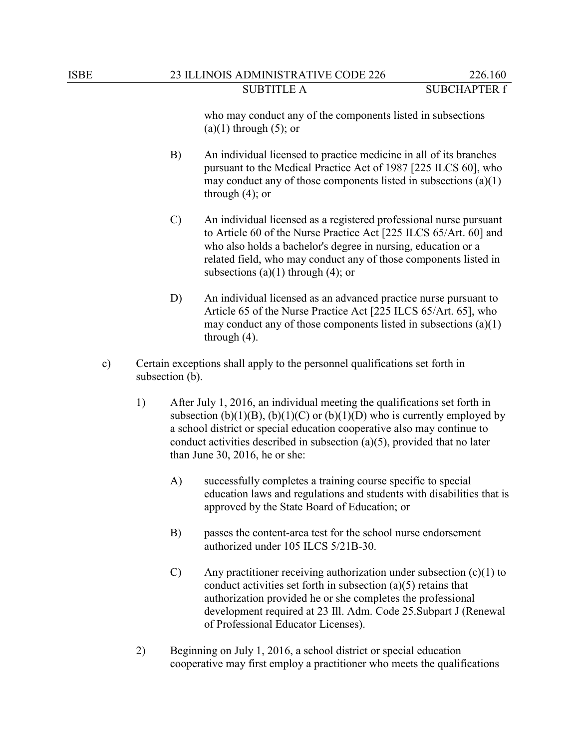who may conduct any of the components listed in subsections  $(a)(1)$  through  $(5)$ ; or

- B) An individual licensed to practice medicine in all of its branches pursuant to the Medical Practice Act of 1987 [225 ILCS 60], who may conduct any of those components listed in subsections (a)(1) through (4); or
- C) An individual licensed as a registered professional nurse pursuant to Article 60 of the Nurse Practice Act [225 ILCS 65/Art. 60] and who also holds a bachelor's degree in nursing, education or a related field, who may conduct any of those components listed in subsections  $(a)(1)$  through  $(4)$ ; or
- D) An individual licensed as an advanced practice nurse pursuant to Article 65 of the Nurse Practice Act [225 ILCS 65/Art. 65], who may conduct any of those components listed in subsections (a)(1) through (4).
- c) Certain exceptions shall apply to the personnel qualifications set forth in subsection (b).
	- 1) After July 1, 2016, an individual meeting the qualifications set forth in subsection (b)(1)(B), (b)(1)(C) or (b)(1)(D) who is currently employed by a school district or special education cooperative also may continue to conduct activities described in subsection (a)(5), provided that no later than June 30, 2016, he or she:
		- A) successfully completes a training course specific to special education laws and regulations and students with disabilities that is approved by the State Board of Education; or
		- B) passes the content-area test for the school nurse endorsement authorized under 105 ILCS 5/21B-30.
		- C) Any practitioner receiving authorization under subsection (c)(1) to conduct activities set forth in subsection (a)(5) retains that authorization provided he or she completes the professional development required at 23 Ill. Adm. Code 25.Subpart J (Renewal of Professional Educator Licenses).
	- 2) Beginning on July 1, 2016, a school district or special education cooperative may first employ a practitioner who meets the qualifications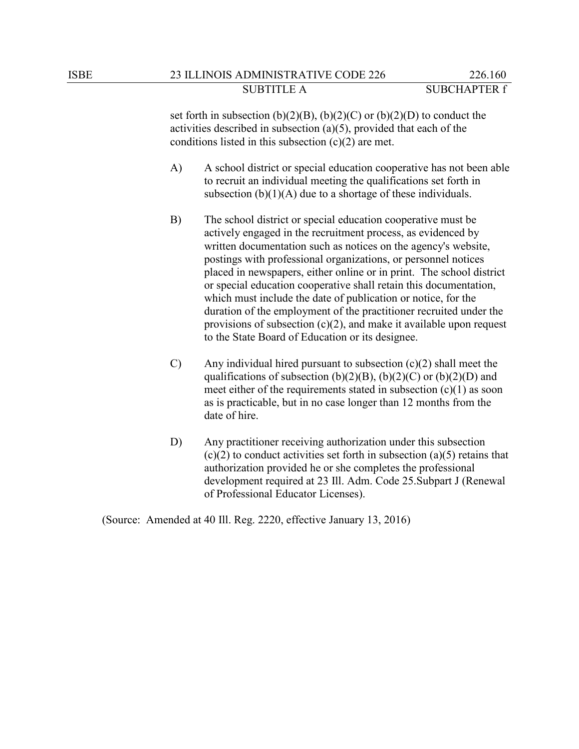set forth in subsection  $(b)(2)(B)$ ,  $(b)(2)(C)$  or  $(b)(2)(D)$  to conduct the activities described in subsection (a)(5), provided that each of the conditions listed in this subsection  $(c)(2)$  are met.

- A) A school district or special education cooperative has not been able to recruit an individual meeting the qualifications set forth in subsection  $(b)(1)(A)$  due to a shortage of these individuals.
- B) The school district or special education cooperative must be actively engaged in the recruitment process, as evidenced by written documentation such as notices on the agency's website, postings with professional organizations, or personnel notices placed in newspapers, either online or in print. The school district or special education cooperative shall retain this documentation, which must include the date of publication or notice, for the duration of the employment of the practitioner recruited under the provisions of subsection  $(c)(2)$ , and make it available upon request to the State Board of Education or its designee.
- $C$ ) Any individual hired pursuant to subsection  $(c)(2)$  shall meet the qualifications of subsection  $(b)(2)(B)$ ,  $(b)(2)(C)$  or  $(b)(2)(D)$  and meet either of the requirements stated in subsection  $(c)(1)$  as soon as is practicable, but in no case longer than 12 months from the date of hire.
- D) Any practitioner receiving authorization under this subsection  $(c)(2)$  to conduct activities set forth in subsection  $(a)(5)$  retains that authorization provided he or she completes the professional development required at 23 Ill. Adm. Code 25.Subpart J (Renewal of Professional Educator Licenses).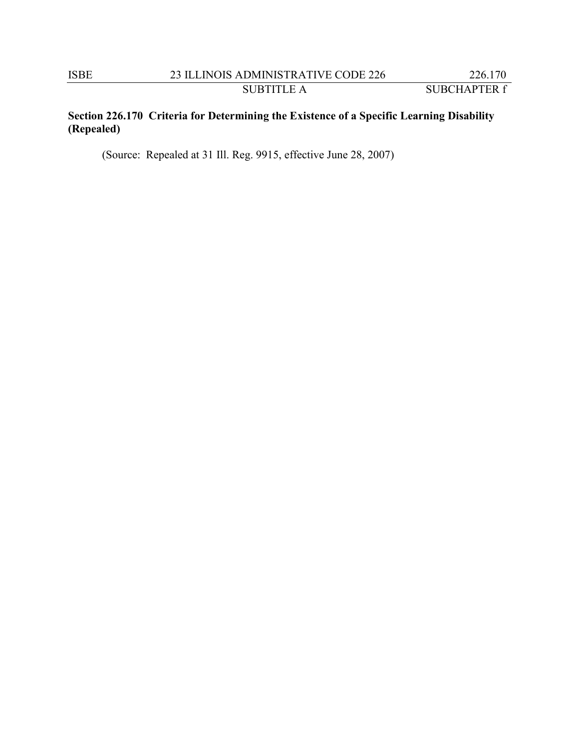# **Section 226.170 Criteria for Determining the Existence of a Specific Learning Disability (Repealed)**

(Source: Repealed at 31 Ill. Reg. 9915, effective June 28, 2007)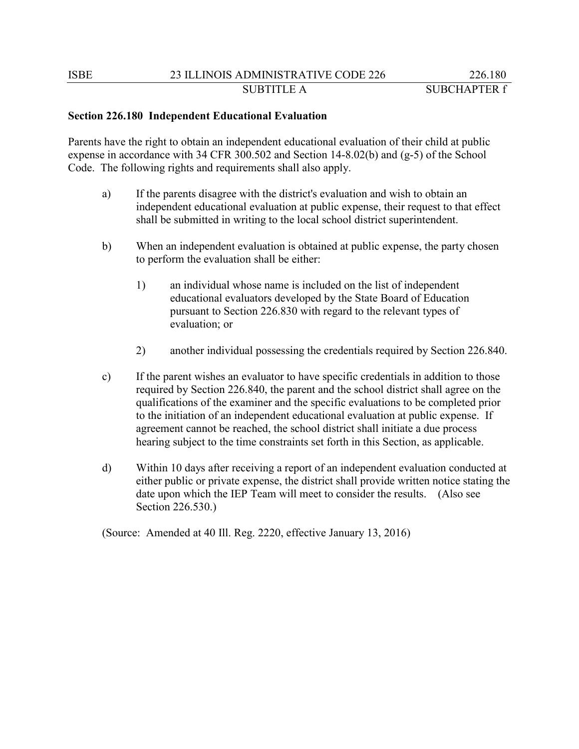# **Section 226.180 Independent Educational Evaluation**

Parents have the right to obtain an independent educational evaluation of their child at public expense in accordance with 34 CFR 300.502 and Section 14-8.02(b) and  $(g-5)$  of the School Code. The following rights and requirements shall also apply.

- a) If the parents disagree with the district's evaluation and wish to obtain an independent educational evaluation at public expense, their request to that effect shall be submitted in writing to the local school district superintendent.
- b) When an independent evaluation is obtained at public expense, the party chosen to perform the evaluation shall be either:
	- 1) an individual whose name is included on the list of independent educational evaluators developed by the State Board of Education pursuant to Section 226.830 with regard to the relevant types of evaluation; or
	- 2) another individual possessing the credentials required by Section 226.840.
- c) If the parent wishes an evaluator to have specific credentials in addition to those required by Section 226.840, the parent and the school district shall agree on the qualifications of the examiner and the specific evaluations to be completed prior to the initiation of an independent educational evaluation at public expense. If agreement cannot be reached, the school district shall initiate a due process hearing subject to the time constraints set forth in this Section, as applicable.
- d) Within 10 days after receiving a report of an independent evaluation conducted at either public or private expense, the district shall provide written notice stating the date upon which the IEP Team will meet to consider the results. (Also see Section 226.530.)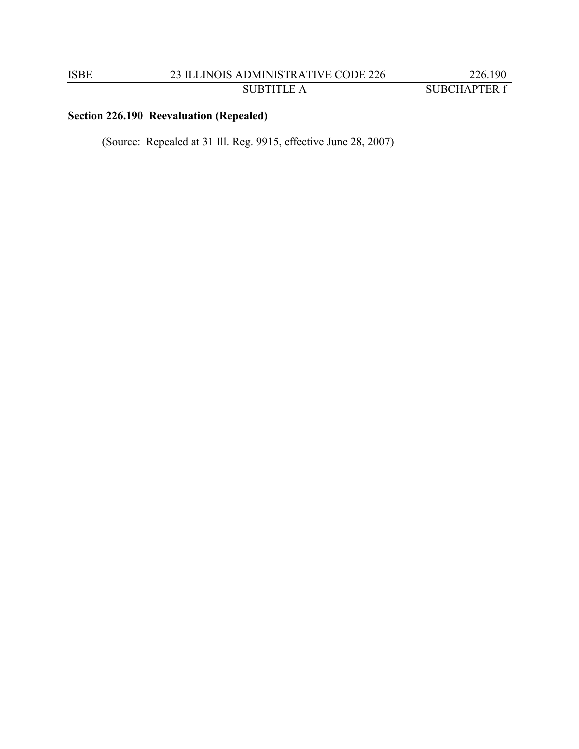# **Section 226.190 Reevaluation (Repealed)**

(Source: Repealed at 31 Ill. Reg. 9915, effective June 28, 2007)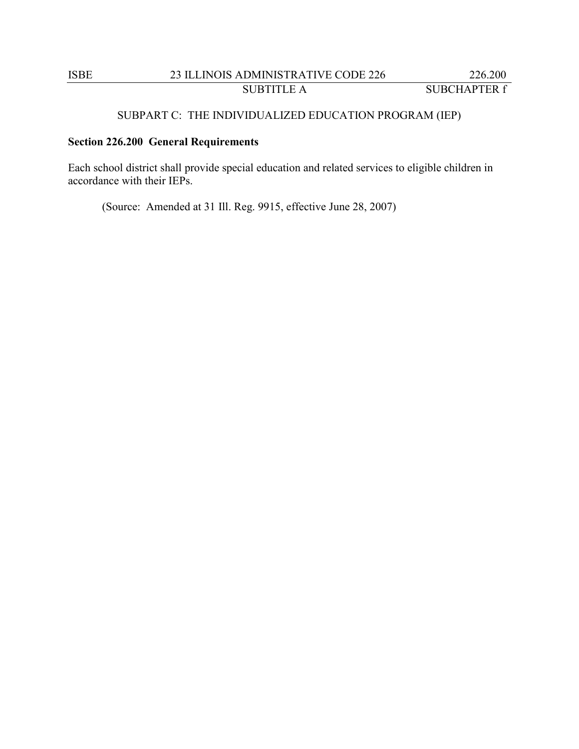# ISBE 23 ILLINOIS ADMINISTRATIVE CODE 226 226.200 SUBTITLE A SUBCHAPTER f

# SUBPART C: THE INDIVIDUALIZED EDUCATION PROGRAM (IEP)

# **Section 226.200 General Requirements**

Each school district shall provide special education and related services to eligible children in accordance with their IEPs.

(Source: Amended at 31 Ill. Reg. 9915, effective June 28, 2007)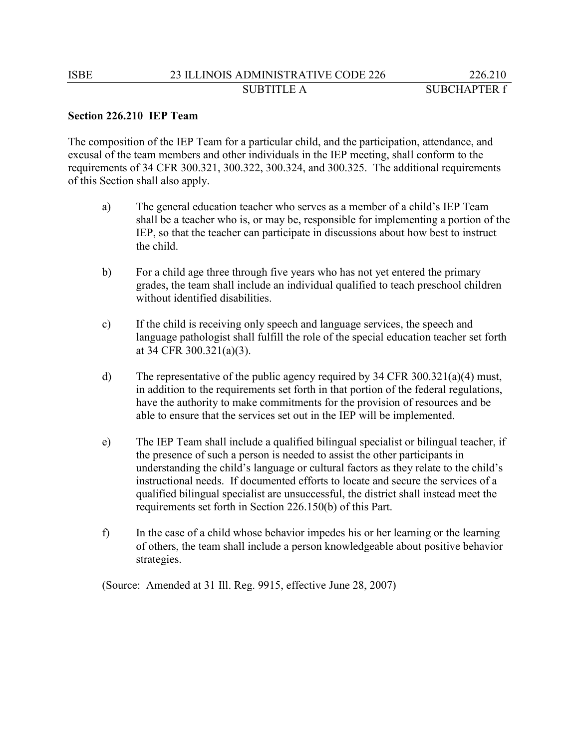# **Section 226.210 IEP Team**

The composition of the IEP Team for a particular child, and the participation, attendance, and excusal of the team members and other individuals in the IEP meeting, shall conform to the requirements of 34 CFR 300.321, 300.322, 300.324, and 300.325. The additional requirements of this Section shall also apply.

- a) The general education teacher who serves as a member of a child's IEP Team shall be a teacher who is, or may be, responsible for implementing a portion of the IEP, so that the teacher can participate in discussions about how best to instruct the child.
- b) For a child age three through five years who has not yet entered the primary grades, the team shall include an individual qualified to teach preschool children without identified disabilities.
- c) If the child is receiving only speech and language services, the speech and language pathologist shall fulfill the role of the special education teacher set forth at 34 CFR 300.321(a)(3).
- d) The representative of the public agency required by 34 CFR 300.321(a)(4) must, in addition to the requirements set forth in that portion of the federal regulations, have the authority to make commitments for the provision of resources and be able to ensure that the services set out in the IEP will be implemented.
- e) The IEP Team shall include a qualified bilingual specialist or bilingual teacher, if the presence of such a person is needed to assist the other participants in understanding the child's language or cultural factors as they relate to the child's instructional needs. If documented efforts to locate and secure the services of a qualified bilingual specialist are unsuccessful, the district shall instead meet the requirements set forth in Section 226.150(b) of this Part.
- f) In the case of a child whose behavior impedes his or her learning or the learning of others, the team shall include a person knowledgeable about positive behavior strategies.

(Source: Amended at 31 Ill. Reg. 9915, effective June 28, 2007)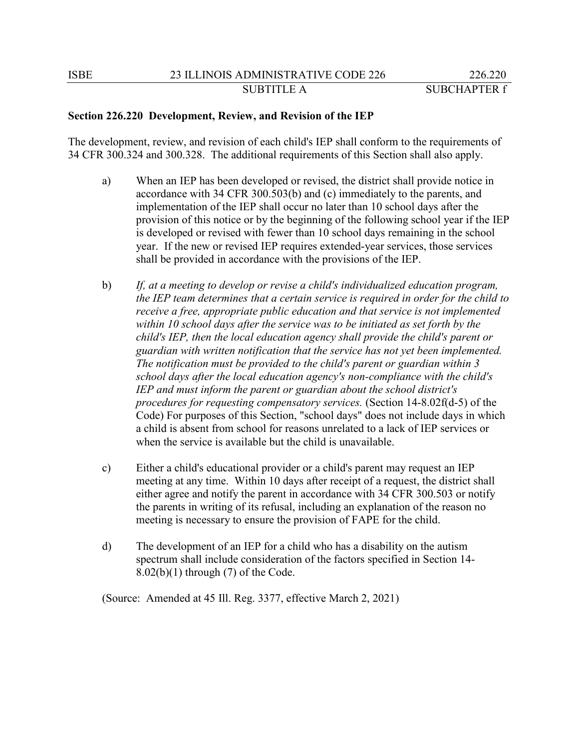#### **Section 226.220 Development, Review, and Revision of the IEP**

The development, review, and revision of each child's IEP shall conform to the requirements of 34 CFR 300.324 and 300.328. The additional requirements of this Section shall also apply.

- a) When an IEP has been developed or revised, the district shall provide notice in accordance with 34 CFR 300.503(b) and (c) immediately to the parents, and implementation of the IEP shall occur no later than 10 school days after the provision of this notice or by the beginning of the following school year if the IEP is developed or revised with fewer than 10 school days remaining in the school year. If the new or revised IEP requires extended-year services, those services shall be provided in accordance with the provisions of the IEP.
- b) *If, at a meeting to develop or revise a child's individualized education program, the IEP team determines that a certain service is required in order for the child to receive a free, appropriate public education and that service is not implemented within 10 school days after the service was to be initiated as set forth by the child's IEP, then the local education agency shall provide the child's parent or guardian with written notification that the service has not yet been implemented. The notification must be provided to the child's parent or guardian within 3 school days after the local education agency's non-compliance with the child's IEP and must inform the parent or guardian about the school district's procedures for requesting compensatory services.* (Section 14-8.02f(d-5) of the Code) For purposes of this Section, "school days" does not include days in which a child is absent from school for reasons unrelated to a lack of IEP services or when the service is available but the child is unavailable.
- c) Either a child's educational provider or a child's parent may request an IEP meeting at any time. Within 10 days after receipt of a request, the district shall either agree and notify the parent in accordance with 34 CFR 300.503 or notify the parents in writing of its refusal, including an explanation of the reason no meeting is necessary to ensure the provision of FAPE for the child.
- d) The development of an IEP for a child who has a disability on the autism spectrum shall include consideration of the factors specified in Section 14-  $8.02(b)(1)$  through  $(7)$  of the Code.

(Source: Amended at 45 Ill. Reg. 3377, effective March 2, 2021)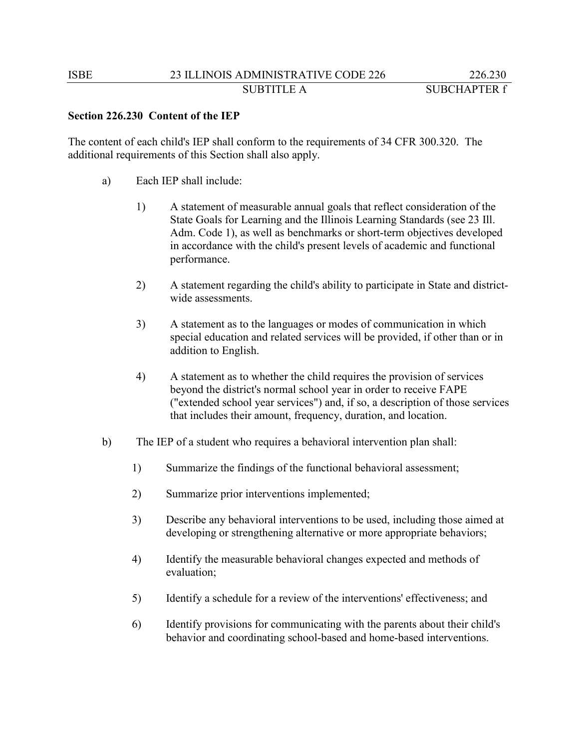# **Section 226.230 Content of the IEP**

The content of each child's IEP shall conform to the requirements of 34 CFR 300.320. The additional requirements of this Section shall also apply.

- a) Each IEP shall include:
	- 1) A statement of measurable annual goals that reflect consideration of the State Goals for Learning and the Illinois Learning Standards (see 23 Ill. Adm. Code 1), as well as benchmarks or short-term objectives developed in accordance with the child's present levels of academic and functional performance.
	- 2) A statement regarding the child's ability to participate in State and districtwide assessments.
	- 3) A statement as to the languages or modes of communication in which special education and related services will be provided, if other than or in addition to English.
	- 4) A statement as to whether the child requires the provision of services beyond the district's normal school year in order to receive FAPE ("extended school year services") and, if so, a description of those services that includes their amount, frequency, duration, and location.
- b) The IEP of a student who requires a behavioral intervention plan shall:
	- 1) Summarize the findings of the functional behavioral assessment;
	- 2) Summarize prior interventions implemented;
	- 3) Describe any behavioral interventions to be used, including those aimed at developing or strengthening alternative or more appropriate behaviors;
	- 4) Identify the measurable behavioral changes expected and methods of evaluation;
	- 5) Identify a schedule for a review of the interventions' effectiveness; and
	- 6) Identify provisions for communicating with the parents about their child's behavior and coordinating school-based and home-based interventions.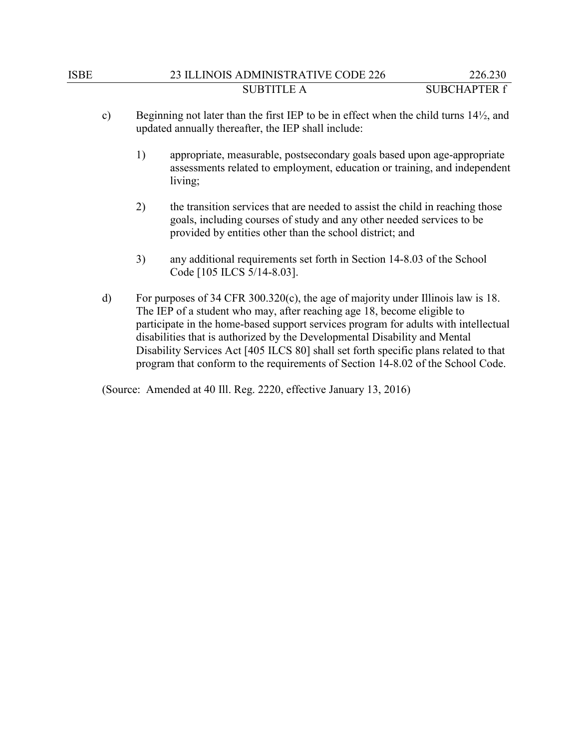- c) Beginning not later than the first IEP to be in effect when the child turns 14½, and updated annually thereafter, the IEP shall include:
	- 1) appropriate, measurable, postsecondary goals based upon age-appropriate assessments related to employment, education or training, and independent living;
	- 2) the transition services that are needed to assist the child in reaching those goals, including courses of study and any other needed services to be provided by entities other than the school district; and
	- 3) any additional requirements set forth in Section 14-8.03 of the School Code [105 ILCS 5/14-8.03].
- d) For purposes of 34 CFR 300.320(c), the age of majority under Illinois law is 18. The IEP of a student who may, after reaching age 18, become eligible to participate in the home-based support services program for adults with intellectual disabilities that is authorized by the Developmental Disability and Mental Disability Services Act [405 ILCS 80] shall set forth specific plans related to that program that conform to the requirements of Section 14-8.02 of the School Code.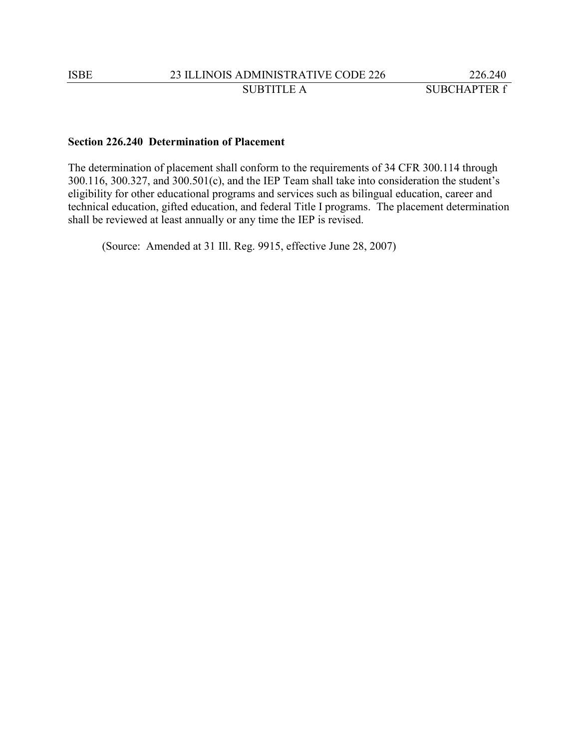## **Section 226.240 Determination of Placement**

The determination of placement shall conform to the requirements of 34 CFR 300.114 through 300.116, 300.327, and 300.501(c), and the IEP Team shall take into consideration the student's eligibility for other educational programs and services such as bilingual education, career and technical education, gifted education, and federal Title I programs. The placement determination shall be reviewed at least annually or any time the IEP is revised.

(Source: Amended at 31 Ill. Reg. 9915, effective June 28, 2007)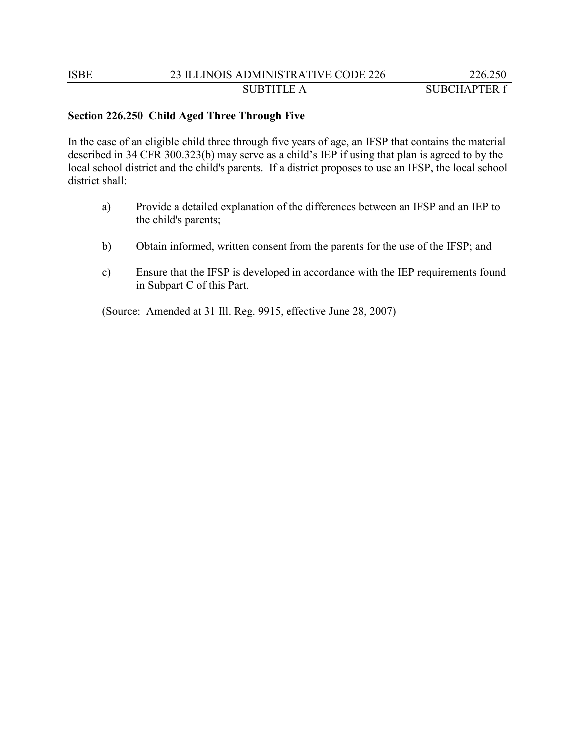### **Section 226.250 Child Aged Three Through Five**

In the case of an eligible child three through five years of age, an IFSP that contains the material described in 34 CFR 300.323(b) may serve as a child's IEP if using that plan is agreed to by the local school district and the child's parents. If a district proposes to use an IFSP, the local school district shall:

- a) Provide a detailed explanation of the differences between an IFSP and an IEP to the child's parents;
- b) Obtain informed, written consent from the parents for the use of the IFSP; and
- c) Ensure that the IFSP is developed in accordance with the IEP requirements found in Subpart C of this Part.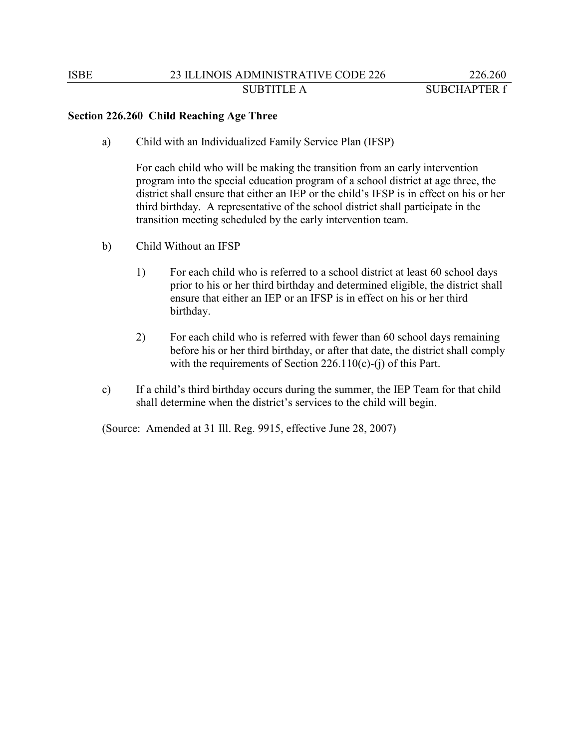### **Section 226.260 Child Reaching Age Three**

a) Child with an Individualized Family Service Plan (IFSP)

For each child who will be making the transition from an early intervention program into the special education program of a school district at age three, the district shall ensure that either an IEP or the child's IFSP is in effect on his or her third birthday. A representative of the school district shall participate in the transition meeting scheduled by the early intervention team.

- b) Child Without an IFSP
	- 1) For each child who is referred to a school district at least 60 school days prior to his or her third birthday and determined eligible, the district shall ensure that either an IEP or an IFSP is in effect on his or her third birthday.
	- 2) For each child who is referred with fewer than 60 school days remaining before his or her third birthday, or after that date, the district shall comply with the requirements of Section 226.110(c)-(j) of this Part.
- c) If a child's third birthday occurs during the summer, the IEP Team for that child shall determine when the district's services to the child will begin.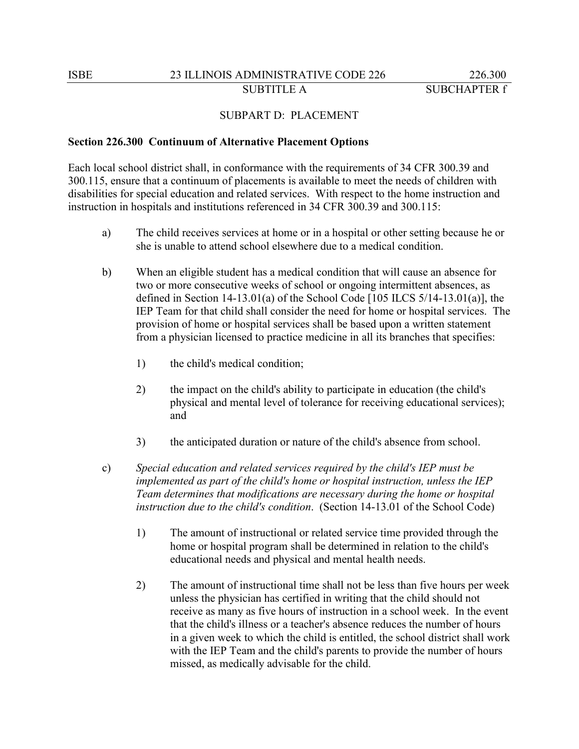### SUBPART D: PLACEMENT

#### **Section 226.300 Continuum of Alternative Placement Options**

Each local school district shall, in conformance with the requirements of 34 CFR 300.39 and 300.115, ensure that a continuum of placements is available to meet the needs of children with disabilities for special education and related services. With respect to the home instruction and instruction in hospitals and institutions referenced in 34 CFR 300.39 and 300.115:

- a) The child receives services at home or in a hospital or other setting because he or she is unable to attend school elsewhere due to a medical condition.
- b) When an eligible student has a medical condition that will cause an absence for two or more consecutive weeks of school or ongoing intermittent absences, as defined in Section 14-13.01(a) of the School Code  $[105$  ILCS  $5/14$ -13.01(a)], the IEP Team for that child shall consider the need for home or hospital services. The provision of home or hospital services shall be based upon a written statement from a physician licensed to practice medicine in all its branches that specifies:
	- 1) the child's medical condition;
	- 2) the impact on the child's ability to participate in education (the child's physical and mental level of tolerance for receiving educational services); and
	- 3) the anticipated duration or nature of the child's absence from school.
- c) *Special education and related services required by the child's IEP must be implemented as part of the child's home or hospital instruction, unless the IEP Team determines that modifications are necessary during the home or hospital instruction due to the child's condition*. (Section 14-13.01 of the School Code)
	- 1) The amount of instructional or related service time provided through the home or hospital program shall be determined in relation to the child's educational needs and physical and mental health needs.
	- 2) The amount of instructional time shall not be less than five hours per week unless the physician has certified in writing that the child should not receive as many as five hours of instruction in a school week. In the event that the child's illness or a teacher's absence reduces the number of hours in a given week to which the child is entitled, the school district shall work with the IEP Team and the child's parents to provide the number of hours missed, as medically advisable for the child.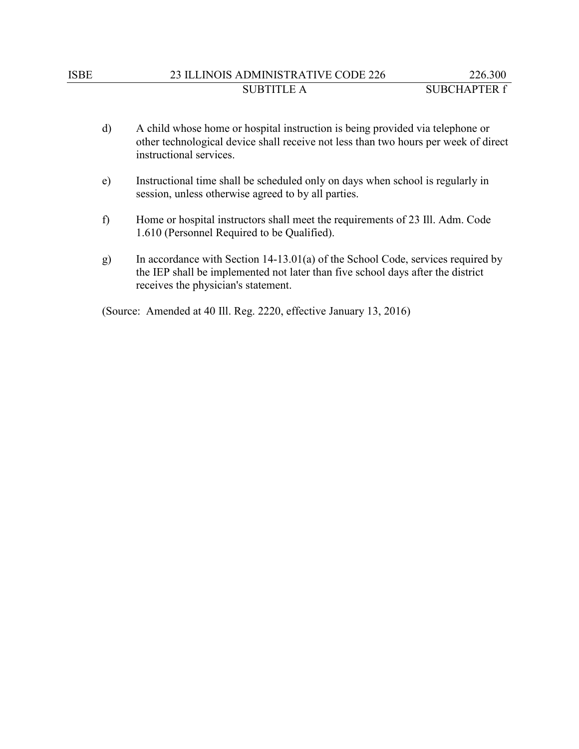# ISBE 23 ILLINOIS ADMINISTRATIVE CODE 226 226.300 SUBTITLE A SUBCHAPTER f

- d) A child whose home or hospital instruction is being provided via telephone or other technological device shall receive not less than two hours per week of direct instructional services.
- e) Instructional time shall be scheduled only on days when school is regularly in session, unless otherwise agreed to by all parties.
- f) Home or hospital instructors shall meet the requirements of 23 Ill. Adm. Code 1.610 (Personnel Required to be Qualified).
- g) In accordance with Section 14-13.01(a) of the School Code, services required by the IEP shall be implemented not later than five school days after the district receives the physician's statement.

(Source: Amended at 40 Ill. Reg. 2220, effective January 13, 2016)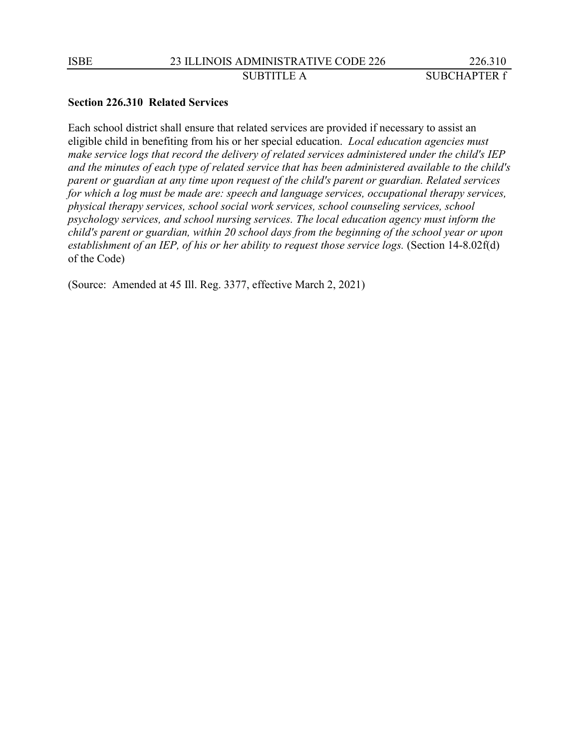### **Section 226.310 Related Services**

Each school district shall ensure that related services are provided if necessary to assist an eligible child in benefiting from his or her special education. *Local education agencies must make service logs that record the delivery of related services administered under the child's IEP and the minutes of each type of related service that has been administered available to the child's parent or guardian at any time upon request of the child's parent or guardian. Related services for which a log must be made are: speech and language services, occupational therapy services, physical therapy services, school social work services, school counseling services, school psychology services, and school nursing services. The local education agency must inform the child's parent or guardian, within 20 school days from the beginning of the school year or upon establishment of an IEP, of his or her ability to request those service logs.* (Section 14-8.02f(d) of the Code)

(Source: Amended at 45 Ill. Reg. 3377, effective March 2, 2021)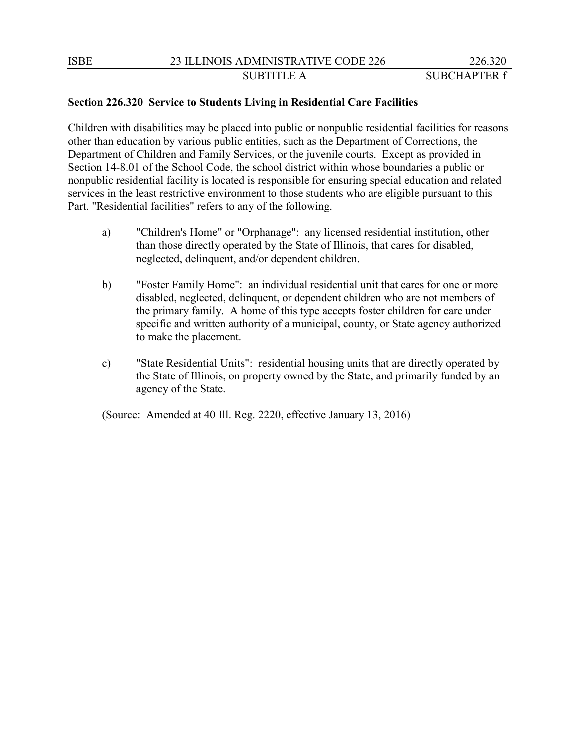# SUBTITLE A SUBCHAPTER f

# **Section 226.320 Service to Students Living in Residential Care Facilities**

Children with disabilities may be placed into public or nonpublic residential facilities for reasons other than education by various public entities, such as the Department of Corrections, the Department of Children and Family Services, or the juvenile courts. Except as provided in Section 14-8.01 of the School Code, the school district within whose boundaries a public or nonpublic residential facility is located is responsible for ensuring special education and related services in the least restrictive environment to those students who are eligible pursuant to this Part. "Residential facilities" refers to any of the following.

- a) "Children's Home" or "Orphanage": any licensed residential institution, other than those directly operated by the State of Illinois, that cares for disabled, neglected, delinquent, and/or dependent children.
- b) "Foster Family Home": an individual residential unit that cares for one or more disabled, neglected, delinquent, or dependent children who are not members of the primary family. A home of this type accepts foster children for care under specific and written authority of a municipal, county, or State agency authorized to make the placement.
- c) "State Residential Units": residential housing units that are directly operated by the State of Illinois, on property owned by the State, and primarily funded by an agency of the State.

(Source: Amended at 40 Ill. Reg. 2220, effective January 13, 2016)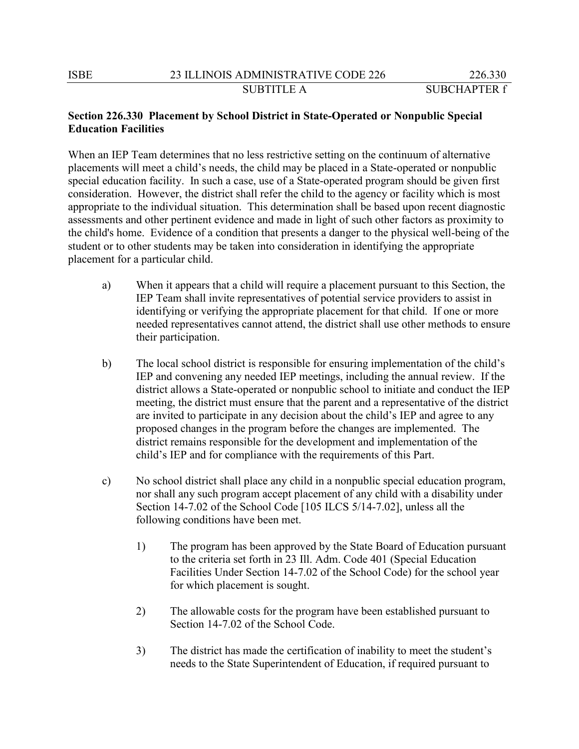# **Section 226.330 Placement by School District in State-Operated or Nonpublic Special Education Facilities**

When an IEP Team determines that no less restrictive setting on the continuum of alternative placements will meet a child's needs, the child may be placed in a State-operated or nonpublic special education facility. In such a case, use of a State-operated program should be given first consideration. However, the district shall refer the child to the agency or facility which is most appropriate to the individual situation. This determination shall be based upon recent diagnostic assessments and other pertinent evidence and made in light of such other factors as proximity to the child's home. Evidence of a condition that presents a danger to the physical well-being of the student or to other students may be taken into consideration in identifying the appropriate placement for a particular child.

- a) When it appears that a child will require a placement pursuant to this Section, the IEP Team shall invite representatives of potential service providers to assist in identifying or verifying the appropriate placement for that child. If one or more needed representatives cannot attend, the district shall use other methods to ensure their participation.
- b) The local school district is responsible for ensuring implementation of the child's IEP and convening any needed IEP meetings, including the annual review. If the district allows a State-operated or nonpublic school to initiate and conduct the IEP meeting, the district must ensure that the parent and a representative of the district are invited to participate in any decision about the child's IEP and agree to any proposed changes in the program before the changes are implemented. The district remains responsible for the development and implementation of the child's IEP and for compliance with the requirements of this Part.
- c) No school district shall place any child in a nonpublic special education program, nor shall any such program accept placement of any child with a disability under Section 14-7.02 of the School Code [105 ILCS 5/14-7.02], unless all the following conditions have been met.
	- 1) The program has been approved by the State Board of Education pursuant to the criteria set forth in 23 Ill. Adm. Code 401 (Special Education Facilities Under Section 14-7.02 of the School Code) for the school year for which placement is sought.
	- 2) The allowable costs for the program have been established pursuant to Section 14-7.02 of the School Code.
	- 3) The district has made the certification of inability to meet the student's needs to the State Superintendent of Education, if required pursuant to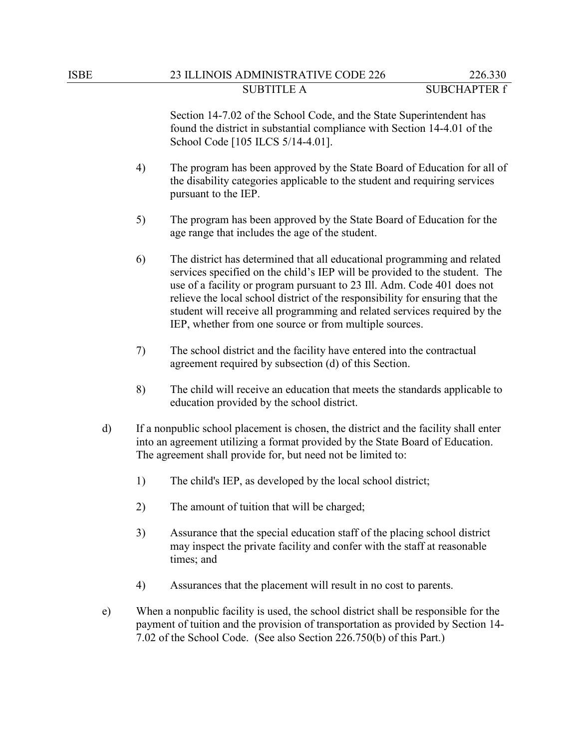Section 14-7.02 of the School Code, and the State Superintendent has found the district in substantial compliance with Section 14-4.01 of the School Code [105 ILCS 5/14-4.01].

- 4) The program has been approved by the State Board of Education for all of the disability categories applicable to the student and requiring services pursuant to the IEP.
- 5) The program has been approved by the State Board of Education for the age range that includes the age of the student.
- 6) The district has determined that all educational programming and related services specified on the child's IEP will be provided to the student. The use of a facility or program pursuant to 23 Ill. Adm. Code 401 does not relieve the local school district of the responsibility for ensuring that the student will receive all programming and related services required by the IEP, whether from one source or from multiple sources.
- 7) The school district and the facility have entered into the contractual agreement required by subsection (d) of this Section.
- 8) The child will receive an education that meets the standards applicable to education provided by the school district.
- d) If a nonpublic school placement is chosen, the district and the facility shall enter into an agreement utilizing a format provided by the State Board of Education. The agreement shall provide for, but need not be limited to:
	- 1) The child's IEP, as developed by the local school district;
	- 2) The amount of tuition that will be charged;
	- 3) Assurance that the special education staff of the placing school district may inspect the private facility and confer with the staff at reasonable times; and
	- 4) Assurances that the placement will result in no cost to parents.
- e) When a nonpublic facility is used, the school district shall be responsible for the payment of tuition and the provision of transportation as provided by Section 14- 7.02 of the School Code. (See also Section 226.750(b) of this Part.)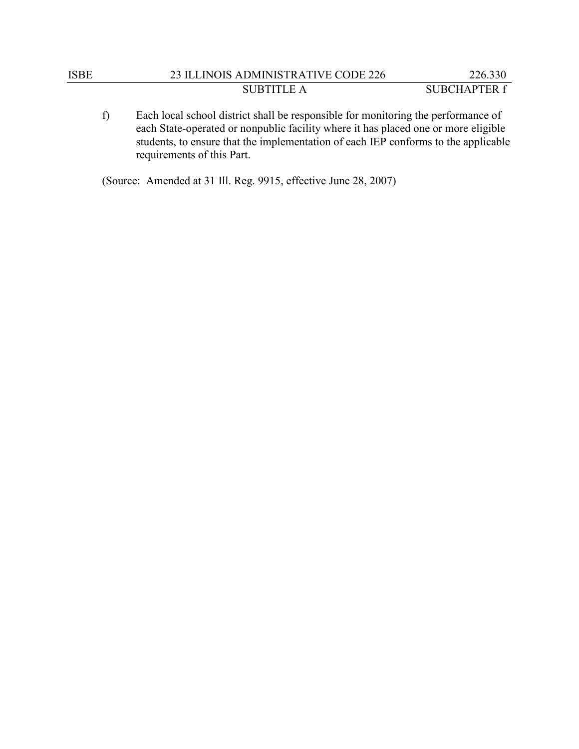| ISBE | 23 ILLINOIS ADMINISTRATIVE CODE 226 | 226.330      |
|------|-------------------------------------|--------------|
|      | SUBTITLE A                          | SUBCHAPTER f |

f) Each local school district shall be responsible for monitoring the performance of each State-operated or nonpublic facility where it has placed one or more eligible students, to ensure that the implementation of each IEP conforms to the applicable requirements of this Part.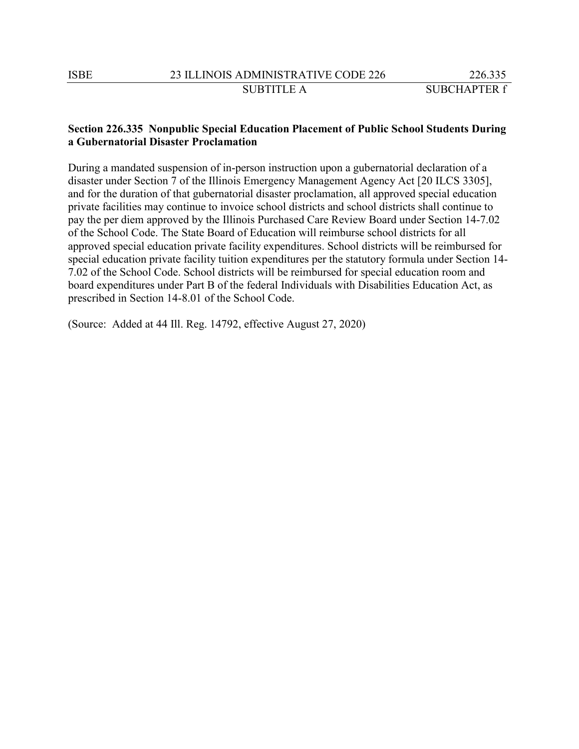### **Section 226.335 Nonpublic Special Education Placement of Public School Students During a Gubernatorial Disaster Proclamation**

During a mandated suspension of in-person instruction upon a gubernatorial declaration of a disaster under Section 7 of the Illinois Emergency Management Agency Act [20 ILCS 3305], and for the duration of that gubernatorial disaster proclamation, all approved special education private facilities may continue to invoice school districts and school districts shall continue to pay the per diem approved by the Illinois Purchased Care Review Board under Section 14-7.02 of the School Code. The State Board of Education will reimburse school districts for all approved special education private facility expenditures. School districts will be reimbursed for special education private facility tuition expenditures per the statutory formula under Section 14- 7.02 of the School Code. School districts will be reimbursed for special education room and board expenditures under Part B of the federal Individuals with Disabilities Education Act, as prescribed in Section 14-8.01 of the School Code.

(Source: Added at 44 Ill. Reg. 14792, effective August 27, 2020)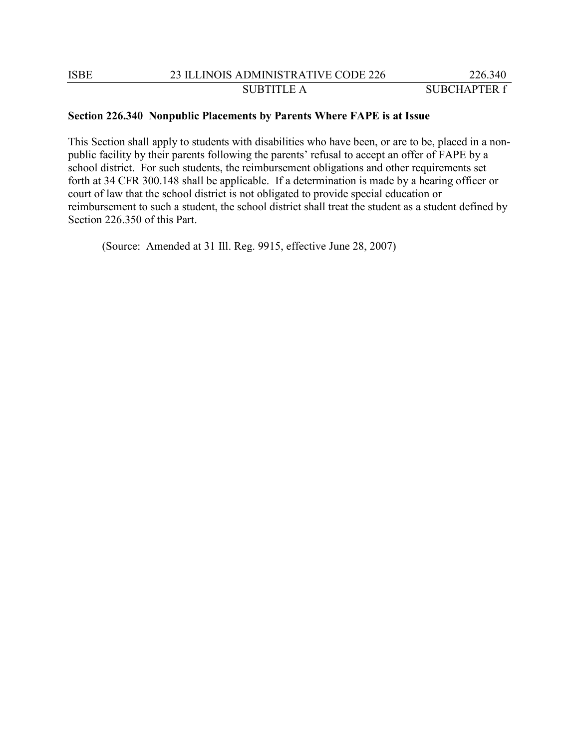#### **Section 226.340 Nonpublic Placements by Parents Where FAPE is at Issue**

This Section shall apply to students with disabilities who have been, or are to be, placed in a nonpublic facility by their parents following the parents' refusal to accept an offer of FAPE by a school district. For such students, the reimbursement obligations and other requirements set forth at 34 CFR 300.148 shall be applicable. If a determination is made by a hearing officer or court of law that the school district is not obligated to provide special education or reimbursement to such a student, the school district shall treat the student as a student defined by Section 226.350 of this Part.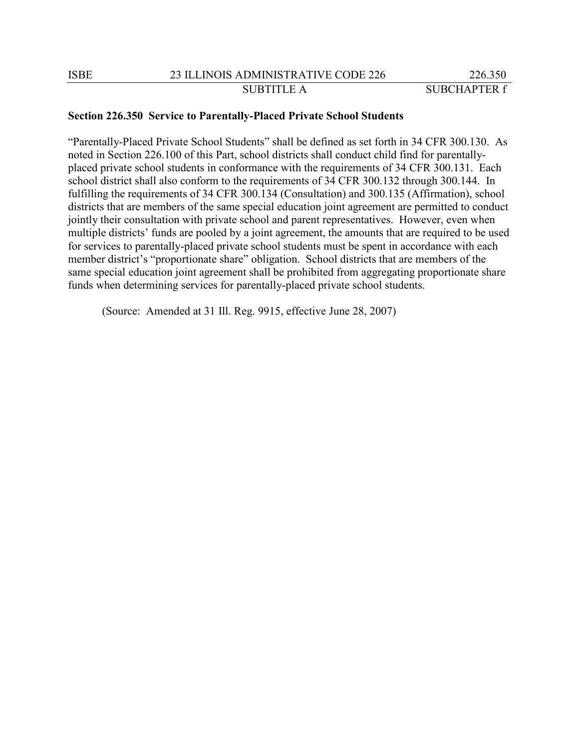#### **Section 226.350 Service to Parentally-Placed Private School Students**

"Parentally-Placed Private School Students" shall be defined as set forth in 34 CFR 300.130. As noted in Section 226.100 of this Part, school districts shall conduct child find for parentallyplaced private school students in conformance with the requirements of 34 CFR 300.131. Each school district shall also conform to the requirements of 34 CFR 300.132 through 300.144. In fulfilling the requirements of 34 CFR 300.134 (Consultation) and 300.135 (Affirmation), school districts that are members of the same special education joint agreement are permitted to conduct jointly their consultation with private school and parent representatives. However, even when multiple districts' funds are pooled by a joint agreement, the amounts that are required to be used for services to parentally-placed private school students must be spent in accordance with each member district's "proportionate share" obligation. School districts that are members of the same special education joint agreement shall be prohibited from aggregating proportionate share funds when determining services for parentally-placed private school students.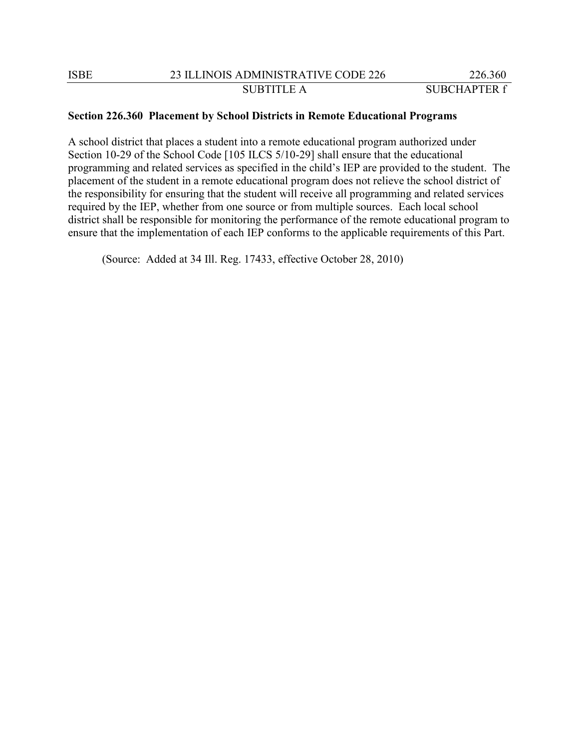### **Section 226.360 Placement by School Districts in Remote Educational Programs**

A school district that places a student into a remote educational program authorized under Section 10-29 of the School Code [105 ILCS 5/10-29] shall ensure that the educational programming and related services as specified in the child's IEP are provided to the student. The placement of the student in a remote educational program does not relieve the school district of the responsibility for ensuring that the student will receive all programming and related services required by the IEP, whether from one source or from multiple sources. Each local school district shall be responsible for monitoring the performance of the remote educational program to ensure that the implementation of each IEP conforms to the applicable requirements of this Part.

(Source: Added at 34 Ill. Reg. 17433, effective October 28, 2010)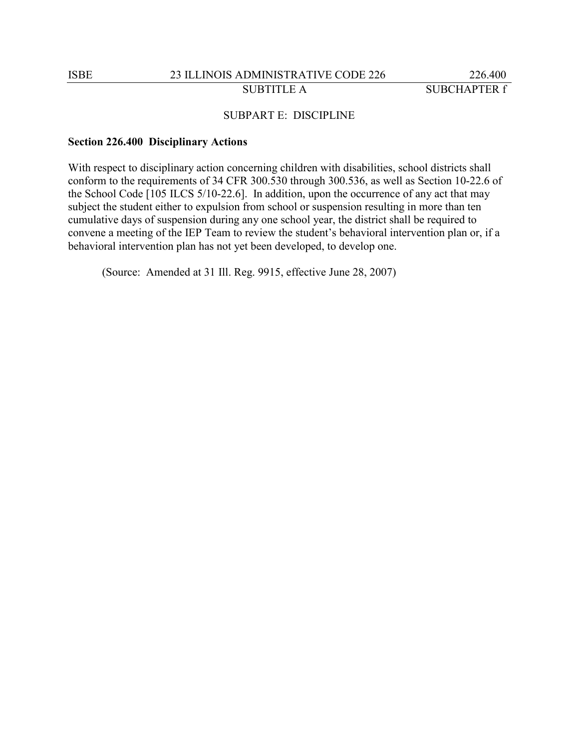### SUBPART E: DISCIPLINE

#### **Section 226.400 Disciplinary Actions**

With respect to disciplinary action concerning children with disabilities, school districts shall conform to the requirements of 34 CFR 300.530 through 300.536, as well as Section 10-22.6 of the School Code [105 ILCS 5/10-22.6]. In addition, upon the occurrence of any act that may subject the student either to expulsion from school or suspension resulting in more than ten cumulative days of suspension during any one school year, the district shall be required to convene a meeting of the IEP Team to review the student's behavioral intervention plan or, if a behavioral intervention plan has not yet been developed, to develop one.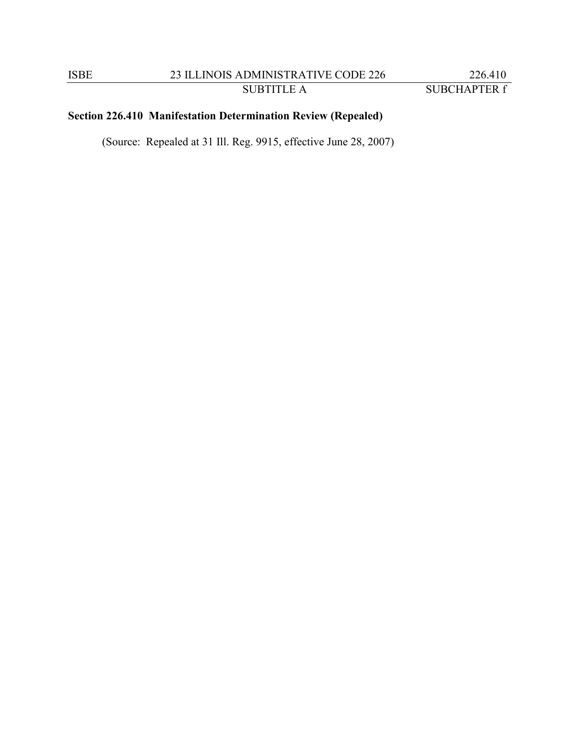# **Section 226.410 Manifestation Determination Review (Repealed)**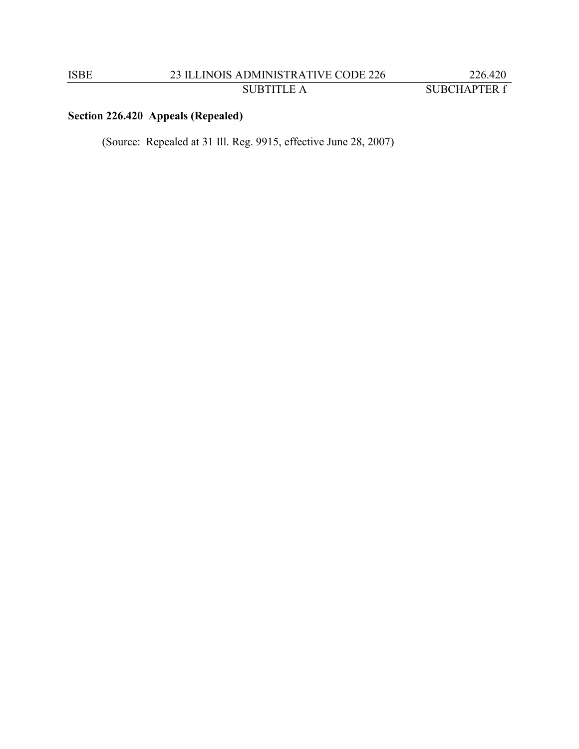# **Section 226.420 Appeals (Repealed)**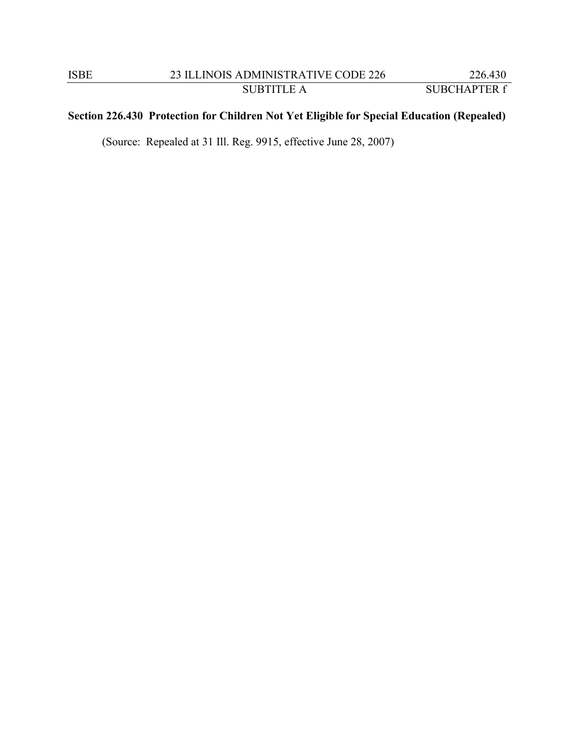# **Section 226.430 Protection for Children Not Yet Eligible for Special Education (Repealed)**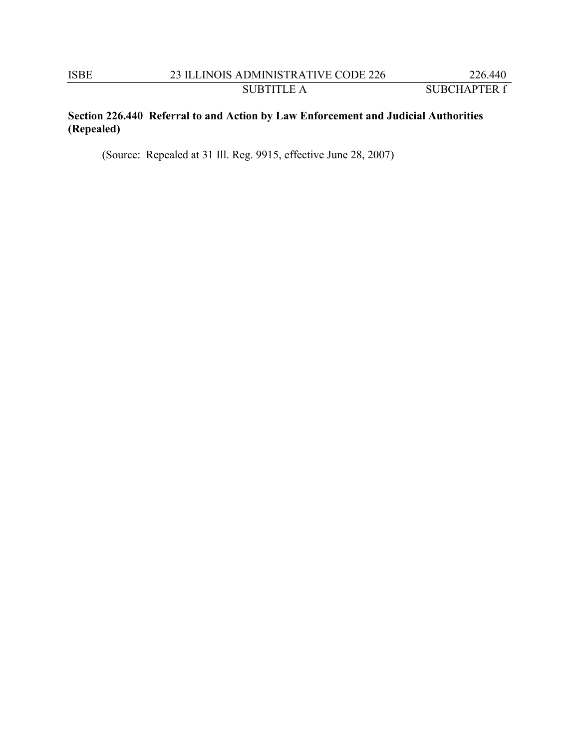# **Section 226.440 Referral to and Action by Law Enforcement and Judicial Authorities (Repealed)**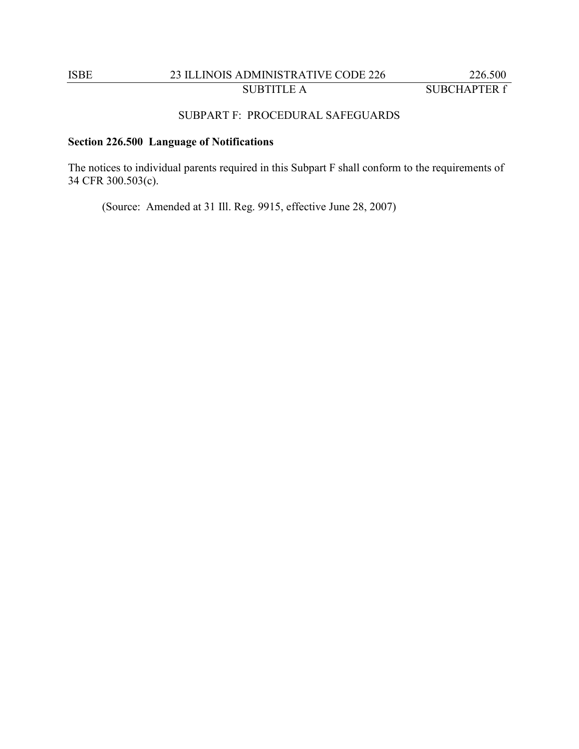# ISBE 23 ILLINOIS ADMINISTRATIVE CODE 226 226.500 SUBTITLE A SUBCHAPTER f

### SUBPART F: PROCEDURAL SAFEGUARDS

# **Section 226.500 Language of Notifications**

The notices to individual parents required in this Subpart F shall conform to the requirements of 34 CFR 300.503(c).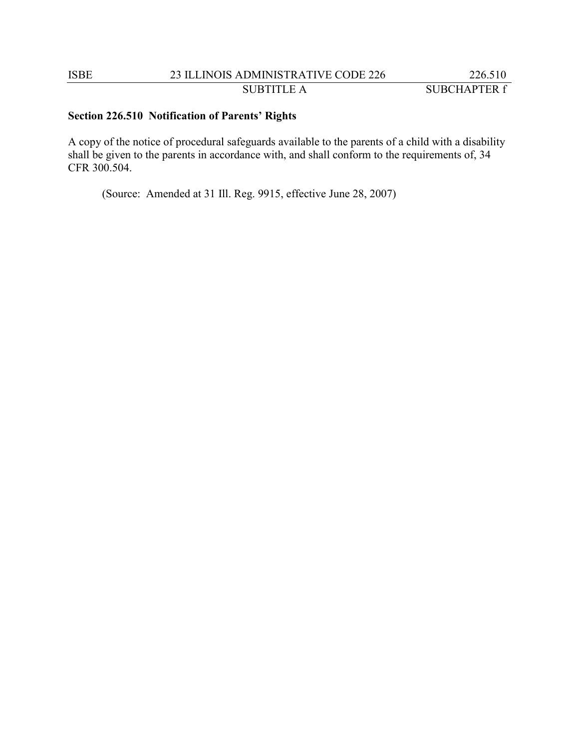# **Section 226.510 Notification of Parents' Rights**

A copy of the notice of procedural safeguards available to the parents of a child with a disability shall be given to the parents in accordance with, and shall conform to the requirements of, 34 CFR 300.504.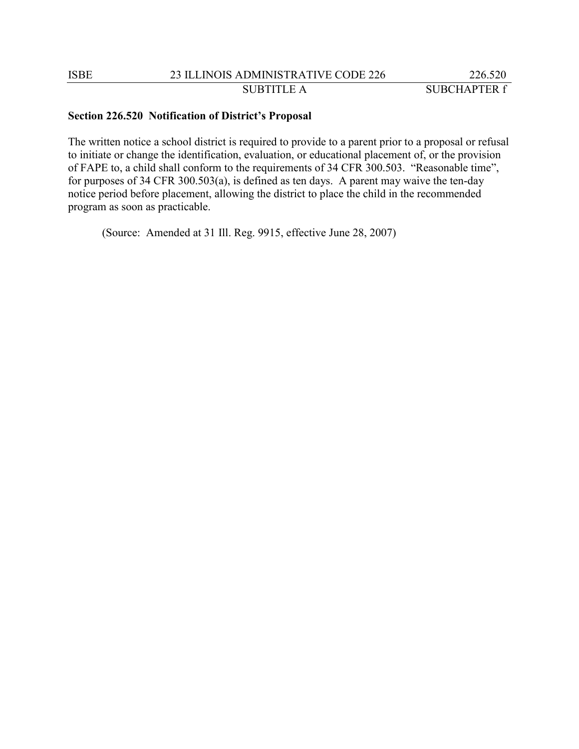### **Section 226.520 Notification of District's Proposal**

The written notice a school district is required to provide to a parent prior to a proposal or refusal to initiate or change the identification, evaluation, or educational placement of, or the provision of FAPE to, a child shall conform to the requirements of 34 CFR 300.503. "Reasonable time", for purposes of 34 CFR 300.503(a), is defined as ten days. A parent may waive the ten-day notice period before placement, allowing the district to place the child in the recommended program as soon as practicable.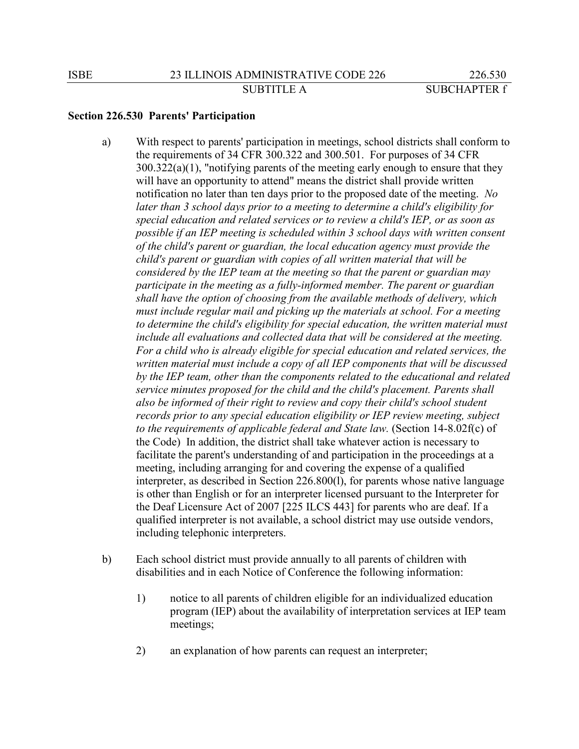#### **Section 226.530 Parents' Participation**

- a) With respect to parents' participation in meetings, school districts shall conform to the requirements of 34 CFR 300.322 and 300.501. For purposes of 34 CFR 300.322(a)(1), "notifying parents of the meeting early enough to ensure that they will have an opportunity to attend" means the district shall provide written notification no later than ten days prior to the proposed date of the meeting. *No later than 3 school days prior to a meeting to determine a child's eligibility for special education and related services or to review a child's IEP, or as soon as possible if an IEP meeting is scheduled within 3 school days with written consent of the child's parent or guardian, the local education agency must provide the child's parent or guardian with copies of all written material that will be considered by the IEP team at the meeting so that the parent or guardian may participate in the meeting as a fully-informed member. The parent or guardian shall have the option of choosing from the available methods of delivery, which must include regular mail and picking up the materials at school. For a meeting to determine the child's eligibility for special education, the written material must include all evaluations and collected data that will be considered at the meeting. For a child who is already eligible for special education and related services, the written material must include a copy of all IEP components that will be discussed by the IEP team, other than the components related to the educational and related service minutes proposed for the child and the child's placement. Parents shall also be informed of their right to review and copy their child's school student records prior to any special education eligibility or IEP review meeting, subject to the requirements of applicable federal and State law.* (Section 14-8.02f(c) of the Code) In addition, the district shall take whatever action is necessary to facilitate the parent's understanding of and participation in the proceedings at a meeting, including arranging for and covering the expense of a qualified interpreter, as described in Section 226.800(l), for parents whose native language is other than English or for an interpreter licensed pursuant to the Interpreter for the Deaf Licensure Act of 2007 [225 ILCS 443] for parents who are deaf. If a qualified interpreter is not available, a school district may use outside vendors, including telephonic interpreters.
- b) Each school district must provide annually to all parents of children with disabilities and in each Notice of Conference the following information:
	- 1) notice to all parents of children eligible for an individualized education program (IEP) about the availability of interpretation services at IEP team meetings;
	- 2) an explanation of how parents can request an interpreter;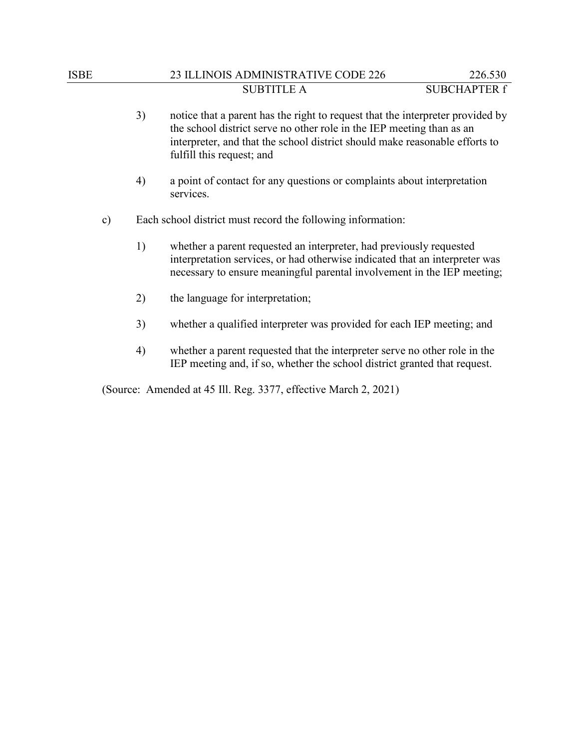# ISBE 23 ILLINOIS ADMINISTRATIVE CODE 226 226.530 SUBTITLE A SUBCHAPTER f

- 3) notice that a parent has the right to request that the interpreter provided by the school district serve no other role in the IEP meeting than as an interpreter, and that the school district should make reasonable efforts to fulfill this request; and 4) a point of contact for any questions or complaints about interpretation services. c) Each school district must record the following information: 1) whether a parent requested an interpreter, had previously requested interpretation services, or had otherwise indicated that an interpreter was necessary to ensure meaningful parental involvement in the IEP meeting;
	- 2) the language for interpretation;
	- 3) whether a qualified interpreter was provided for each IEP meeting; and
	- 4) whether a parent requested that the interpreter serve no other role in the IEP meeting and, if so, whether the school district granted that request.

(Source: Amended at 45 Ill. Reg. 3377, effective March 2, 2021)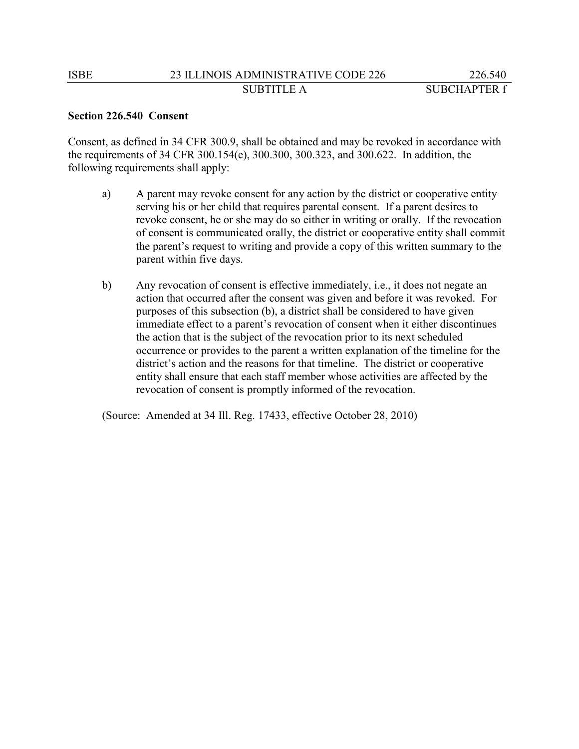### **Section 226.540 Consent**

Consent, as defined in 34 CFR 300.9, shall be obtained and may be revoked in accordance with the requirements of 34 CFR 300.154(e), 300.300, 300.323, and 300.622. In addition, the following requirements shall apply:

- a) A parent may revoke consent for any action by the district or cooperative entity serving his or her child that requires parental consent. If a parent desires to revoke consent, he or she may do so either in writing or orally. If the revocation of consent is communicated orally, the district or cooperative entity shall commit the parent's request to writing and provide a copy of this written summary to the parent within five days.
- b) Any revocation of consent is effective immediately, i.e., it does not negate an action that occurred after the consent was given and before it was revoked. For purposes of this subsection (b), a district shall be considered to have given immediate effect to a parent's revocation of consent when it either discontinues the action that is the subject of the revocation prior to its next scheduled occurrence or provides to the parent a written explanation of the timeline for the district's action and the reasons for that timeline. The district or cooperative entity shall ensure that each staff member whose activities are affected by the revocation of consent is promptly informed of the revocation.

(Source: Amended at 34 Ill. Reg. 17433, effective October 28, 2010)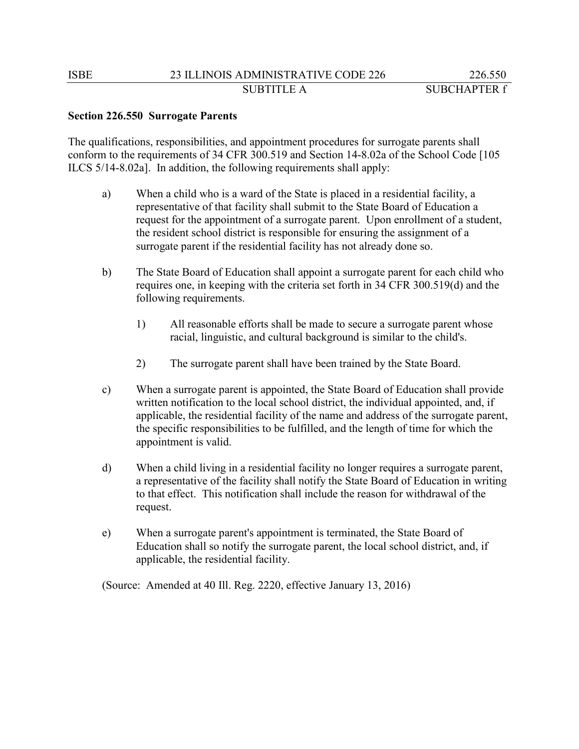### **Section 226.550 Surrogate Parents**

The qualifications, responsibilities, and appointment procedures for surrogate parents shall conform to the requirements of 34 CFR 300.519 and Section 14-8.02a of the School Code [105 ILCS 5/14-8.02a]. In addition, the following requirements shall apply:

- a) When a child who is a ward of the State is placed in a residential facility, a representative of that facility shall submit to the State Board of Education a request for the appointment of a surrogate parent. Upon enrollment of a student, the resident school district is responsible for ensuring the assignment of a surrogate parent if the residential facility has not already done so.
- b) The State Board of Education shall appoint a surrogate parent for each child who requires one, in keeping with the criteria set forth in 34 CFR 300.519(d) and the following requirements.
	- 1) All reasonable efforts shall be made to secure a surrogate parent whose racial, linguistic, and cultural background is similar to the child's.
	- 2) The surrogate parent shall have been trained by the State Board.
- c) When a surrogate parent is appointed, the State Board of Education shall provide written notification to the local school district, the individual appointed, and, if applicable, the residential facility of the name and address of the surrogate parent, the specific responsibilities to be fulfilled, and the length of time for which the appointment is valid.
- d) When a child living in a residential facility no longer requires a surrogate parent, a representative of the facility shall notify the State Board of Education in writing to that effect. This notification shall include the reason for withdrawal of the request.
- e) When a surrogate parent's appointment is terminated, the State Board of Education shall so notify the surrogate parent, the local school district, and, if applicable, the residential facility.

(Source: Amended at 40 Ill. Reg. 2220, effective January 13, 2016)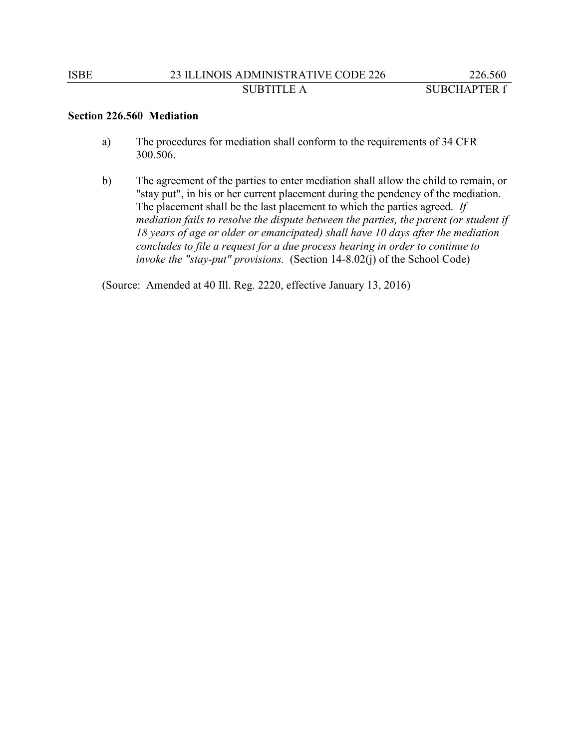### **Section 226.560 Mediation**

- a) The procedures for mediation shall conform to the requirements of 34 CFR 300.506.
- b) The agreement of the parties to enter mediation shall allow the child to remain, or "stay put", in his or her current placement during the pendency of the mediation. The placement shall be the last placement to which the parties agreed. *If mediation fails to resolve the dispute between the parties, the parent (or student if 18 years of age or older or emancipated) shall have 10 days after the mediation concludes to file a request for a due process hearing in order to continue to invoke the "stay-put" provisions.* (Section 14-8.02(j) of the School Code)

(Source: Amended at 40 Ill. Reg. 2220, effective January 13, 2016)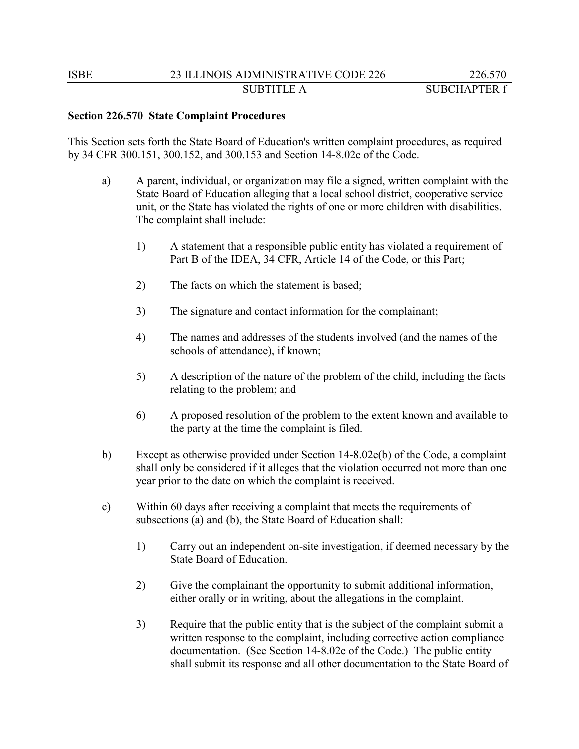### **Section 226.570 State Complaint Procedures**

This Section sets forth the State Board of Education's written complaint procedures, as required by 34 CFR 300.151, 300.152, and 300.153 and Section 14-8.02e of the Code.

- a) A parent, individual, or organization may file a signed, written complaint with the State Board of Education alleging that a local school district, cooperative service unit, or the State has violated the rights of one or more children with disabilities. The complaint shall include:
	- 1) A statement that a responsible public entity has violated a requirement of Part B of the IDEA, 34 CFR, Article 14 of the Code, or this Part;
	- 2) The facts on which the statement is based;
	- 3) The signature and contact information for the complainant;
	- 4) The names and addresses of the students involved (and the names of the schools of attendance), if known;
	- 5) A description of the nature of the problem of the child, including the facts relating to the problem; and
	- 6) A proposed resolution of the problem to the extent known and available to the party at the time the complaint is filed.
- b) Except as otherwise provided under Section 14-8.02e(b) of the Code, a complaint shall only be considered if it alleges that the violation occurred not more than one year prior to the date on which the complaint is received.
- c) Within 60 days after receiving a complaint that meets the requirements of subsections (a) and (b), the State Board of Education shall:
	- 1) Carry out an independent on-site investigation, if deemed necessary by the State Board of Education.
	- 2) Give the complainant the opportunity to submit additional information, either orally or in writing, about the allegations in the complaint.
	- 3) Require that the public entity that is the subject of the complaint submit a written response to the complaint, including corrective action compliance documentation. (See Section 14-8.02e of the Code.) The public entity shall submit its response and all other documentation to the State Board of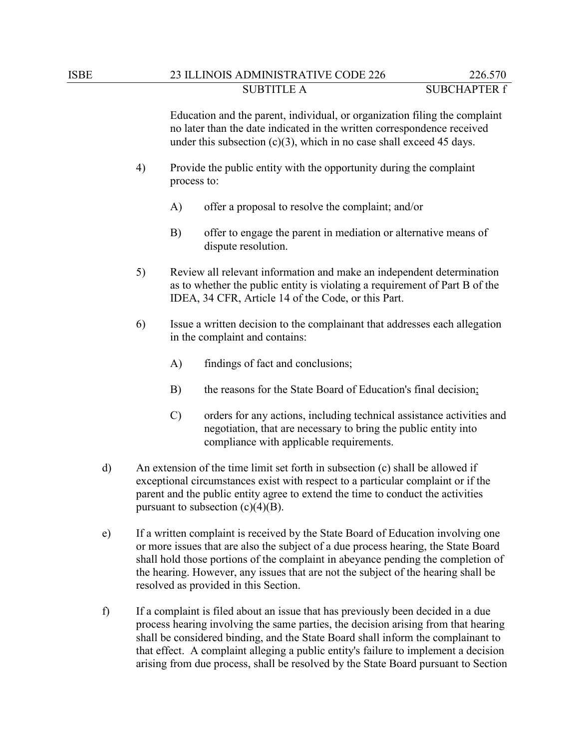Education and the parent, individual, or organization filing the complaint no later than the date indicated in the written correspondence received under this subsection  $(c)(3)$ , which in no case shall exceed 45 days.

- 4) Provide the public entity with the opportunity during the complaint process to:
	- A) offer a proposal to resolve the complaint; and/or
	- B) offer to engage the parent in mediation or alternative means of dispute resolution.
- 5) Review all relevant information and make an independent determination as to whether the public entity is violating a requirement of Part B of the IDEA, 34 CFR, Article 14 of the Code, or this Part.
- 6) Issue a written decision to the complainant that addresses each allegation in the complaint and contains:
	- A) findings of fact and conclusions;
	- B) the reasons for the State Board of Education's final decision;
	- C) orders for any actions, including technical assistance activities and negotiation, that are necessary to bring the public entity into compliance with applicable requirements.
- d) An extension of the time limit set forth in subsection (c) shall be allowed if exceptional circumstances exist with respect to a particular complaint or if the parent and the public entity agree to extend the time to conduct the activities pursuant to subsection  $(c)(4)(B)$ .
- e) If a written complaint is received by the State Board of Education involving one or more issues that are also the subject of a due process hearing, the State Board shall hold those portions of the complaint in abeyance pending the completion of the hearing. However, any issues that are not the subject of the hearing shall be resolved as provided in this Section.
- f) If a complaint is filed about an issue that has previously been decided in a due process hearing involving the same parties, the decision arising from that hearing shall be considered binding, and the State Board shall inform the complainant to that effect. A complaint alleging a public entity's failure to implement a decision arising from due process, shall be resolved by the State Board pursuant to Section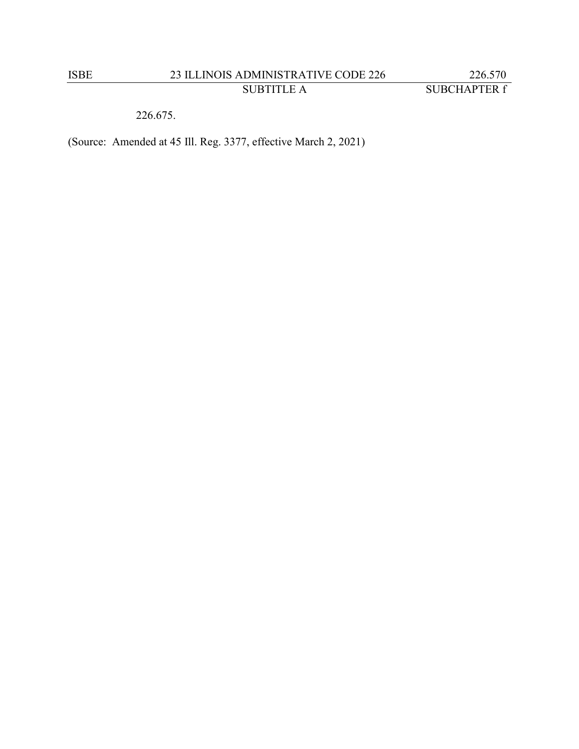226.675.

(Source: Amended at 45 Ill. Reg. 3377, effective March 2, 2021)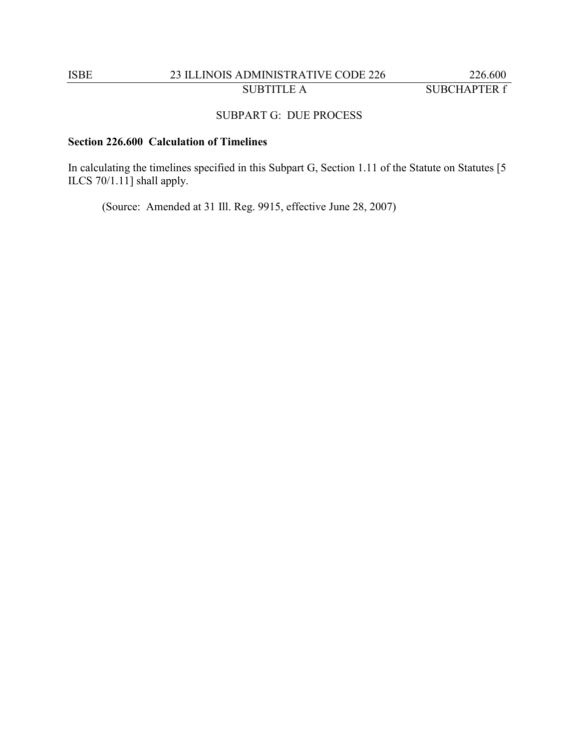# ISBE 23 ILLINOIS ADMINISTRATIVE CODE 226 226.600 SUBTITLE A SUBCHAPTER f

# SUBPART G: DUE PROCESS

# **Section 226.600 Calculation of Timelines**

In calculating the timelines specified in this Subpart G, Section 1.11 of the Statute on Statutes [5 ILCS 70/1.11] shall apply.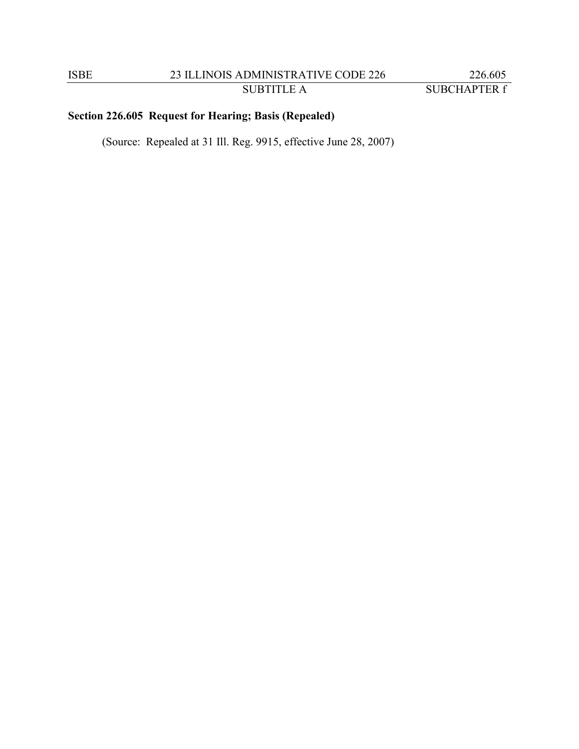# **Section 226.605 Request for Hearing; Basis (Repealed)**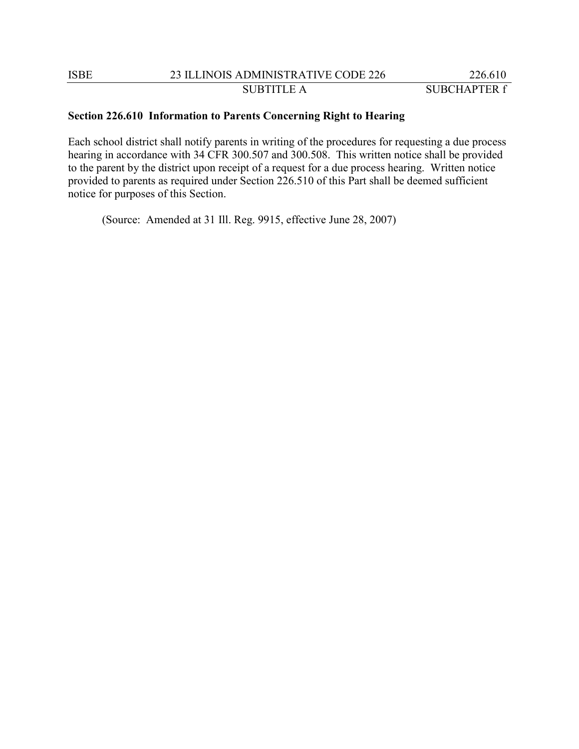### **Section 226.610 Information to Parents Concerning Right to Hearing**

Each school district shall notify parents in writing of the procedures for requesting a due process hearing in accordance with 34 CFR 300.507 and 300.508. This written notice shall be provided to the parent by the district upon receipt of a request for a due process hearing. Written notice provided to parents as required under Section 226.510 of this Part shall be deemed sufficient notice for purposes of this Section.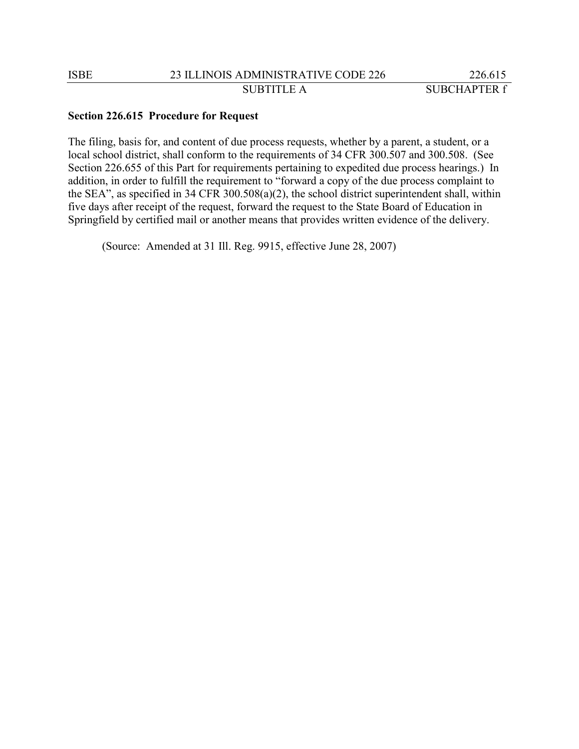#### **Section 226.615 Procedure for Request**

The filing, basis for, and content of due process requests, whether by a parent, a student, or a local school district, shall conform to the requirements of 34 CFR 300.507 and 300.508. (See Section 226.655 of this Part for requirements pertaining to expedited due process hearings.) In addition, in order to fulfill the requirement to "forward a copy of the due process complaint to the SEA", as specified in 34 CFR 300.508(a)(2), the school district superintendent shall, within five days after receipt of the request, forward the request to the State Board of Education in Springfield by certified mail or another means that provides written evidence of the delivery.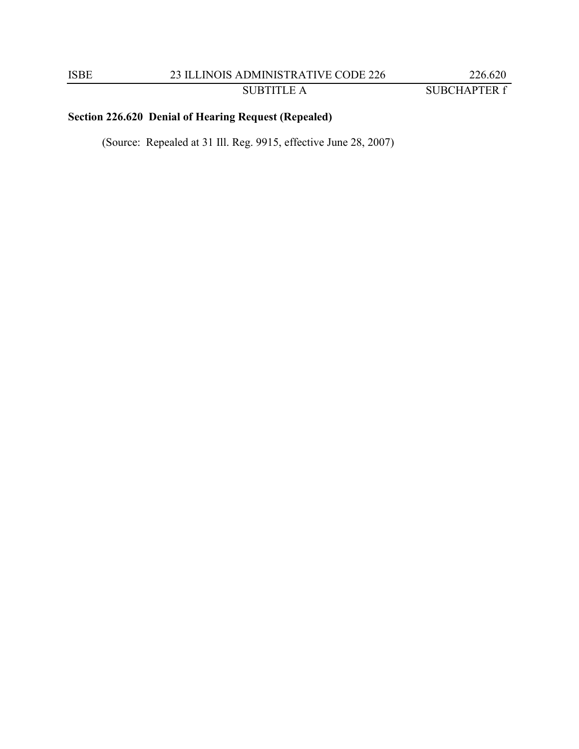SUBTITLE A SUBCHAPTER f

# **Section 226.620 Denial of Hearing Request (Repealed)**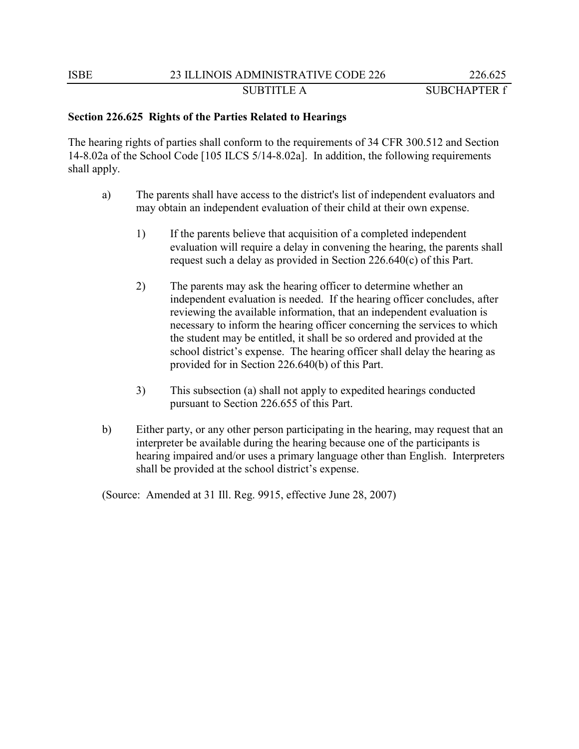SUBTITLE A SUBCHAPTER f

### **Section 226.625 Rights of the Parties Related to Hearings**

The hearing rights of parties shall conform to the requirements of 34 CFR 300.512 and Section 14-8.02a of the School Code [105 ILCS 5/14-8.02a]. In addition, the following requirements shall apply.

- a) The parents shall have access to the district's list of independent evaluators and may obtain an independent evaluation of their child at their own expense.
	- 1) If the parents believe that acquisition of a completed independent evaluation will require a delay in convening the hearing, the parents shall request such a delay as provided in Section 226.640(c) of this Part.
	- 2) The parents may ask the hearing officer to determine whether an independent evaluation is needed. If the hearing officer concludes, after reviewing the available information, that an independent evaluation is necessary to inform the hearing officer concerning the services to which the student may be entitled, it shall be so ordered and provided at the school district's expense. The hearing officer shall delay the hearing as provided for in Section 226.640(b) of this Part.
	- 3) This subsection (a) shall not apply to expedited hearings conducted pursuant to Section 226.655 of this Part.
- b) Either party, or any other person participating in the hearing, may request that an interpreter be available during the hearing because one of the participants is hearing impaired and/or uses a primary language other than English. Interpreters shall be provided at the school district's expense.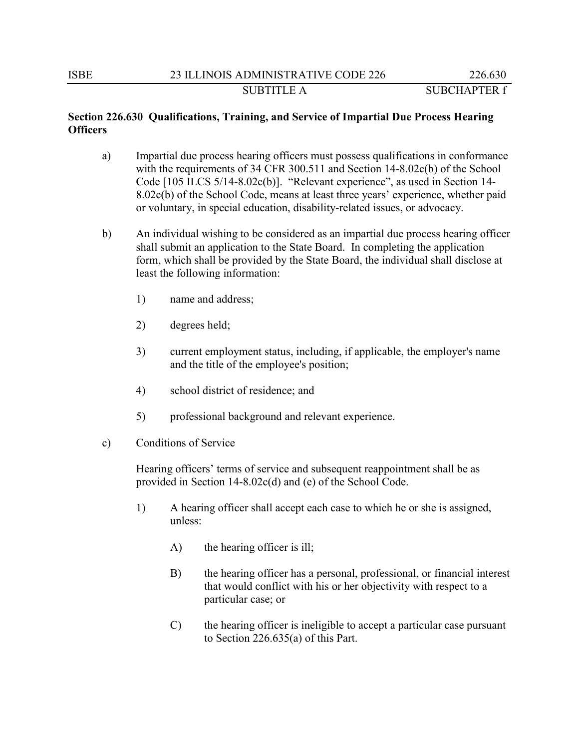# **Section 226.630 Qualifications, Training, and Service of Impartial Due Process Hearing Officers**

- a) Impartial due process hearing officers must possess qualifications in conformance with the requirements of 34 CFR 300.511 and Section 14-8.02c(b) of the School Code [105 ILCS 5/14-8.02c(b)]. "Relevant experience", as used in Section 14- 8.02c(b) of the School Code, means at least three years' experience, whether paid or voluntary, in special education, disability-related issues, or advocacy.
- b) An individual wishing to be considered as an impartial due process hearing officer shall submit an application to the State Board. In completing the application form, which shall be provided by the State Board, the individual shall disclose at least the following information:
	- 1) name and address;
	- 2) degrees held;
	- 3) current employment status, including, if applicable, the employer's name and the title of the employee's position;
	- 4) school district of residence; and
	- 5) professional background and relevant experience.
- c) Conditions of Service

Hearing officers' terms of service and subsequent reappointment shall be as provided in Section 14-8.02c(d) and (e) of the School Code.

- 1) A hearing officer shall accept each case to which he or she is assigned, unless:
	- A) the hearing officer is ill;
	- B) the hearing officer has a personal, professional, or financial interest that would conflict with his or her objectivity with respect to a particular case; or
	- C) the hearing officer is ineligible to accept a particular case pursuant to Section 226.635(a) of this Part.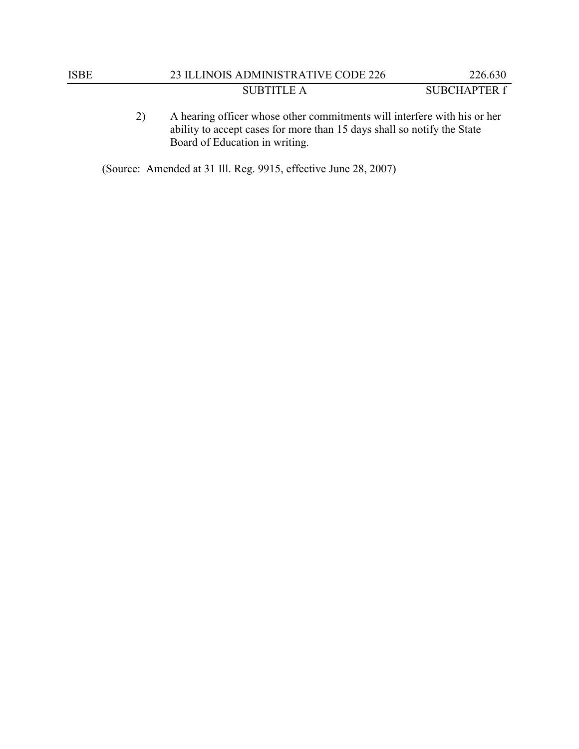- 
- 2) A hearing officer whose other commitments will interfere with his or her ability to accept cases for more than 15 days shall so notify the State Board of Education in writing.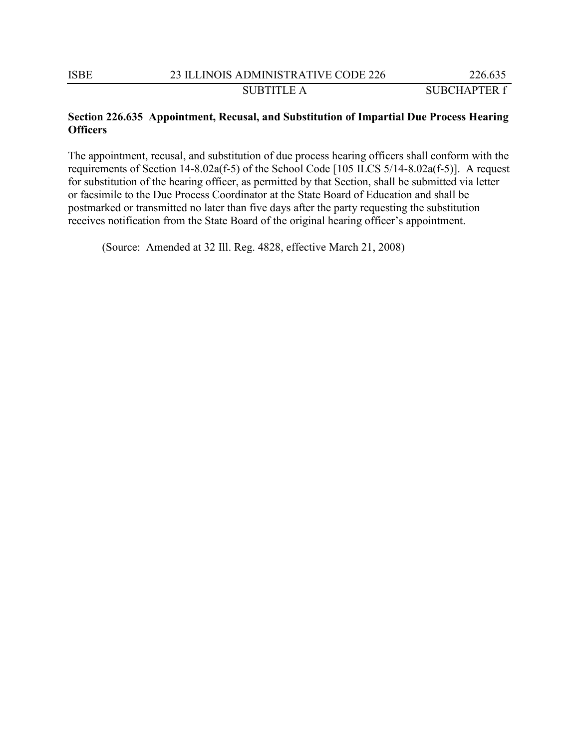## **Section 226.635 Appointment, Recusal, and Substitution of Impartial Due Process Hearing Officers**

The appointment, recusal, and substitution of due process hearing officers shall conform with the requirements of Section 14-8.02a(f-5) of the School Code [105 ILCS 5/14-8.02a(f-5)]. A request for substitution of the hearing officer, as permitted by that Section, shall be submitted via letter or facsimile to the Due Process Coordinator at the State Board of Education and shall be postmarked or transmitted no later than five days after the party requesting the substitution receives notification from the State Board of the original hearing officer's appointment.

(Source: Amended at 32 Ill. Reg. 4828, effective March 21, 2008)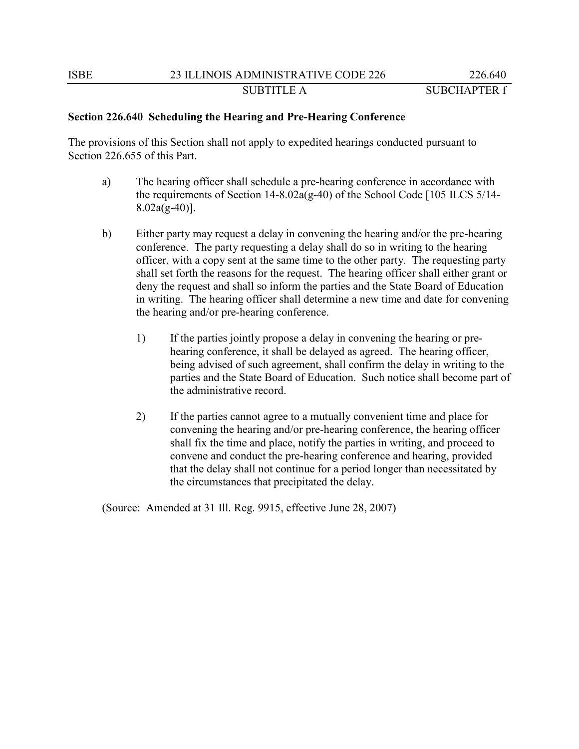# **Section 226.640 Scheduling the Hearing and Pre-Hearing Conference**

The provisions of this Section shall not apply to expedited hearings conducted pursuant to Section 226.655 of this Part.

- a) The hearing officer shall schedule a pre-hearing conference in accordance with the requirements of Section 14-8.02a(g-40) of the School Code [105 ILCS 5/14- $8.02a(g-40)$ ].
- b) Either party may request a delay in convening the hearing and/or the pre-hearing conference. The party requesting a delay shall do so in writing to the hearing officer, with a copy sent at the same time to the other party. The requesting party shall set forth the reasons for the request. The hearing officer shall either grant or deny the request and shall so inform the parties and the State Board of Education in writing. The hearing officer shall determine a new time and date for convening the hearing and/or pre-hearing conference.
	- 1) If the parties jointly propose a delay in convening the hearing or prehearing conference, it shall be delayed as agreed. The hearing officer, being advised of such agreement, shall confirm the delay in writing to the parties and the State Board of Education. Such notice shall become part of the administrative record.
	- 2) If the parties cannot agree to a mutually convenient time and place for convening the hearing and/or pre-hearing conference, the hearing officer shall fix the time and place, notify the parties in writing, and proceed to convene and conduct the pre-hearing conference and hearing, provided that the delay shall not continue for a period longer than necessitated by the circumstances that precipitated the delay.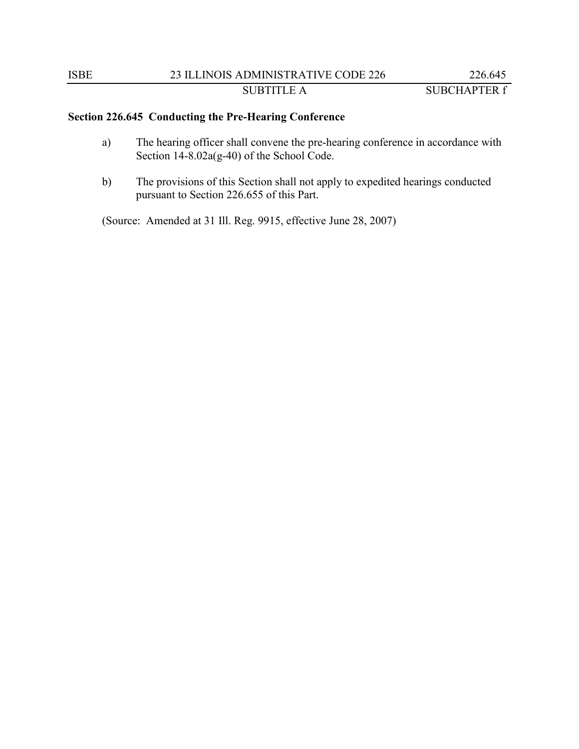# **Section 226.645 Conducting the Pre-Hearing Conference**

- a) The hearing officer shall convene the pre-hearing conference in accordance with Section 14-8.02a(g-40) of the School Code.
- b) The provisions of this Section shall not apply to expedited hearings conducted pursuant to Section 226.655 of this Part.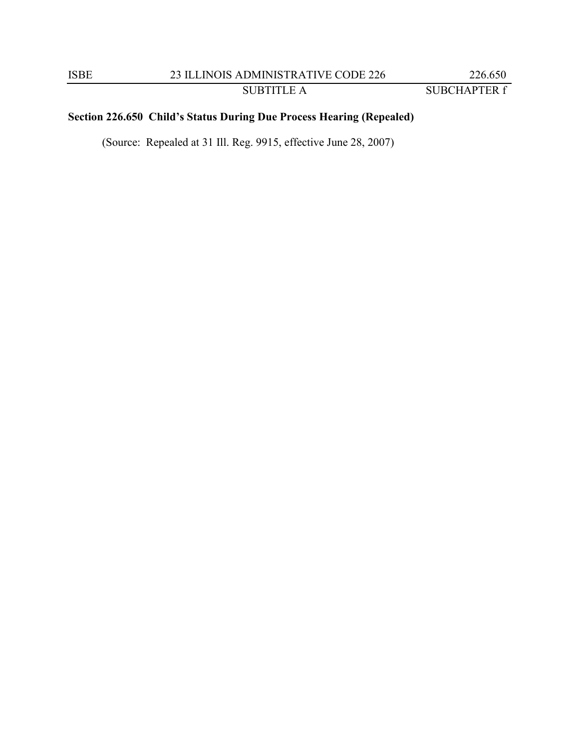# **Section 226.650 Child's Status During Due Process Hearing (Repealed)**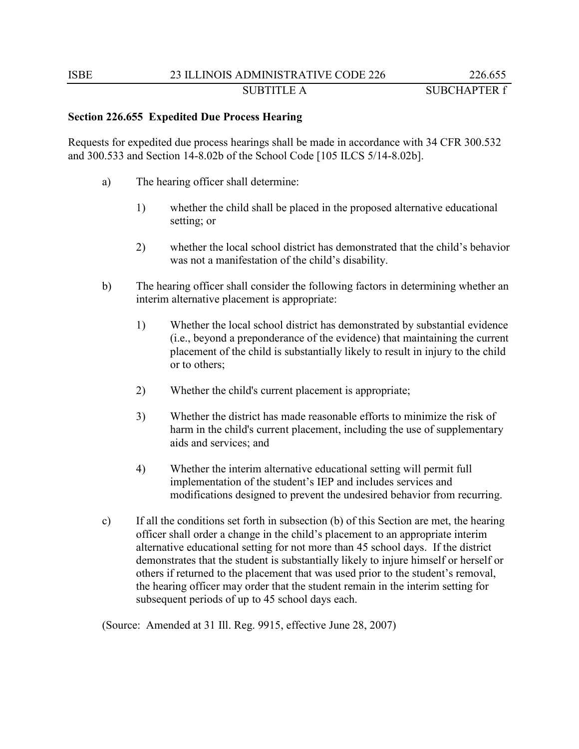## **Section 226.655 Expedited Due Process Hearing**

Requests for expedited due process hearings shall be made in accordance with 34 CFR 300.532 and 300.533 and Section 14-8.02b of the School Code [105 ILCS 5/14-8.02b].

- a) The hearing officer shall determine:
	- 1) whether the child shall be placed in the proposed alternative educational setting; or
	- 2) whether the local school district has demonstrated that the child's behavior was not a manifestation of the child's disability.
- b) The hearing officer shall consider the following factors in determining whether an interim alternative placement is appropriate:
	- 1) Whether the local school district has demonstrated by substantial evidence (i.e., beyond a preponderance of the evidence) that maintaining the current placement of the child is substantially likely to result in injury to the child or to others;
	- 2) Whether the child's current placement is appropriate;
	- 3) Whether the district has made reasonable efforts to minimize the risk of harm in the child's current placement, including the use of supplementary aids and services; and
	- 4) Whether the interim alternative educational setting will permit full implementation of the student's IEP and includes services and modifications designed to prevent the undesired behavior from recurring.
- c) If all the conditions set forth in subsection (b) of this Section are met, the hearing officer shall order a change in the child's placement to an appropriate interim alternative educational setting for not more than 45 school days. If the district demonstrates that the student is substantially likely to injure himself or herself or others if returned to the placement that was used prior to the student's removal, the hearing officer may order that the student remain in the interim setting for subsequent periods of up to 45 school days each.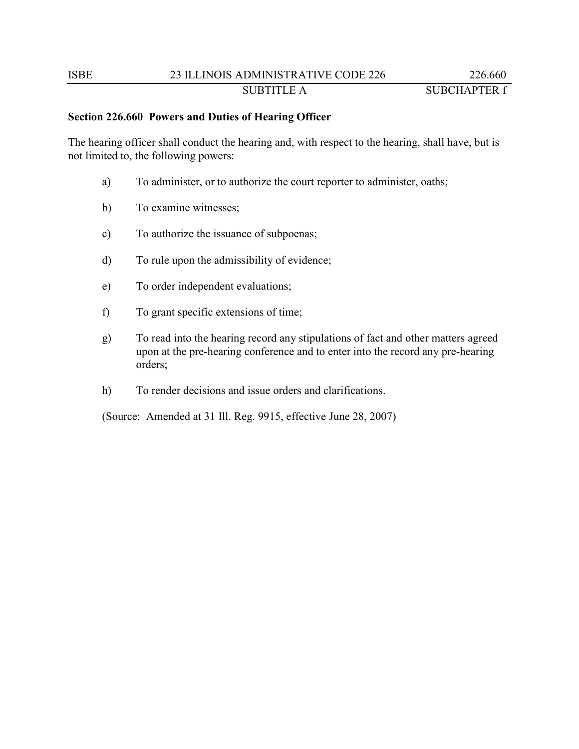# ISBE 23 ILLINOIS ADMINISTRATIVE CODE 226 226.660 SUBTITLE A SUBCHAPTER f

## **Section 226.660 Powers and Duties of Hearing Officer**

The hearing officer shall conduct the hearing and, with respect to the hearing, shall have, but is not limited to, the following powers:

- a) To administer, or to authorize the court reporter to administer, oaths;
- b) To examine witnesses;
- c) To authorize the issuance of subpoenas;
- d) To rule upon the admissibility of evidence;
- e) To order independent evaluations;
- f) To grant specific extensions of time;
- g) To read into the hearing record any stipulations of fact and other matters agreed upon at the pre-hearing conference and to enter into the record any pre-hearing orders;
- h) To render decisions and issue orders and clarifications.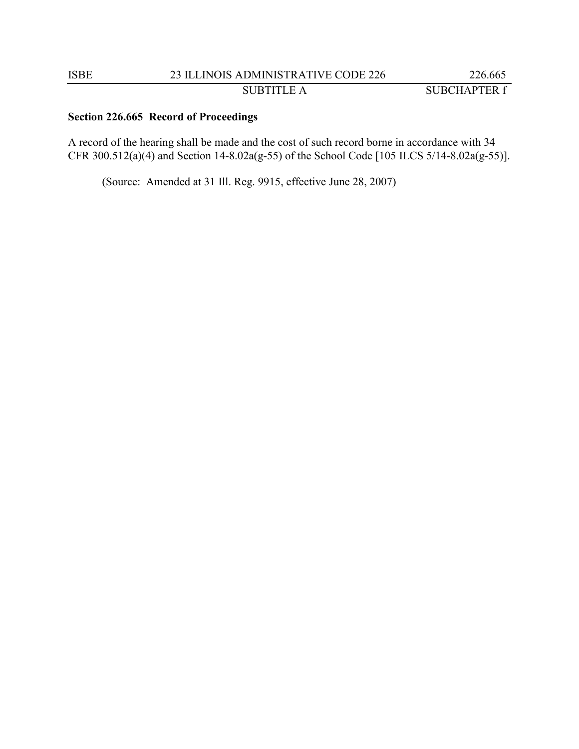# **Section 226.665 Record of Proceedings**

A record of the hearing shall be made and the cost of such record borne in accordance with 34 CFR 300.512(a)(4) and Section 14-8.02a(g-55) of the School Code [105 ILCS 5/14-8.02a(g-55)].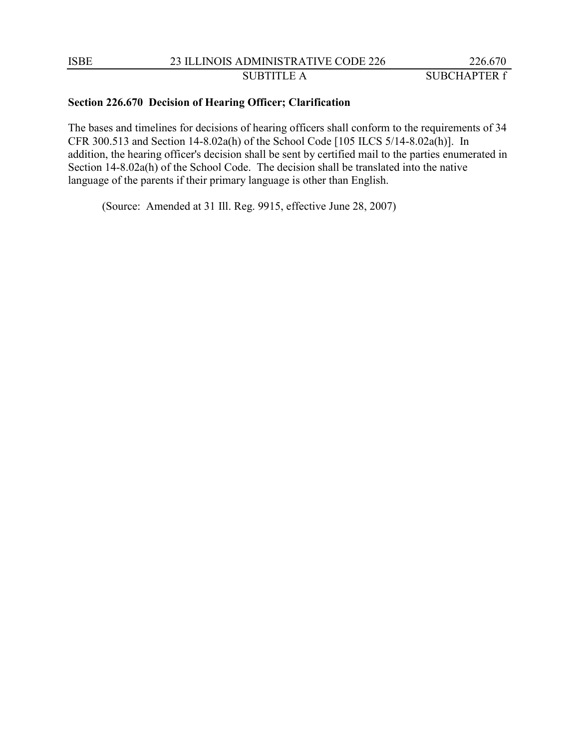### **Section 226.670 Decision of Hearing Officer; Clarification**

The bases and timelines for decisions of hearing officers shall conform to the requirements of 34 CFR 300.513 and Section 14-8.02a(h) of the School Code [105 ILCS 5/14-8.02a(h)]. In addition, the hearing officer's decision shall be sent by certified mail to the parties enumerated in Section 14-8.02a(h) of the School Code. The decision shall be translated into the native language of the parents if their primary language is other than English.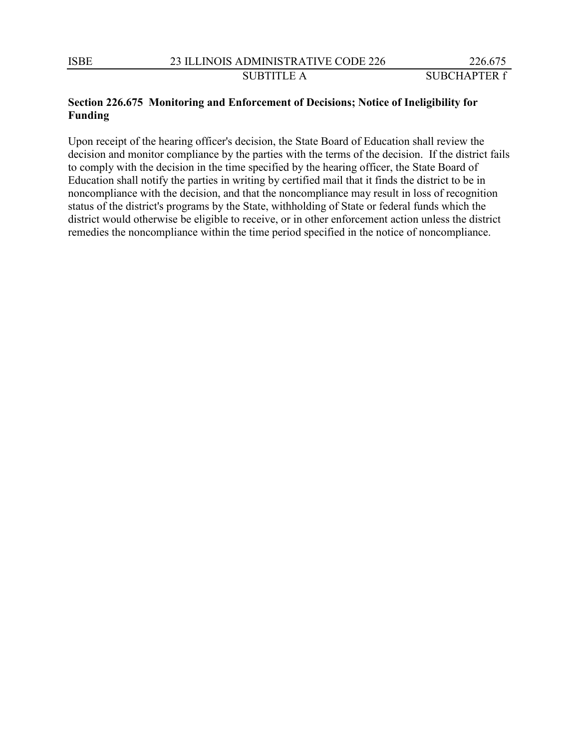# **Section 226.675 Monitoring and Enforcement of Decisions; Notice of Ineligibility for Funding**

Upon receipt of the hearing officer's decision, the State Board of Education shall review the decision and monitor compliance by the parties with the terms of the decision. If the district fails to comply with the decision in the time specified by the hearing officer, the State Board of Education shall notify the parties in writing by certified mail that it finds the district to be in noncompliance with the decision, and that the noncompliance may result in loss of recognition status of the district's programs by the State, withholding of State or federal funds which the district would otherwise be eligible to receive, or in other enforcement action unless the district remedies the noncompliance within the time period specified in the notice of noncompliance.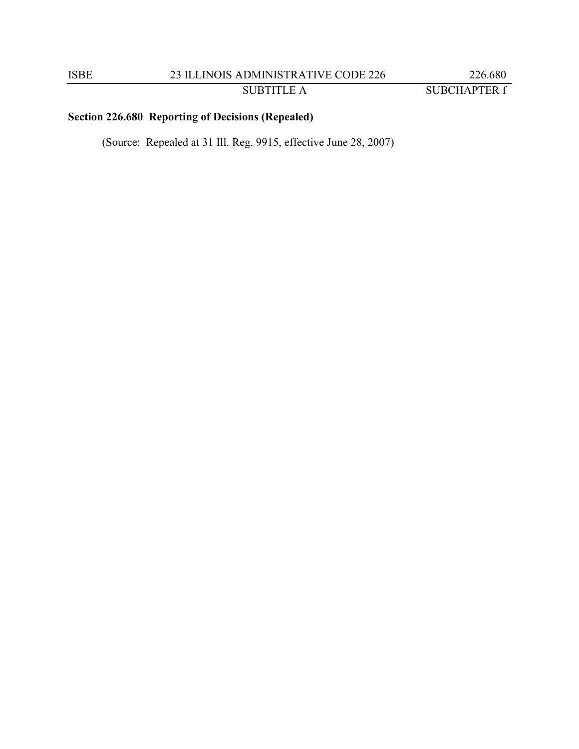# **Section 226.680 Reporting of Decisions (Repealed)**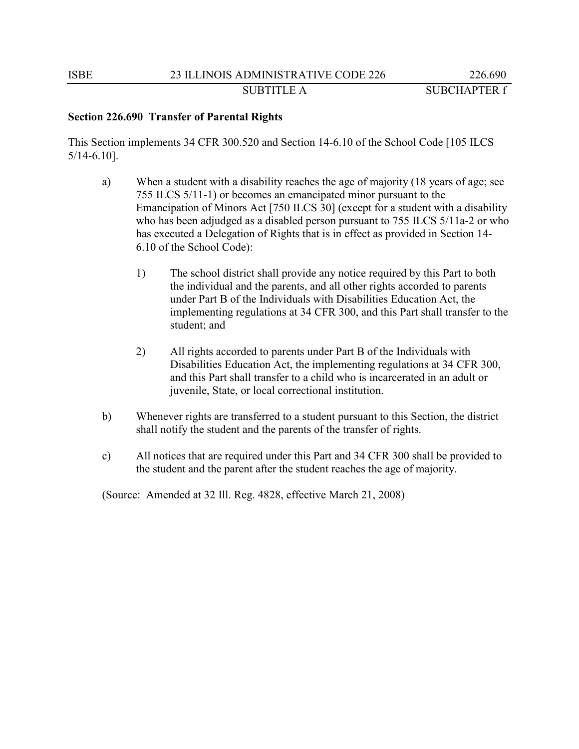# **Section 226.690 Transfer of Parental Rights**

This Section implements 34 CFR 300.520 and Section 14-6.10 of the School Code [105 ILCS 5/14-6.10].

- a) When a student with a disability reaches the age of majority (18 years of age; see 755 ILCS 5/11-1) or becomes an emancipated minor pursuant to the Emancipation of Minors Act [750 ILCS 30] (except for a student with a disability who has been adjudged as a disabled person pursuant to 755 ILCS 5/11a-2 or who has executed a Delegation of Rights that is in effect as provided in Section 14- 6.10 of the School Code):
	- 1) The school district shall provide any notice required by this Part to both the individual and the parents, and all other rights accorded to parents under Part B of the Individuals with Disabilities Education Act, the implementing regulations at 34 CFR 300, and this Part shall transfer to the student; and
	- 2) All rights accorded to parents under Part B of the Individuals with Disabilities Education Act, the implementing regulations at 34 CFR 300, and this Part shall transfer to a child who is incarcerated in an adult or juvenile, State, or local correctional institution.
- b) Whenever rights are transferred to a student pursuant to this Section, the district shall notify the student and the parents of the transfer of rights.
- c) All notices that are required under this Part and 34 CFR 300 shall be provided to the student and the parent after the student reaches the age of majority.

(Source: Amended at 32 Ill. Reg. 4828, effective March 21, 2008)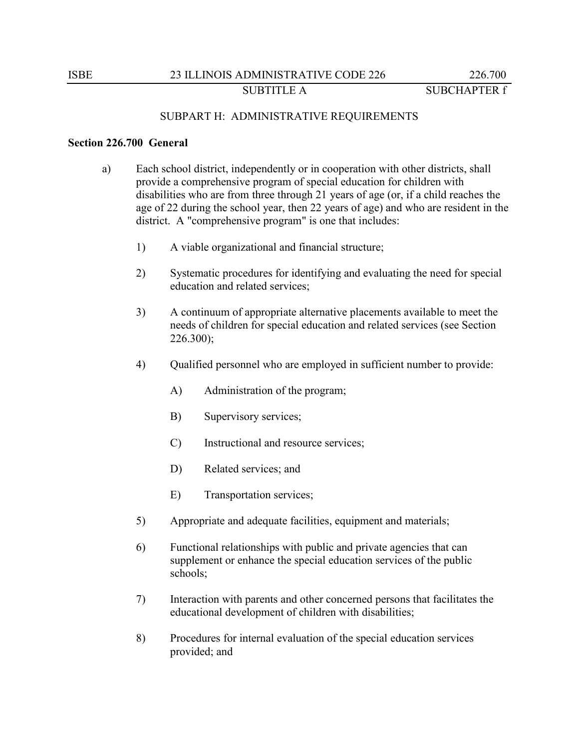# SUBPART H: ADMINISTRATIVE REQUIREMENTS

#### **Section 226.700 General**

- a) Each school district, independently or in cooperation with other districts, shall provide a comprehensive program of special education for children with disabilities who are from three through 21 years of age (or, if a child reaches the age of 22 during the school year, then 22 years of age) and who are resident in the district. A "comprehensive program" is one that includes:
	- 1) A viable organizational and financial structure;
	- 2) Systematic procedures for identifying and evaluating the need for special education and related services;
	- 3) A continuum of appropriate alternative placements available to meet the needs of children for special education and related services (see Section 226.300);
	- 4) Qualified personnel who are employed in sufficient number to provide:
		- A) Administration of the program;
		- B) Supervisory services;
		- C) Instructional and resource services;
		- D) Related services; and
		- E) Transportation services;
	- 5) Appropriate and adequate facilities, equipment and materials;
	- 6) Functional relationships with public and private agencies that can supplement or enhance the special education services of the public schools;
	- 7) Interaction with parents and other concerned persons that facilitates the educational development of children with disabilities;
	- 8) Procedures for internal evaluation of the special education services provided; and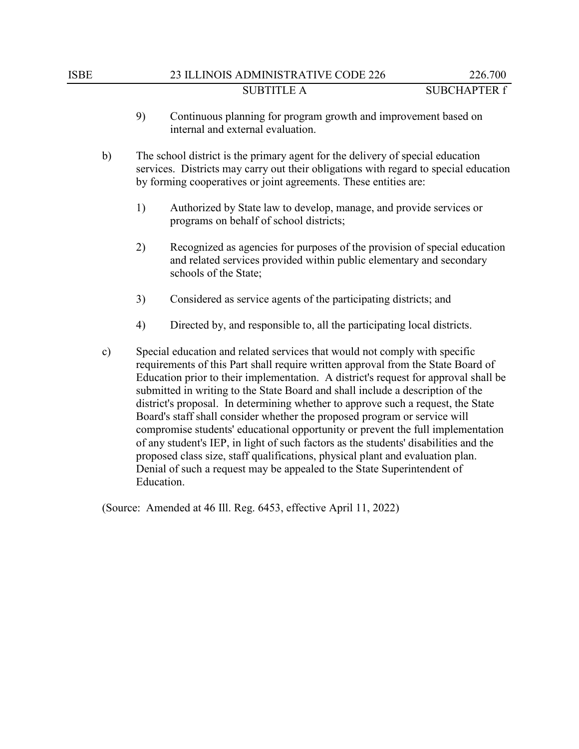- 9) Continuous planning for program growth and improvement based on internal and external evaluation.
- b) The school district is the primary agent for the delivery of special education services. Districts may carry out their obligations with regard to special education by forming cooperatives or joint agreements. These entities are:
	- 1) Authorized by State law to develop, manage, and provide services or programs on behalf of school districts;
	- 2) Recognized as agencies for purposes of the provision of special education and related services provided within public elementary and secondary schools of the State;
	- 3) Considered as service agents of the participating districts; and
	- 4) Directed by, and responsible to, all the participating local districts.
- c) Special education and related services that would not comply with specific requirements of this Part shall require written approval from the State Board of Education prior to their implementation. A district's request for approval shall be submitted in writing to the State Board and shall include a description of the district's proposal. In determining whether to approve such a request, the State Board's staff shall consider whether the proposed program or service will compromise students' educational opportunity or prevent the full implementation of any student's IEP, in light of such factors as the students' disabilities and the proposed class size, staff qualifications, physical plant and evaluation plan. Denial of such a request may be appealed to the State Superintendent of Education.

(Source: Amended at 46 Ill. Reg. 6453, effective April 11, 2022)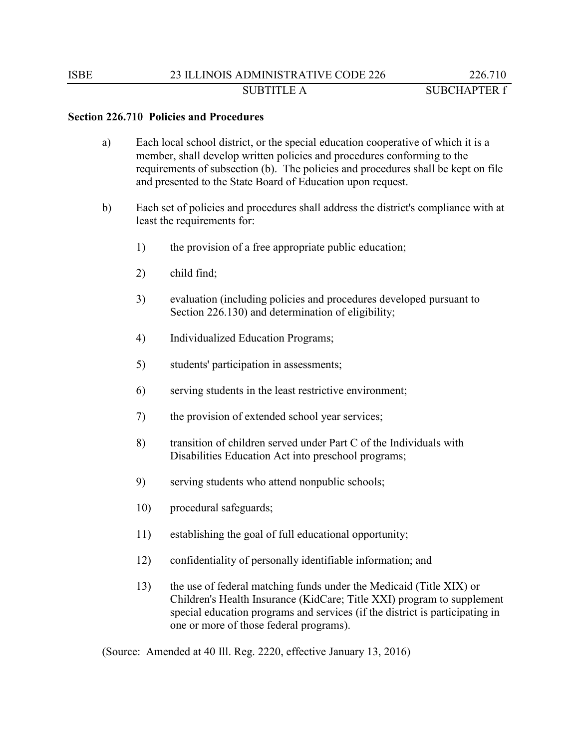#### **Section 226.710 Policies and Procedures**

- a) Each local school district, or the special education cooperative of which it is a member, shall develop written policies and procedures conforming to the requirements of subsection (b). The policies and procedures shall be kept on file and presented to the State Board of Education upon request.
- b) Each set of policies and procedures shall address the district's compliance with at least the requirements for:
	- 1) the provision of a free appropriate public education;
	- 2) child find;
	- 3) evaluation (including policies and procedures developed pursuant to Section 226.130) and determination of eligibility;
	- 4) Individualized Education Programs;
	- 5) students' participation in assessments;
	- 6) serving students in the least restrictive environment;
	- 7) the provision of extended school year services;
	- 8) transition of children served under Part C of the Individuals with Disabilities Education Act into preschool programs;
	- 9) serving students who attend nonpublic schools;
	- 10) procedural safeguards;
	- 11) establishing the goal of full educational opportunity;
	- 12) confidentiality of personally identifiable information; and
	- 13) the use of federal matching funds under the Medicaid (Title XIX) or Children's Health Insurance (KidCare; Title XXI) program to supplement special education programs and services (if the district is participating in one or more of those federal programs).

(Source: Amended at 40 Ill. Reg. 2220, effective January 13, 2016)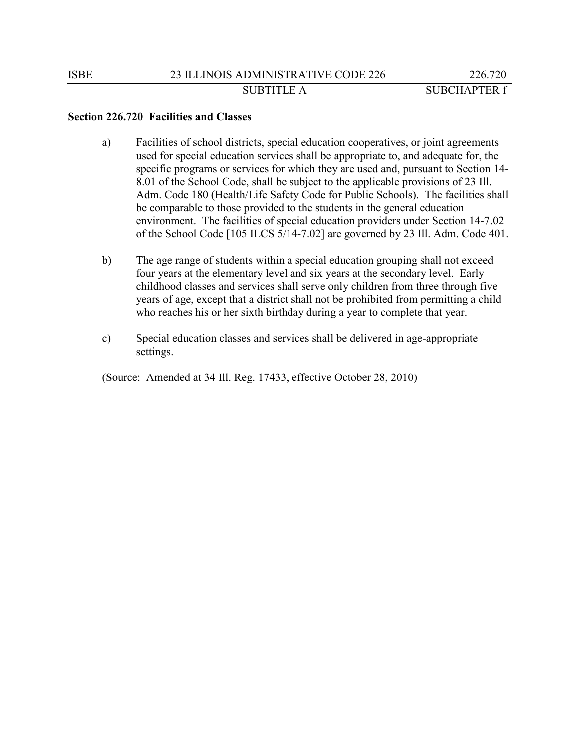#### **Section 226.720 Facilities and Classes**

- a) Facilities of school districts, special education cooperatives, or joint agreements used for special education services shall be appropriate to, and adequate for, the specific programs or services for which they are used and, pursuant to Section 14- 8.01 of the School Code, shall be subject to the applicable provisions of 23 Ill. Adm. Code 180 (Health/Life Safety Code for Public Schools). The facilities shall be comparable to those provided to the students in the general education environment. The facilities of special education providers under Section 14-7.02 of the School Code [105 ILCS 5/14-7.02] are governed by 23 Ill. Adm. Code 401.
- b) The age range of students within a special education grouping shall not exceed four years at the elementary level and six years at the secondary level. Early childhood classes and services shall serve only children from three through five years of age, except that a district shall not be prohibited from permitting a child who reaches his or her sixth birthday during a year to complete that year.
- c) Special education classes and services shall be delivered in age-appropriate settings.

(Source: Amended at 34 Ill. Reg. 17433, effective October 28, 2010)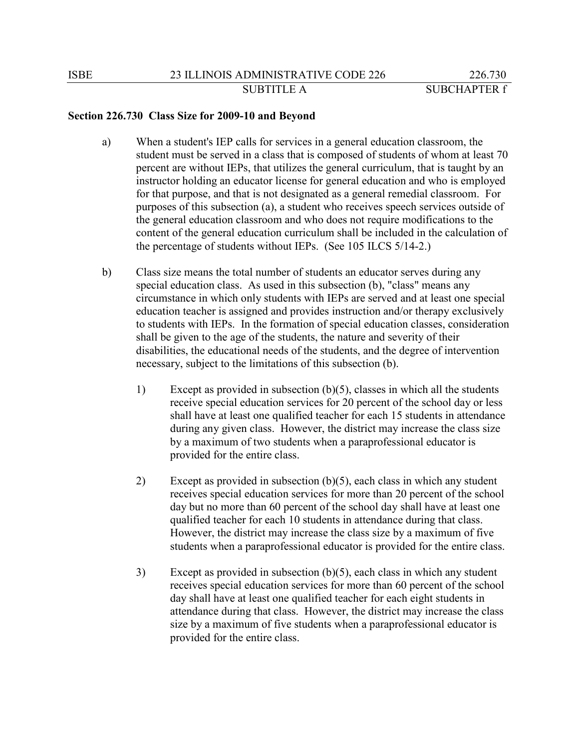# **Section 226.730 Class Size for 2009-10 and Beyond**

- a) When a student's IEP calls for services in a general education classroom, the student must be served in a class that is composed of students of whom at least 70 percent are without IEPs, that utilizes the general curriculum, that is taught by an instructor holding an educator license for general education and who is employed for that purpose, and that is not designated as a general remedial classroom. For purposes of this subsection (a), a student who receives speech services outside of the general education classroom and who does not require modifications to the content of the general education curriculum shall be included in the calculation of the percentage of students without IEPs. (See 105 ILCS 5/14-2.)
- b) Class size means the total number of students an educator serves during any special education class. As used in this subsection (b), "class" means any circumstance in which only students with IEPs are served and at least one special education teacher is assigned and provides instruction and/or therapy exclusively to students with IEPs. In the formation of special education classes, consideration shall be given to the age of the students, the nature and severity of their disabilities, the educational needs of the students, and the degree of intervention necessary, subject to the limitations of this subsection (b).
	- 1) Except as provided in subsection (b)(5), classes in which all the students receive special education services for 20 percent of the school day or less shall have at least one qualified teacher for each 15 students in attendance during any given class. However, the district may increase the class size by a maximum of two students when a paraprofessional educator is provided for the entire class.
	- 2) Except as provided in subsection (b)(5), each class in which any student receives special education services for more than 20 percent of the school day but no more than 60 percent of the school day shall have at least one qualified teacher for each 10 students in attendance during that class. However, the district may increase the class size by a maximum of five students when a paraprofessional educator is provided for the entire class.
	- 3) Except as provided in subsection (b)(5), each class in which any student receives special education services for more than 60 percent of the school day shall have at least one qualified teacher for each eight students in attendance during that class. However, the district may increase the class size by a maximum of five students when a paraprofessional educator is provided for the entire class.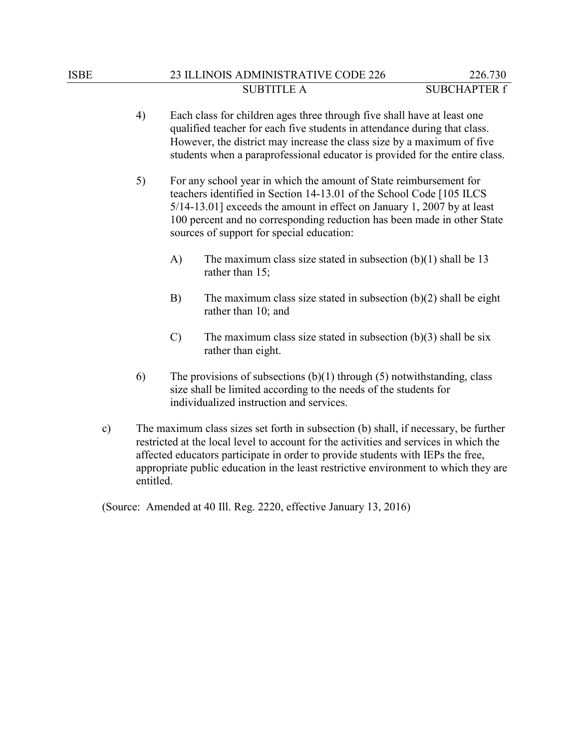- 4) Each class for children ages three through five shall have at least one qualified teacher for each five students in attendance during that class. However, the district may increase the class size by a maximum of five students when a paraprofessional educator is provided for the entire class.
- 5) For any school year in which the amount of State reimbursement for teachers identified in Section 14-13.01 of the School Code [105 ILCS 5/14-13.01] exceeds the amount in effect on January 1, 2007 by at least 100 percent and no corresponding reduction has been made in other State sources of support for special education:
	- A) The maximum class size stated in subsection (b)(1) shall be 13 rather than 15;
	- B) The maximum class size stated in subsection (b)(2) shall be eight rather than 10; and
	- C) The maximum class size stated in subsection  $(b)(3)$  shall be six rather than eight.
- 6) The provisions of subsections  $(b)(1)$  through (5) notwithstanding, class size shall be limited according to the needs of the students for individualized instruction and services.
- c) The maximum class sizes set forth in subsection (b) shall, if necessary, be further restricted at the local level to account for the activities and services in which the affected educators participate in order to provide students with IEPs the free, appropriate public education in the least restrictive environment to which they are entitled.

(Source: Amended at 40 Ill. Reg. 2220, effective January 13, 2016)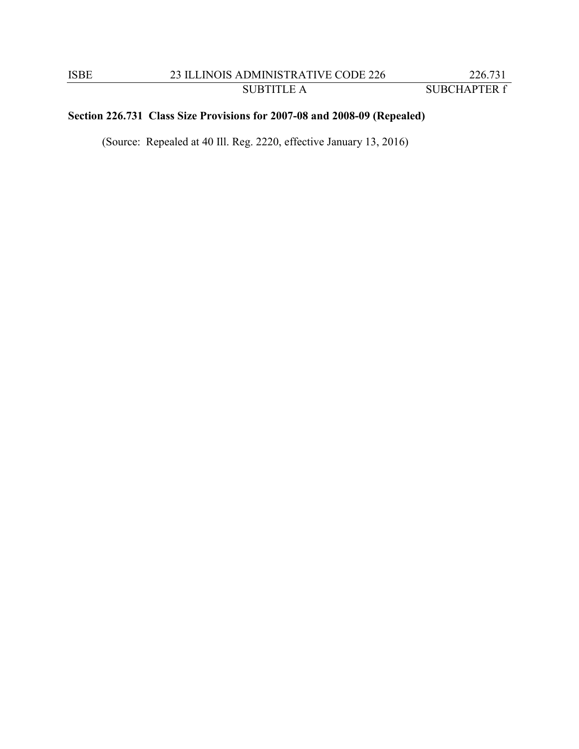# **Section 226.731 Class Size Provisions for 2007-08 and 2008-09 (Repealed)**

(Source: Repealed at 40 Ill. Reg. 2220, effective January 13, 2016)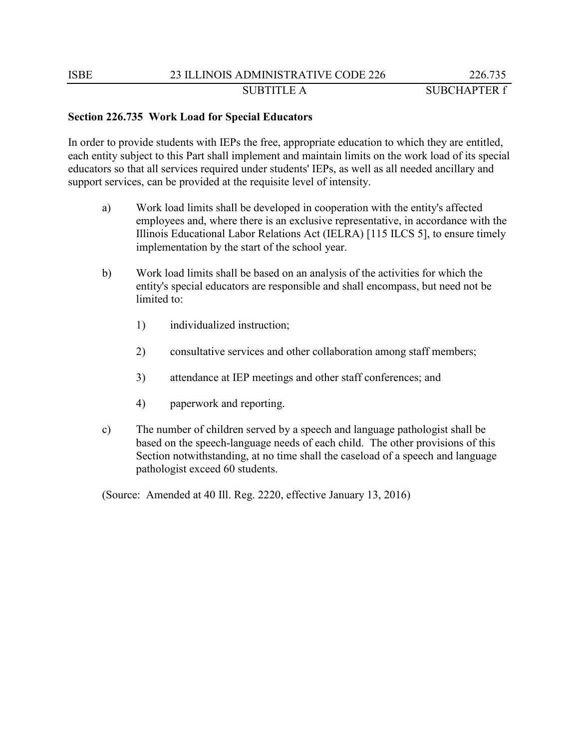### **Section 226.735 Work Load for Special Educators**

In order to provide students with IEPs the free, appropriate education to which they are entitled, each entity subject to this Part shall implement and maintain limits on the work load of its special educators so that all services required under students' IEPs, as well as all needed ancillary and support services, can be provided at the requisite level of intensity.

- a) Work load limits shall be developed in cooperation with the entity's affected employees and, where there is an exclusive representative, in accordance with the Illinois Educational Labor Relations Act (IELRA) [115 ILCS 5], to ensure timely implementation by the start of the school year.
- b) Work load limits shall be based on an analysis of the activities for which the entity's special educators are responsible and shall encompass, but need not be limited to:
	- 1) individualized instruction;
	- 2) consultative services and other collaboration among staff members;
	- 3) attendance at IEP meetings and other staff conferences; and
	- 4) paperwork and reporting.
- c) The number of children served by a speech and language pathologist shall be based on the speech-language needs of each child. The other provisions of this Section notwithstanding, at no time shall the caseload of a speech and language pathologist exceed 60 students.

(Source: Amended at 40 Ill. Reg. 2220, effective January 13, 2016)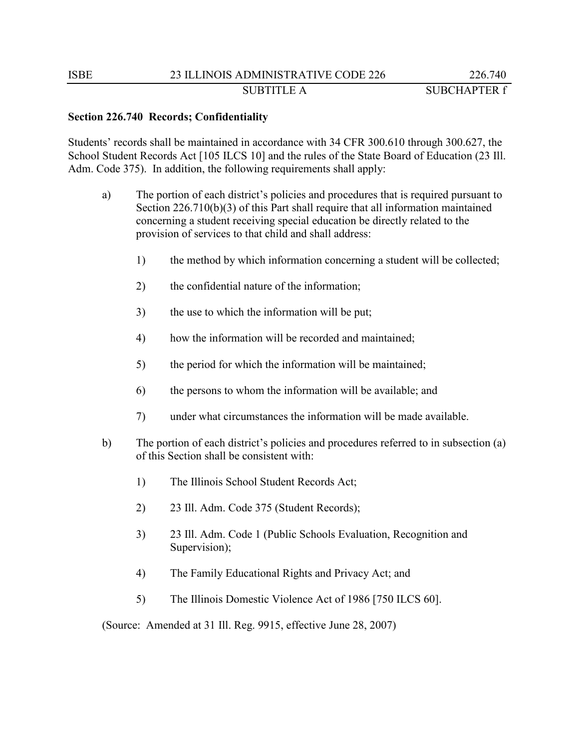### **Section 226.740 Records; Confidentiality**

Students' records shall be maintained in accordance with 34 CFR 300.610 through 300.627, the School Student Records Act [105 ILCS 10] and the rules of the State Board of Education (23 Ill. Adm. Code 375). In addition, the following requirements shall apply:

- a) The portion of each district's policies and procedures that is required pursuant to Section 226.710(b)(3) of this Part shall require that all information maintained concerning a student receiving special education be directly related to the provision of services to that child and shall address:
	- 1) the method by which information concerning a student will be collected;
	- 2) the confidential nature of the information;
	- 3) the use to which the information will be put;
	- 4) how the information will be recorded and maintained;
	- 5) the period for which the information will be maintained;
	- 6) the persons to whom the information will be available; and
	- 7) under what circumstances the information will be made available.
- b) The portion of each district's policies and procedures referred to in subsection (a) of this Section shall be consistent with:
	- 1) The Illinois School Student Records Act;
	- 2) 23 Ill. Adm. Code 375 (Student Records);
	- 3) 23 Ill. Adm. Code 1 (Public Schools Evaluation, Recognition and Supervision);
	- 4) The Family Educational Rights and Privacy Act; and
	- 5) The Illinois Domestic Violence Act of 1986 [750 ILCS 60].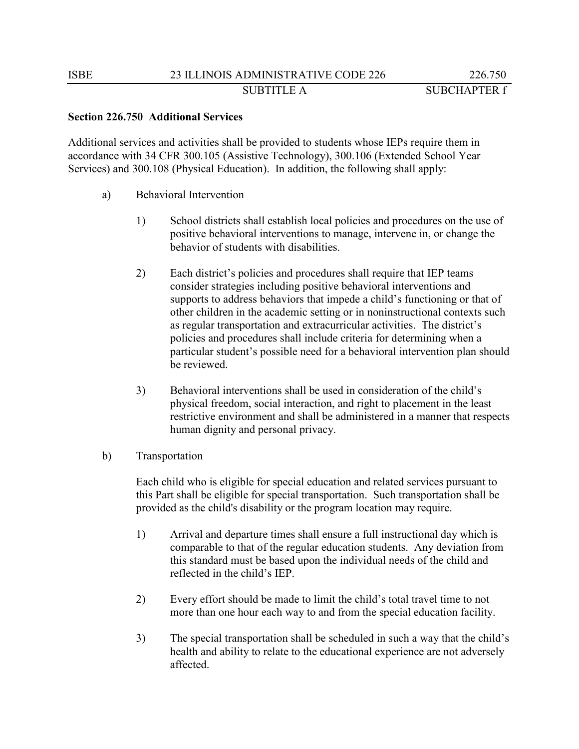### **Section 226.750 Additional Services**

Additional services and activities shall be provided to students whose IEPs require them in accordance with 34 CFR 300.105 (Assistive Technology), 300.106 (Extended School Year Services) and 300.108 (Physical Education). In addition, the following shall apply:

- a) Behavioral Intervention
	- 1) School districts shall establish local policies and procedures on the use of positive behavioral interventions to manage, intervene in, or change the behavior of students with disabilities.
	- 2) Each district's policies and procedures shall require that IEP teams consider strategies including positive behavioral interventions and supports to address behaviors that impede a child's functioning or that of other children in the academic setting or in noninstructional contexts such as regular transportation and extracurricular activities. The district's policies and procedures shall include criteria for determining when a particular student's possible need for a behavioral intervention plan should be reviewed.
	- 3) Behavioral interventions shall be used in consideration of the child's physical freedom, social interaction, and right to placement in the least restrictive environment and shall be administered in a manner that respects human dignity and personal privacy.
- b) Transportation

Each child who is eligible for special education and related services pursuant to this Part shall be eligible for special transportation. Such transportation shall be provided as the child's disability or the program location may require.

- 1) Arrival and departure times shall ensure a full instructional day which is comparable to that of the regular education students. Any deviation from this standard must be based upon the individual needs of the child and reflected in the child's IEP.
- 2) Every effort should be made to limit the child's total travel time to not more than one hour each way to and from the special education facility.
- 3) The special transportation shall be scheduled in such a way that the child's health and ability to relate to the educational experience are not adversely affected.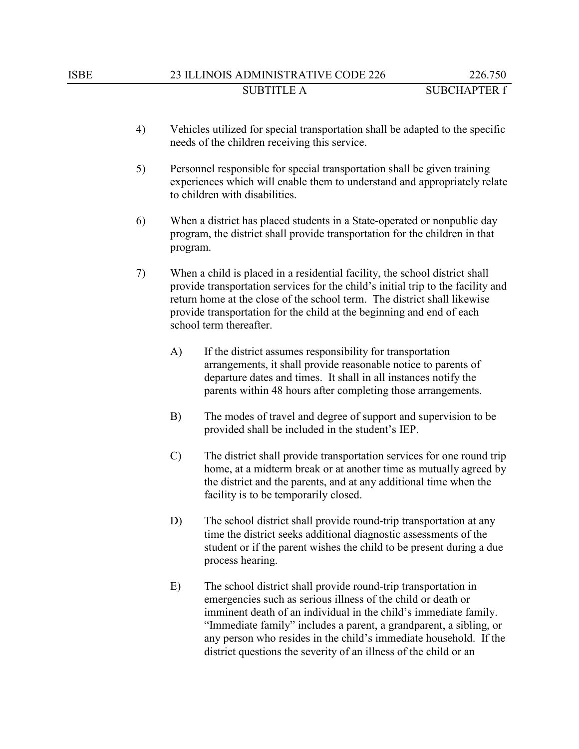- 4) Vehicles utilized for special transportation shall be adapted to the specific needs of the children receiving this service.
- 5) Personnel responsible for special transportation shall be given training experiences which will enable them to understand and appropriately relate to children with disabilities.
- 6) When a district has placed students in a State-operated or nonpublic day program, the district shall provide transportation for the children in that program.
- 7) When a child is placed in a residential facility, the school district shall provide transportation services for the child's initial trip to the facility and return home at the close of the school term. The district shall likewise provide transportation for the child at the beginning and end of each school term thereafter.
	- A) If the district assumes responsibility for transportation arrangements, it shall provide reasonable notice to parents of departure dates and times. It shall in all instances notify the parents within 48 hours after completing those arrangements.
	- B) The modes of travel and degree of support and supervision to be provided shall be included in the student's IEP.
	- C) The district shall provide transportation services for one round trip home, at a midterm break or at another time as mutually agreed by the district and the parents, and at any additional time when the facility is to be temporarily closed.
	- D) The school district shall provide round-trip transportation at any time the district seeks additional diagnostic assessments of the student or if the parent wishes the child to be present during a due process hearing.
	- E) The school district shall provide round-trip transportation in emergencies such as serious illness of the child or death or imminent death of an individual in the child's immediate family. "Immediate family" includes a parent, a grandparent, a sibling, or any person who resides in the child's immediate household. If the district questions the severity of an illness of the child or an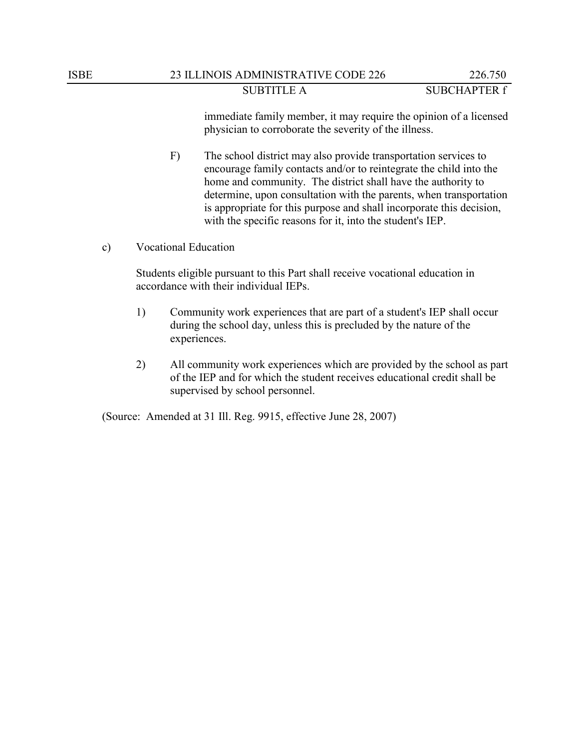immediate family member, it may require the opinion of a licensed physician to corroborate the severity of the illness.

F) The school district may also provide transportation services to encourage family contacts and/or to reintegrate the child into the home and community. The district shall have the authority to determine, upon consultation with the parents, when transportation is appropriate for this purpose and shall incorporate this decision, with the specific reasons for it, into the student's IEP.

c) Vocational Education

Students eligible pursuant to this Part shall receive vocational education in accordance with their individual IEPs.

- 1) Community work experiences that are part of a student's IEP shall occur during the school day, unless this is precluded by the nature of the experiences.
- 2) All community work experiences which are provided by the school as part of the IEP and for which the student receives educational credit shall be supervised by school personnel.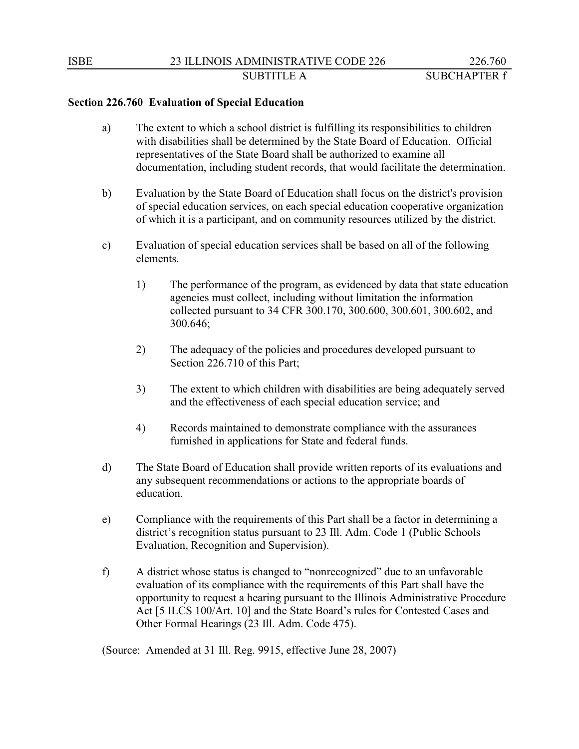## **Section 226.760 Evaluation of Special Education**

- a) The extent to which a school district is fulfilling its responsibilities to children with disabilities shall be determined by the State Board of Education. Official representatives of the State Board shall be authorized to examine all documentation, including student records, that would facilitate the determination.
- b) Evaluation by the State Board of Education shall focus on the district's provision of special education services, on each special education cooperative organization of which it is a participant, and on community resources utilized by the district.
- c) Evaluation of special education services shall be based on all of the following elements.
	- 1) The performance of the program, as evidenced by data that state education agencies must collect, including without limitation the information collected pursuant to 34 CFR 300.170, 300.600, 300.601, 300.602, and 300.646;
	- 2) The adequacy of the policies and procedures developed pursuant to Section 226.710 of this Part;
	- 3) The extent to which children with disabilities are being adequately served and the effectiveness of each special education service; and
	- 4) Records maintained to demonstrate compliance with the assurances furnished in applications for State and federal funds.
- d) The State Board of Education shall provide written reports of its evaluations and any subsequent recommendations or actions to the appropriate boards of education.
- e) Compliance with the requirements of this Part shall be a factor in determining a district's recognition status pursuant to 23 Ill. Adm. Code 1 (Public Schools Evaluation, Recognition and Supervision).
- f) A district whose status is changed to "nonrecognized" due to an unfavorable evaluation of its compliance with the requirements of this Part shall have the opportunity to request a hearing pursuant to the Illinois Administrative Procedure Act [5 ILCS 100/Art. 10] and the State Board's rules for Contested Cases and Other Formal Hearings (23 Ill. Adm. Code 475).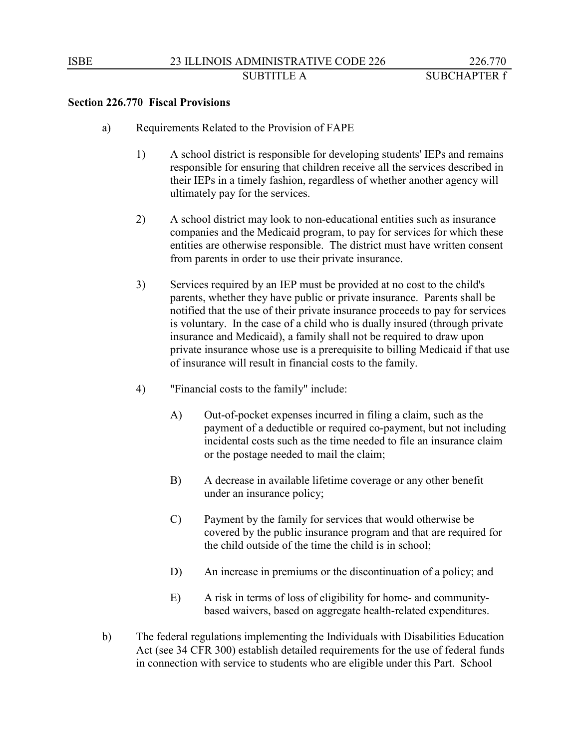#### **Section 226.770 Fiscal Provisions**

- a) Requirements Related to the Provision of FAPE
	- 1) A school district is responsible for developing students' IEPs and remains responsible for ensuring that children receive all the services described in their IEPs in a timely fashion, regardless of whether another agency will ultimately pay for the services.
	- 2) A school district may look to non-educational entities such as insurance companies and the Medicaid program, to pay for services for which these entities are otherwise responsible. The district must have written consent from parents in order to use their private insurance.
	- 3) Services required by an IEP must be provided at no cost to the child's parents, whether they have public or private insurance. Parents shall be notified that the use of their private insurance proceeds to pay for services is voluntary. In the case of a child who is dually insured (through private insurance and Medicaid), a family shall not be required to draw upon private insurance whose use is a prerequisite to billing Medicaid if that use of insurance will result in financial costs to the family.
	- 4) "Financial costs to the family" include:
		- A) Out-of-pocket expenses incurred in filing a claim, such as the payment of a deductible or required co-payment, but not including incidental costs such as the time needed to file an insurance claim or the postage needed to mail the claim;
		- B) A decrease in available lifetime coverage or any other benefit under an insurance policy;
		- C) Payment by the family for services that would otherwise be covered by the public insurance program and that are required for the child outside of the time the child is in school;
		- D) An increase in premiums or the discontinuation of a policy; and
		- E) A risk in terms of loss of eligibility for home- and communitybased waivers, based on aggregate health-related expenditures.
- b) The federal regulations implementing the Individuals with Disabilities Education Act (see 34 CFR 300) establish detailed requirements for the use of federal funds in connection with service to students who are eligible under this Part. School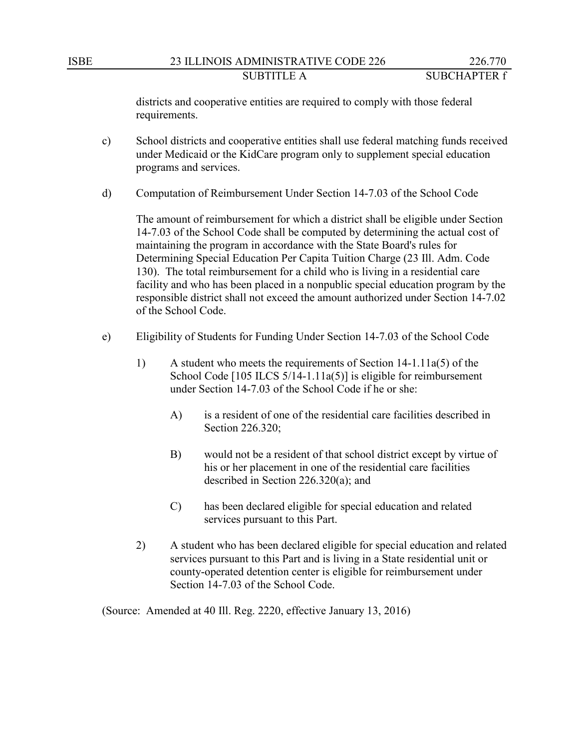districts and cooperative entities are required to comply with those federal requirements.

- c) School districts and cooperative entities shall use federal matching funds received under Medicaid or the KidCare program only to supplement special education programs and services.
- d) Computation of Reimbursement Under Section 14-7.03 of the School Code

The amount of reimbursement for which a district shall be eligible under Section 14-7.03 of the School Code shall be computed by determining the actual cost of maintaining the program in accordance with the State Board's rules for Determining Special Education Per Capita Tuition Charge (23 Ill. Adm. Code 130). The total reimbursement for a child who is living in a residential care facility and who has been placed in a nonpublic special education program by the responsible district shall not exceed the amount authorized under Section 14-7.02 of the School Code.

- e) Eligibility of Students for Funding Under Section 14-7.03 of the School Code
	- 1) A student who meets the requirements of Section 14-1.11a(5) of the School Code [105 ILCS 5/14-1.11a(5)] is eligible for reimbursement under Section 14-7.03 of the School Code if he or she:
		- A) is a resident of one of the residential care facilities described in Section 226.320;
		- B) would not be a resident of that school district except by virtue of his or her placement in one of the residential care facilities described in Section 226.320(a); and
		- C) has been declared eligible for special education and related services pursuant to this Part.
	- 2) A student who has been declared eligible for special education and related services pursuant to this Part and is living in a State residential unit or county-operated detention center is eligible for reimbursement under Section 14-7.03 of the School Code.

(Source: Amended at 40 Ill. Reg. 2220, effective January 13, 2016)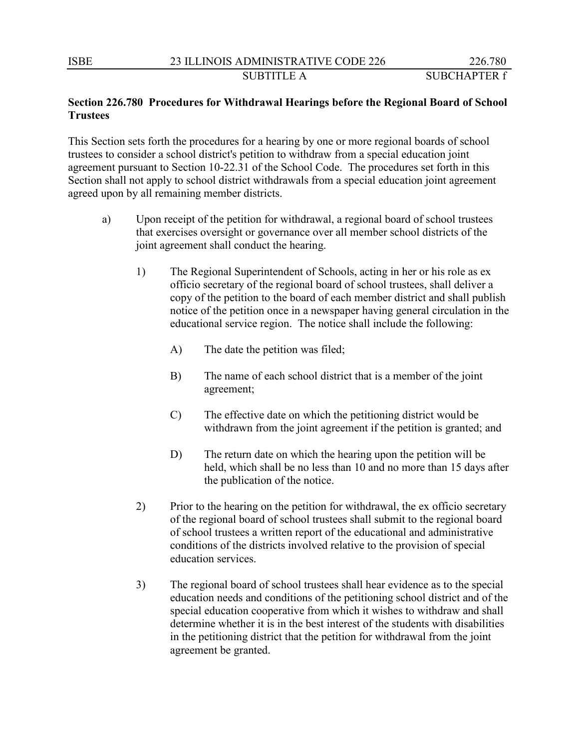# **Section 226.780 Procedures for Withdrawal Hearings before the Regional Board of School Trustees**

This Section sets forth the procedures for a hearing by one or more regional boards of school trustees to consider a school district's petition to withdraw from a special education joint agreement pursuant to Section 10-22.31 of the School Code. The procedures set forth in this Section shall not apply to school district withdrawals from a special education joint agreement agreed upon by all remaining member districts.

- a) Upon receipt of the petition for withdrawal, a regional board of school trustees that exercises oversight or governance over all member school districts of the joint agreement shall conduct the hearing.
	- 1) The Regional Superintendent of Schools, acting in her or his role as ex officio secretary of the regional board of school trustees, shall deliver a copy of the petition to the board of each member district and shall publish notice of the petition once in a newspaper having general circulation in the educational service region. The notice shall include the following:
		- A) The date the petition was filed;
		- B) The name of each school district that is a member of the joint agreement;
		- C) The effective date on which the petitioning district would be withdrawn from the joint agreement if the petition is granted; and
		- D) The return date on which the hearing upon the petition will be held, which shall be no less than 10 and no more than 15 days after the publication of the notice.
	- 2) Prior to the hearing on the petition for withdrawal, the ex officio secretary of the regional board of school trustees shall submit to the regional board of school trustees a written report of the educational and administrative conditions of the districts involved relative to the provision of special education services.
	- 3) The regional board of school trustees shall hear evidence as to the special education needs and conditions of the petitioning school district and of the special education cooperative from which it wishes to withdraw and shall determine whether it is in the best interest of the students with disabilities in the petitioning district that the petition for withdrawal from the joint agreement be granted.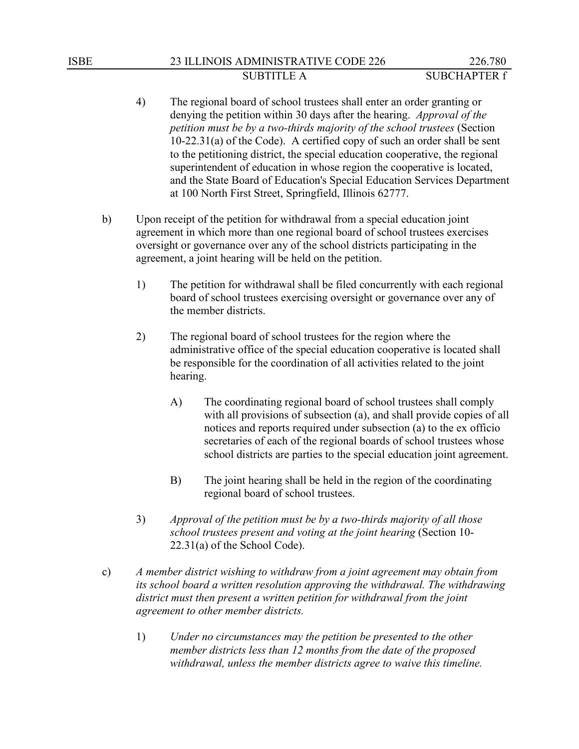# ISBE 23 ILLINOIS ADMINISTRATIVE CODE 226 226.780 SUBTITLE A SUBCHAPTER f

- 4) The regional board of school trustees shall enter an order granting or denying the petition within 30 days after the hearing. *Approval of the petition must be by a two-thirds majority of the school trustees* (Section 10-22.31(a) of the Code). A certified copy of such an order shall be sent to the petitioning district, the special education cooperative, the regional superintendent of education in whose region the cooperative is located, and the State Board of Education's Special Education Services Department at 100 North First Street, Springfield, Illinois 62777.
- b) Upon receipt of the petition for withdrawal from a special education joint agreement in which more than one regional board of school trustees exercises oversight or governance over any of the school districts participating in the agreement, a joint hearing will be held on the petition.
	- 1) The petition for withdrawal shall be filed concurrently with each regional board of school trustees exercising oversight or governance over any of the member districts.
	- 2) The regional board of school trustees for the region where the administrative office of the special education cooperative is located shall be responsible for the coordination of all activities related to the joint hearing.
		- A) The coordinating regional board of school trustees shall comply with all provisions of subsection (a), and shall provide copies of all notices and reports required under subsection (a) to the ex officio secretaries of each of the regional boards of school trustees whose school districts are parties to the special education joint agreement.
		- B) The joint hearing shall be held in the region of the coordinating regional board of school trustees.
	- 3) *Approval of the petition must be by a two-thirds majority of all those school trustees present and voting at the joint hearing* (Section 10- 22.31(a) of the School Code).
- c) *A member district wishing to withdraw from a joint agreement may obtain from its school board a written resolution approving the withdrawal. The withdrawing district must then present a written petition for withdrawal from the joint agreement to other member districts.*
	- 1) *Under no circumstances may the petition be presented to the other member districts less than 12 months from the date of the proposed withdrawal, unless the member districts agree to waive this timeline.*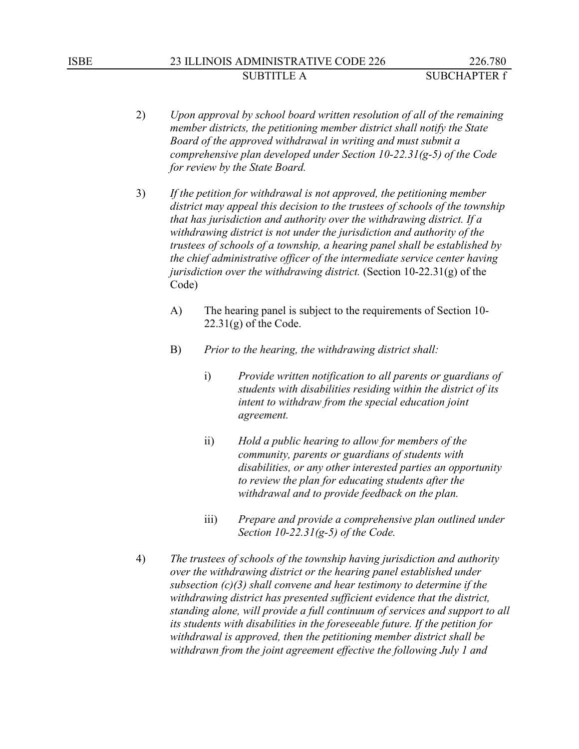# ISBE 23 ILLINOIS ADMINISTRATIVE CODE 226 226.780 SUBTITLE A SUBCHAPTER f

- 2) *Upon approval by school board written resolution of all of the remaining member districts, the petitioning member district shall notify the State Board of the approved withdrawal in writing and must submit a comprehensive plan developed under Section 10-22.31(g-5) of the Code for review by the State Board.*
- 3) *If the petition for withdrawal is not approved, the petitioning member district may appeal this decision to the trustees of schools of the township that has jurisdiction and authority over the withdrawing district. If a withdrawing district is not under the jurisdiction and authority of the trustees of schools of a township, a hearing panel shall be established by the chief administrative officer of the intermediate service center having jurisdiction over the withdrawing district.* (Section 10-22.31(g) of the Code)
	- A) The hearing panel is subject to the requirements of Section 10-  $22.31(g)$  of the Code.
	- B) *Prior to the hearing, the withdrawing district shall:*
		- i) *Provide written notification to all parents or guardians of students with disabilities residing within the district of its intent to withdraw from the special education joint agreement.*
		- ii) *Hold a public hearing to allow for members of the community, parents or guardians of students with disabilities, or any other interested parties an opportunity to review the plan for educating students after the withdrawal and to provide feedback on the plan.*
		- iii) *Prepare and provide a comprehensive plan outlined under Section 10-22.31(g-5) of the Code.*
- 4) *The trustees of schools of the township having jurisdiction and authority over the withdrawing district or the hearing panel established under subsection (c)(3) shall convene and hear testimony to determine if the withdrawing district has presented sufficient evidence that the district, standing alone, will provide a full continuum of services and support to all its students with disabilities in the foreseeable future. If the petition for withdrawal is approved, then the petitioning member district shall be withdrawn from the joint agreement effective the following July 1 and*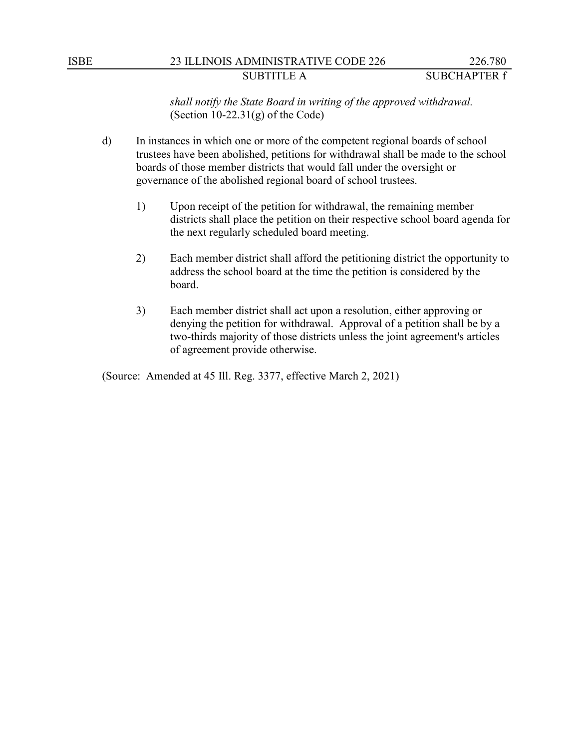### ISBE 23 ILLINOIS ADMINISTRATIVE CODE 226 226.780 SUBTITLE A SUBCHAPTER f

*shall notify the State Board in writing of the approved withdrawal.* (Section  $10-22.31(g)$  of the Code)

- d) In instances in which one or more of the competent regional boards of school trustees have been abolished, petitions for withdrawal shall be made to the school boards of those member districts that would fall under the oversight or governance of the abolished regional board of school trustees.
	- 1) Upon receipt of the petition for withdrawal, the remaining member districts shall place the petition on their respective school board agenda for the next regularly scheduled board meeting.
	- 2) Each member district shall afford the petitioning district the opportunity to address the school board at the time the petition is considered by the board.
	- 3) Each member district shall act upon a resolution, either approving or denying the petition for withdrawal. Approval of a petition shall be by a two-thirds majority of those districts unless the joint agreement's articles of agreement provide otherwise.

(Source: Amended at 45 Ill. Reg. 3377, effective March 2, 2021)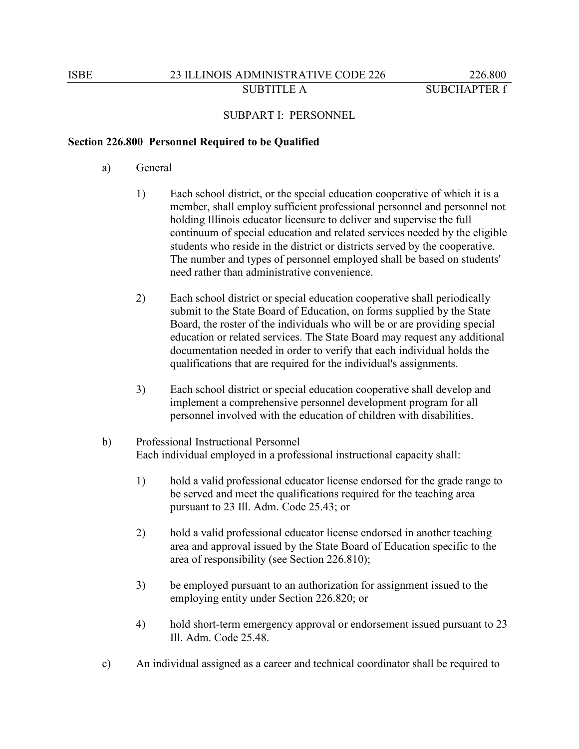### SUBPART I: PERSONNEL

#### **Section 226.800 Personnel Required to be Qualified**

- a) General
	- 1) Each school district, or the special education cooperative of which it is a member, shall employ sufficient professional personnel and personnel not holding Illinois educator licensure to deliver and supervise the full continuum of special education and related services needed by the eligible students who reside in the district or districts served by the cooperative. The number and types of personnel employed shall be based on students' need rather than administrative convenience.
	- 2) Each school district or special education cooperative shall periodically submit to the State Board of Education, on forms supplied by the State Board, the roster of the individuals who will be or are providing special education or related services. The State Board may request any additional documentation needed in order to verify that each individual holds the qualifications that are required for the individual's assignments.
	- 3) Each school district or special education cooperative shall develop and implement a comprehensive personnel development program for all personnel involved with the education of children with disabilities.
- b) Professional Instructional Personnel Each individual employed in a professional instructional capacity shall:
	- 1) hold a valid professional educator license endorsed for the grade range to be served and meet the qualifications required for the teaching area pursuant to 23 Ill. Adm. Code 25.43; or
	- 2) hold a valid professional educator license endorsed in another teaching area and approval issued by the State Board of Education specific to the area of responsibility (see Section 226.810);
	- 3) be employed pursuant to an authorization for assignment issued to the employing entity under Section 226.820; or
	- 4) hold short-term emergency approval or endorsement issued pursuant to 23 Ill. Adm. Code 25.48.
- c) An individual assigned as a career and technical coordinator shall be required to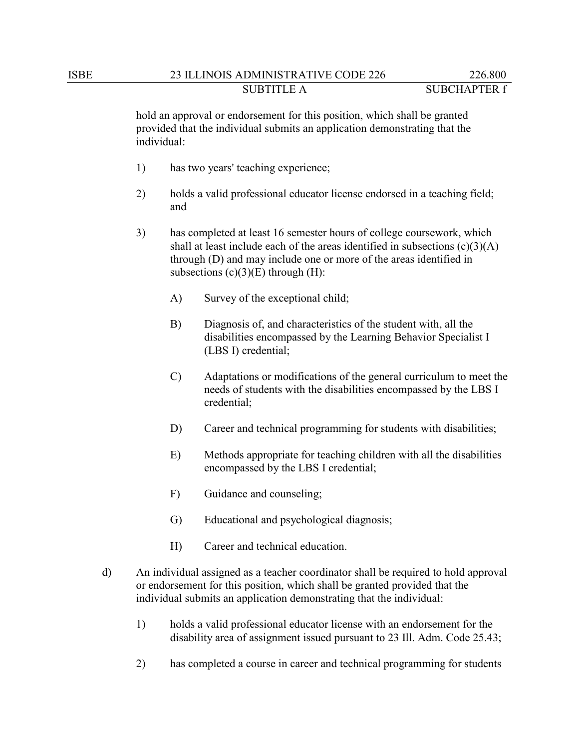hold an approval or endorsement for this position, which shall be granted provided that the individual submits an application demonstrating that the individual:

- 1) has two years' teaching experience;
- 2) holds a valid professional educator license endorsed in a teaching field; and
- 3) has completed at least 16 semester hours of college coursework, which shall at least include each of the areas identified in subsections  $(c)(3)(A)$ through (D) and may include one or more of the areas identified in subsections  $(c)(3)(E)$  through  $(H)$ :
	- A) Survey of the exceptional child;
	- B) Diagnosis of, and characteristics of the student with, all the disabilities encompassed by the Learning Behavior Specialist I (LBS I) credential;
	- C) Adaptations or modifications of the general curriculum to meet the needs of students with the disabilities encompassed by the LBS I credential;
	- D) Career and technical programming for students with disabilities;
	- E) Methods appropriate for teaching children with all the disabilities encompassed by the LBS I credential;
	- F) Guidance and counseling;
	- G) Educational and psychological diagnosis;
	- H) Career and technical education.
- d) An individual assigned as a teacher coordinator shall be required to hold approval or endorsement for this position, which shall be granted provided that the individual submits an application demonstrating that the individual:
	- 1) holds a valid professional educator license with an endorsement for the disability area of assignment issued pursuant to 23 Ill. Adm. Code 25.43;
	- 2) has completed a course in career and technical programming for students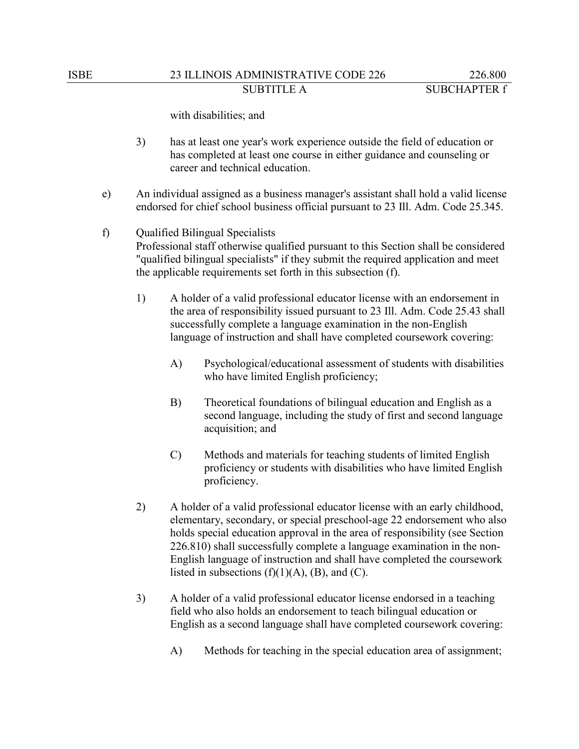with disabilities; and

- 3) has at least one year's work experience outside the field of education or has completed at least one course in either guidance and counseling or career and technical education.
- e) An individual assigned as a business manager's assistant shall hold a valid license endorsed for chief school business official pursuant to 23 Ill. Adm. Code 25.345.
- f) Qualified Bilingual Specialists Professional staff otherwise qualified pursuant to this Section shall be considered "qualified bilingual specialists" if they submit the required application and meet the applicable requirements set forth in this subsection (f).
	- 1) A holder of a valid professional educator license with an endorsement in the area of responsibility issued pursuant to 23 Ill. Adm. Code 25.43 shall successfully complete a language examination in the non-English language of instruction and shall have completed coursework covering:
		- A) Psychological/educational assessment of students with disabilities who have limited English proficiency;
		- B) Theoretical foundations of bilingual education and English as a second language, including the study of first and second language acquisition; and
		- C) Methods and materials for teaching students of limited English proficiency or students with disabilities who have limited English proficiency.
	- 2) A holder of a valid professional educator license with an early childhood, elementary, secondary, or special preschool-age 22 endorsement who also holds special education approval in the area of responsibility (see Section 226.810) shall successfully complete a language examination in the non-English language of instruction and shall have completed the coursework listed in subsections  $(f)(1)(A)$ ,  $(B)$ , and  $(C)$ .
	- 3) A holder of a valid professional educator license endorsed in a teaching field who also holds an endorsement to teach bilingual education or English as a second language shall have completed coursework covering:
		- A) Methods for teaching in the special education area of assignment;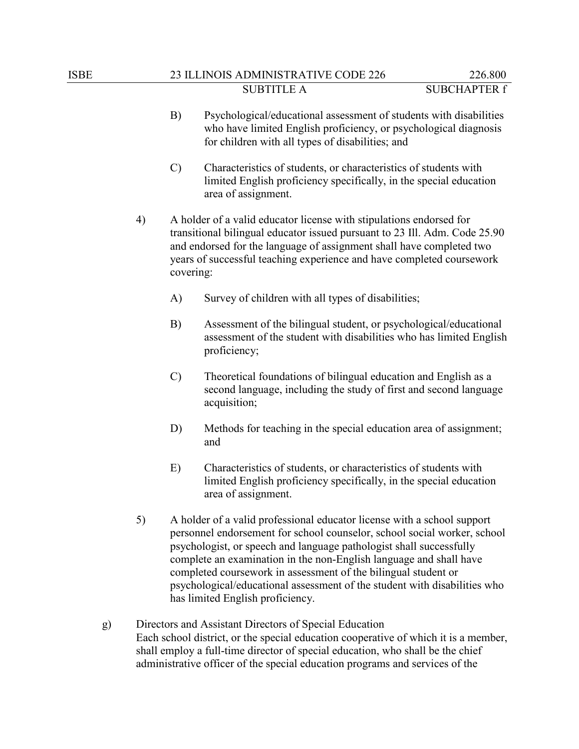- B) Psychological/educational assessment of students with disabilities who have limited English proficiency, or psychological diagnosis for children with all types of disabilities; and
- C) Characteristics of students, or characteristics of students with limited English proficiency specifically, in the special education area of assignment.
- 4) A holder of a valid educator license with stipulations endorsed for transitional bilingual educator issued pursuant to 23 Ill. Adm. Code 25.90 and endorsed for the language of assignment shall have completed two years of successful teaching experience and have completed coursework covering:
	- A) Survey of children with all types of disabilities;
	- B) Assessment of the bilingual student, or psychological/educational assessment of the student with disabilities who has limited English proficiency;
	- C) Theoretical foundations of bilingual education and English as a second language, including the study of first and second language acquisition;
	- D) Methods for teaching in the special education area of assignment; and
	- E) Characteristics of students, or characteristics of students with limited English proficiency specifically, in the special education area of assignment.
- 5) A holder of a valid professional educator license with a school support personnel endorsement for school counselor, school social worker, school psychologist, or speech and language pathologist shall successfully complete an examination in the non-English language and shall have completed coursework in assessment of the bilingual student or psychological/educational assessment of the student with disabilities who has limited English proficiency.
- g) Directors and Assistant Directors of Special Education Each school district, or the special education cooperative of which it is a member, shall employ a full-time director of special education, who shall be the chief administrative officer of the special education programs and services of the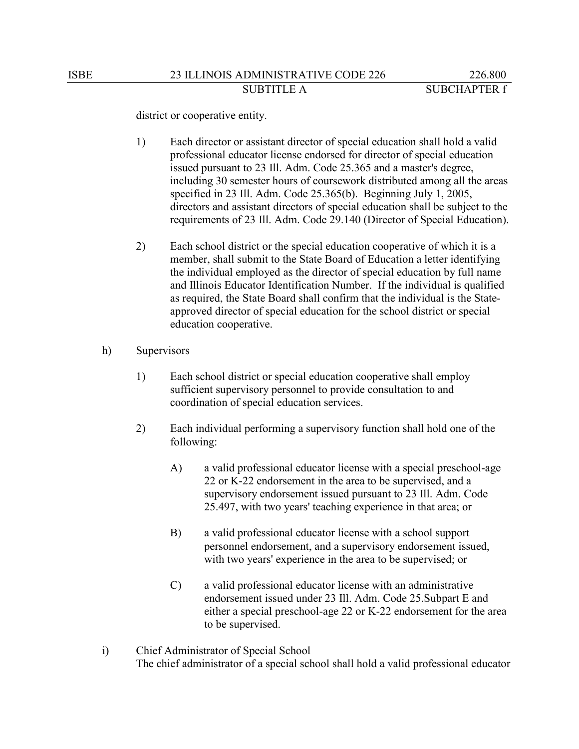district or cooperative entity.

- 1) Each director or assistant director of special education shall hold a valid professional educator license endorsed for director of special education issued pursuant to 23 Ill. Adm. Code 25.365 and a master's degree, including 30 semester hours of coursework distributed among all the areas specified in 23 Ill. Adm. Code 25.365(b). Beginning July 1, 2005, directors and assistant directors of special education shall be subject to the requirements of 23 Ill. Adm. Code 29.140 (Director of Special Education).
- 2) Each school district or the special education cooperative of which it is a member, shall submit to the State Board of Education a letter identifying the individual employed as the director of special education by full name and Illinois Educator Identification Number. If the individual is qualified as required, the State Board shall confirm that the individual is the Stateapproved director of special education for the school district or special education cooperative.
- h) Supervisors
	- 1) Each school district or special education cooperative shall employ sufficient supervisory personnel to provide consultation to and coordination of special education services.
	- 2) Each individual performing a supervisory function shall hold one of the following:
		- A) a valid professional educator license with a special preschool-age 22 or K-22 endorsement in the area to be supervised, and a supervisory endorsement issued pursuant to 23 Ill. Adm. Code 25.497, with two years' teaching experience in that area; or
		- B) a valid professional educator license with a school support personnel endorsement, and a supervisory endorsement issued, with two years' experience in the area to be supervised; or
		- C) a valid professional educator license with an administrative endorsement issued under 23 Ill. Adm. Code 25.Subpart E and either a special preschool-age 22 or K-22 endorsement for the area to be supervised.
- i) Chief Administrator of Special School The chief administrator of a special school shall hold a valid professional educator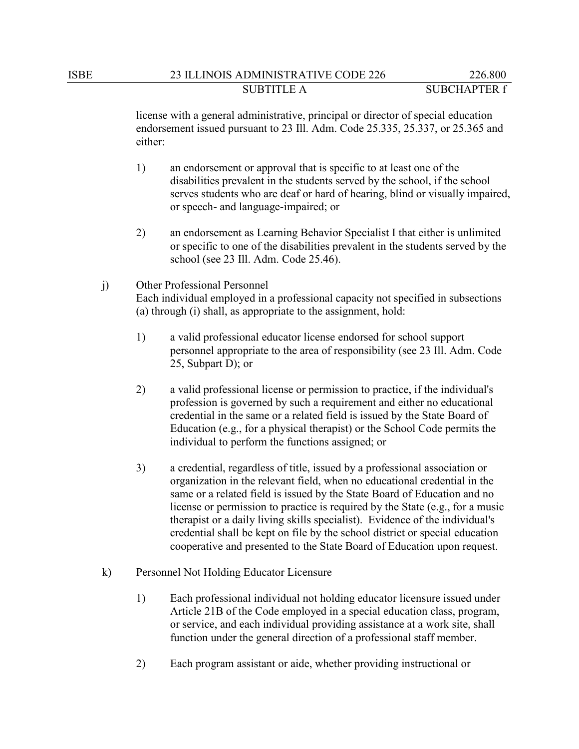license with a general administrative, principal or director of special education endorsement issued pursuant to 23 Ill. Adm. Code 25.335, 25.337, or 25.365 and either:

- 1) an endorsement or approval that is specific to at least one of the disabilities prevalent in the students served by the school, if the school serves students who are deaf or hard of hearing, blind or visually impaired, or speech- and language-impaired; or
- 2) an endorsement as Learning Behavior Specialist I that either is unlimited or specific to one of the disabilities prevalent in the students served by the school (see 23 Ill. Adm. Code 25.46).

## j) Other Professional Personnel Each individual employed in a professional capacity not specified in subsections (a) through (i) shall, as appropriate to the assignment, hold:

- 1) a valid professional educator license endorsed for school support personnel appropriate to the area of responsibility (see 23 Ill. Adm. Code 25, Subpart D); or
- 2) a valid professional license or permission to practice, if the individual's profession is governed by such a requirement and either no educational credential in the same or a related field is issued by the State Board of Education (e.g., for a physical therapist) or the School Code permits the individual to perform the functions assigned; or
- 3) a credential, regardless of title, issued by a professional association or organization in the relevant field, when no educational credential in the same or a related field is issued by the State Board of Education and no license or permission to practice is required by the State (e.g., for a music therapist or a daily living skills specialist). Evidence of the individual's credential shall be kept on file by the school district or special education cooperative and presented to the State Board of Education upon request.
- k) Personnel Not Holding Educator Licensure
	- 1) Each professional individual not holding educator licensure issued under Article 21B of the Code employed in a special education class, program, or service, and each individual providing assistance at a work site, shall function under the general direction of a professional staff member.
	- 2) Each program assistant or aide, whether providing instructional or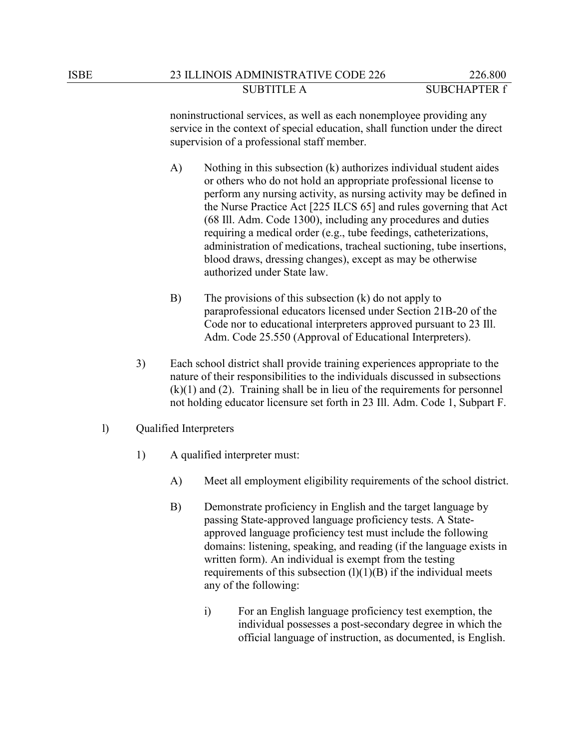noninstructional services, as well as each nonemployee providing any service in the context of special education, shall function under the direct supervision of a professional staff member.

- A) Nothing in this subsection (k) authorizes individual student aides or others who do not hold an appropriate professional license to perform any nursing activity, as nursing activity may be defined in the Nurse Practice Act [225 ILCS 65] and rules governing that Act (68 Ill. Adm. Code 1300), including any procedures and duties requiring a medical order (e.g., tube feedings, catheterizations, administration of medications, tracheal suctioning, tube insertions, blood draws, dressing changes), except as may be otherwise authorized under State law.
- B) The provisions of this subsection (k) do not apply to paraprofessional educators licensed under Section 21B-20 of the Code nor to educational interpreters approved pursuant to 23 Ill. Adm. Code 25.550 (Approval of Educational Interpreters).
- 3) Each school district shall provide training experiences appropriate to the nature of their responsibilities to the individuals discussed in subsections  $(k)(1)$  and  $(2)$ . Training shall be in lieu of the requirements for personnel not holding educator licensure set forth in 23 Ill. Adm. Code 1, Subpart F.
- l) Qualified Interpreters
	- 1) A qualified interpreter must:
		- A) Meet all employment eligibility requirements of the school district.
		- B) Demonstrate proficiency in English and the target language by passing State-approved language proficiency tests. A Stateapproved language proficiency test must include the following domains: listening, speaking, and reading (if the language exists in written form). An individual is exempt from the testing requirements of this subsection  $(l)(1)(B)$  if the individual meets any of the following:
			- i) For an English language proficiency test exemption, the individual possesses a post-secondary degree in which the official language of instruction, as documented, is English.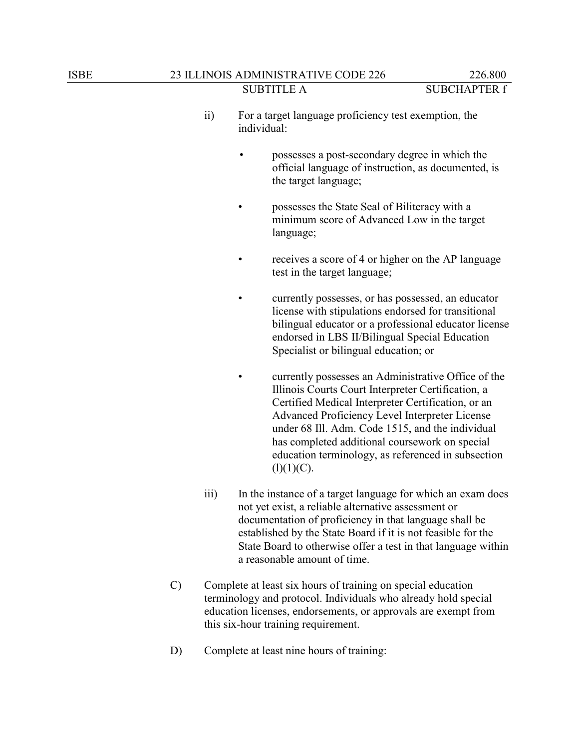- ii) For a target language proficiency test exemption, the individual:
	- possesses a post-secondary degree in which the official language of instruction, as documented, is the target language;
	- possesses the State Seal of Biliteracy with a minimum score of Advanced Low in the target language;
	- receives a score of 4 or higher on the AP language test in the target language;
	- currently possesses, or has possessed, an educator license with stipulations endorsed for transitional bilingual educator or a professional educator license endorsed in LBS II/Bilingual Special Education Specialist or bilingual education; or
	- currently possesses an Administrative Office of the Illinois Courts Court Interpreter Certification, a Certified Medical Interpreter Certification, or an Advanced Proficiency Level Interpreter License under 68 Ill. Adm. Code 1515, and the individual has completed additional coursework on special education terminology, as referenced in subsection  $(l)(1)(C).$
- iii) In the instance of a target language for which an exam does not yet exist, a reliable alternative assessment or documentation of proficiency in that language shall be established by the State Board if it is not feasible for the State Board to otherwise offer a test in that language within a reasonable amount of time.
- C) Complete at least six hours of training on special education terminology and protocol. Individuals who already hold special education licenses, endorsements, or approvals are exempt from this six-hour training requirement.
- D) Complete at least nine hours of training: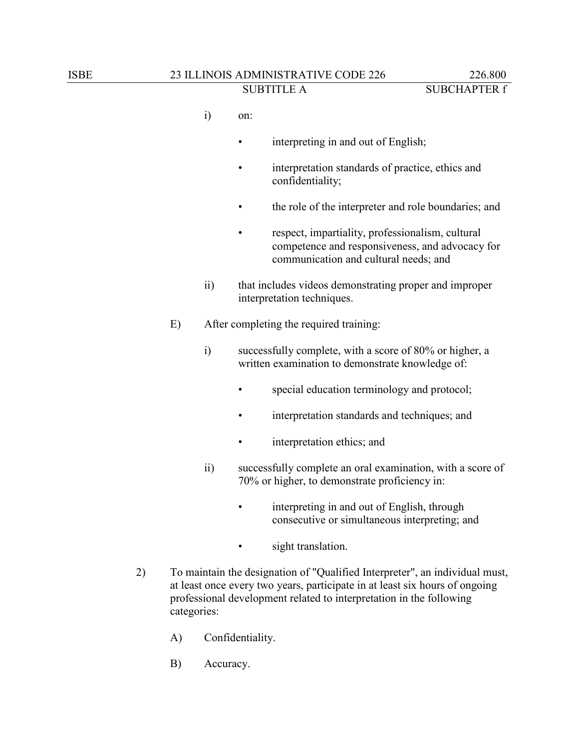- i) on:
	- interpreting in and out of English;
	- interpretation standards of practice, ethics and confidentiality;
	- the role of the interpreter and role boundaries; and
	- respect, impartiality, professionalism, cultural competence and responsiveness, and advocacy for communication and cultural needs; and
- ii) that includes videos demonstrating proper and improper interpretation techniques.
- E) After completing the required training:
	- i) successfully complete, with a score of 80% or higher, a written examination to demonstrate knowledge of:
		- special education terminology and protocol;
		- interpretation standards and techniques; and
		- interpretation ethics; and
	- ii) successfully complete an oral examination, with a score of 70% or higher, to demonstrate proficiency in:
		- interpreting in and out of English, through consecutive or simultaneous interpreting; and
		- sight translation.
- 2) To maintain the designation of "Qualified Interpreter", an individual must, at least once every two years, participate in at least six hours of ongoing professional development related to interpretation in the following categories:
	- A) Confidentiality.
	- B) Accuracy.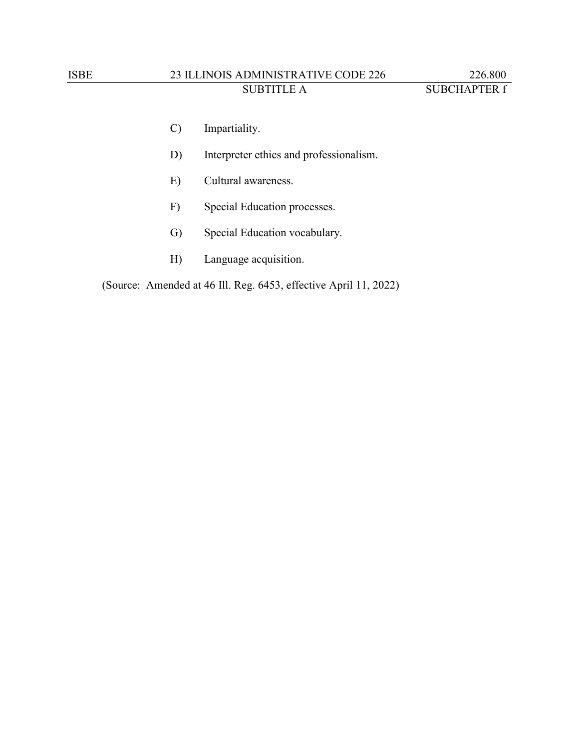## ISBE 23 ILLINOIS ADMINISTRATIVE CODE 226 226.800 SUBTITLE A SUBCHAPTER f

- C) Impartiality.
- D) Interpreter ethics and professionalism.
- E) Cultural awareness.
- F) Special Education processes.
- G) Special Education vocabulary.
- H) Language acquisition.

(Source: Amended at 46 Ill. Reg. 6453, effective April 11, 2022)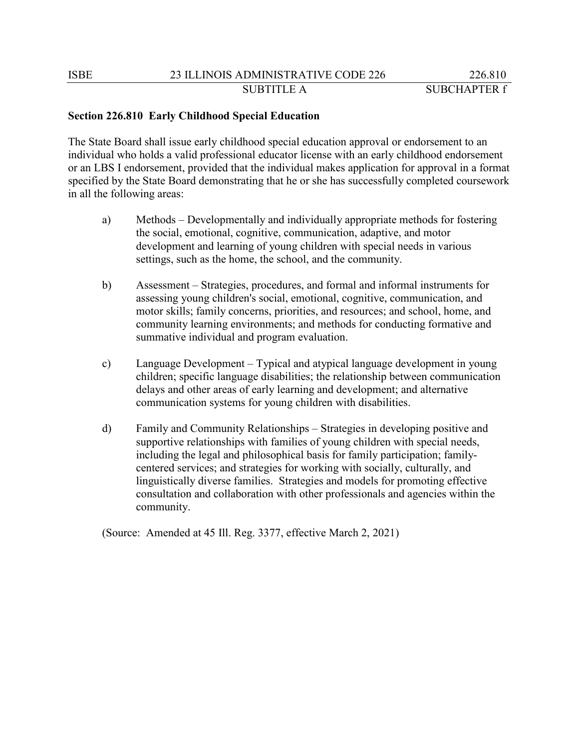### **Section 226.810 Early Childhood Special Education**

The State Board shall issue early childhood special education approval or endorsement to an individual who holds a valid professional educator license with an early childhood endorsement or an LBS I endorsement, provided that the individual makes application for approval in a format specified by the State Board demonstrating that he or she has successfully completed coursework in all the following areas:

- a) Methods Developmentally and individually appropriate methods for fostering the social, emotional, cognitive, communication, adaptive, and motor development and learning of young children with special needs in various settings, such as the home, the school, and the community.
- b) Assessment Strategies, procedures, and formal and informal instruments for assessing young children's social, emotional, cognitive, communication, and motor skills; family concerns, priorities, and resources; and school, home, and community learning environments; and methods for conducting formative and summative individual and program evaluation.
- c) Language Development Typical and atypical language development in young children; specific language disabilities; the relationship between communication delays and other areas of early learning and development; and alternative communication systems for young children with disabilities.
- d) Family and Community Relationships Strategies in developing positive and supportive relationships with families of young children with special needs, including the legal and philosophical basis for family participation; familycentered services; and strategies for working with socially, culturally, and linguistically diverse families. Strategies and models for promoting effective consultation and collaboration with other professionals and agencies within the community.

(Source: Amended at 45 Ill. Reg. 3377, effective March 2, 2021)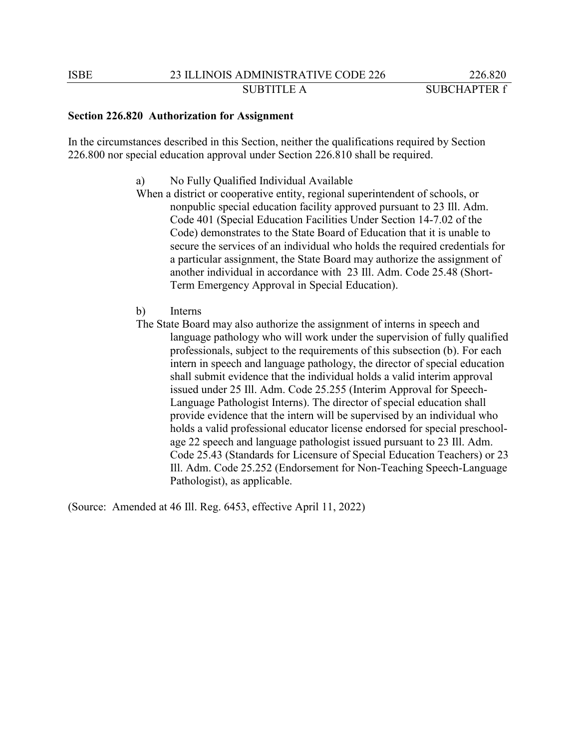### **Section 226.820 Authorization for Assignment**

In the circumstances described in this Section, neither the qualifications required by Section 226.800 nor special education approval under Section 226.810 shall be required.

- a) No Fully Qualified Individual Available
- When a district or cooperative entity, regional superintendent of schools, or nonpublic special education facility approved pursuant to 23 Ill. Adm. Code 401 (Special Education Facilities Under Section 14-7.02 of the Code) demonstrates to the State Board of Education that it is unable to secure the services of an individual who holds the required credentials for a particular assignment, the State Board may authorize the assignment of another individual in accordance with 23 Ill. Adm. Code 25.48 (Short-Term Emergency Approval in Special Education).
- b) Interns
- The State Board may also authorize the assignment of interns in speech and language pathology who will work under the supervision of fully qualified professionals, subject to the requirements of this subsection (b). For each intern in speech and language pathology, the director of special education shall submit evidence that the individual holds a valid interim approval issued under 25 Ill. Adm. Code 25.255 (Interim Approval for Speech-Language Pathologist Interns). The director of special education shall provide evidence that the intern will be supervised by an individual who holds a valid professional educator license endorsed for special preschoolage 22 speech and language pathologist issued pursuant to 23 Ill. Adm. Code 25.43 (Standards for Licensure of Special Education Teachers) or 23 Ill. Adm. Code 25.252 (Endorsement for Non-Teaching Speech-Language Pathologist), as applicable.

(Source: Amended at 46 Ill. Reg. 6453, effective April 11, 2022)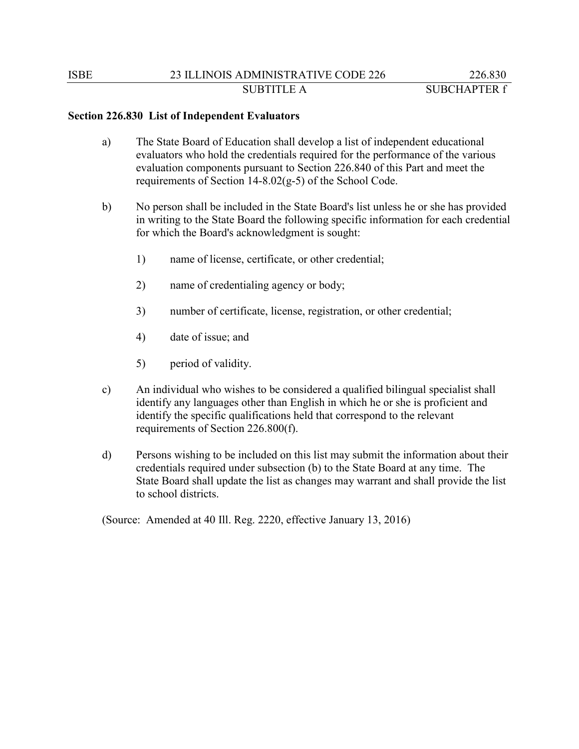### **Section 226.830 List of Independent Evaluators**

- a) The State Board of Education shall develop a list of independent educational evaluators who hold the credentials required for the performance of the various evaluation components pursuant to Section 226.840 of this Part and meet the requirements of Section 14-8.02(g-5) of the School Code.
- b) No person shall be included in the State Board's list unless he or she has provided in writing to the State Board the following specific information for each credential for which the Board's acknowledgment is sought:
	- 1) name of license, certificate, or other credential;
	- 2) name of credentialing agency or body;
	- 3) number of certificate, license, registration, or other credential;
	- 4) date of issue; and
	- 5) period of validity.
- c) An individual who wishes to be considered a qualified bilingual specialist shall identify any languages other than English in which he or she is proficient and identify the specific qualifications held that correspond to the relevant requirements of Section 226.800(f).
- d) Persons wishing to be included on this list may submit the information about their credentials required under subsection (b) to the State Board at any time. The State Board shall update the list as changes may warrant and shall provide the list to school districts.

(Source: Amended at 40 Ill. Reg. 2220, effective January 13, 2016)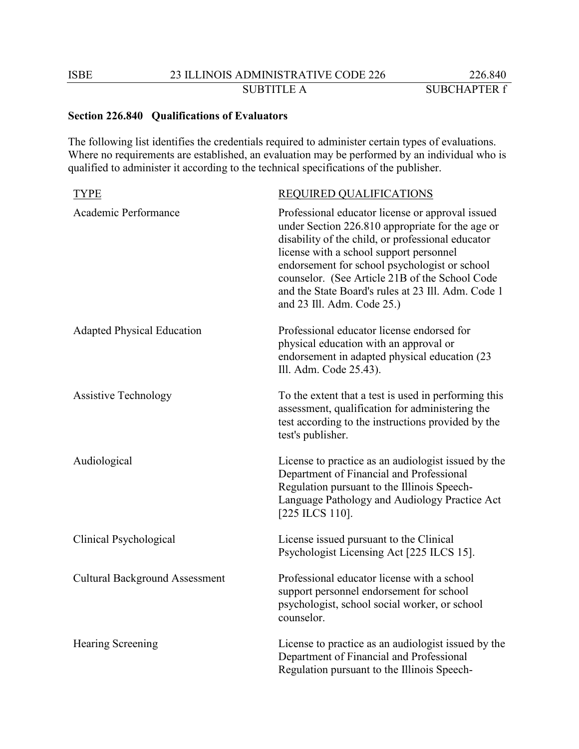## **Section 226.840 Qualifications of Evaluators**

The following list identifies the credentials required to administer certain types of evaluations. Where no requirements are established, an evaluation may be performed by an individual who is qualified to administer it according to the technical specifications of the publisher.

| <b>TYPE</b>                           | REQUIRED QUALIFICATIONS                                                                                                                                                                                                                                                                                                                                                                     |
|---------------------------------------|---------------------------------------------------------------------------------------------------------------------------------------------------------------------------------------------------------------------------------------------------------------------------------------------------------------------------------------------------------------------------------------------|
| Academic Performance                  | Professional educator license or approval issued<br>under Section 226.810 appropriate for the age or<br>disability of the child, or professional educator<br>license with a school support personnel<br>endorsement for school psychologist or school<br>counselor. (See Article 21B of the School Code<br>and the State Board's rules at 23 Ill. Adm. Code 1<br>and 23 Ill. Adm. Code 25.) |
| <b>Adapted Physical Education</b>     | Professional educator license endorsed for<br>physical education with an approval or<br>endorsement in adapted physical education (23<br>Ill. Adm. Code 25.43).                                                                                                                                                                                                                             |
| <b>Assistive Technology</b>           | To the extent that a test is used in performing this<br>assessment, qualification for administering the<br>test according to the instructions provided by the<br>test's publisher.                                                                                                                                                                                                          |
| Audiological                          | License to practice as an audiologist issued by the<br>Department of Financial and Professional<br>Regulation pursuant to the Illinois Speech-<br>Language Pathology and Audiology Practice Act<br>[225 ILCS 110].                                                                                                                                                                          |
| Clinical Psychological                | License issued pursuant to the Clinical<br>Psychologist Licensing Act [225 ILCS 15].                                                                                                                                                                                                                                                                                                        |
| <b>Cultural Background Assessment</b> | Professional educator license with a school<br>support personnel endorsement for school<br>psychologist, school social worker, or school<br>counselor.                                                                                                                                                                                                                                      |
| <b>Hearing Screening</b>              | License to practice as an audiologist issued by the<br>Department of Financial and Professional<br>Regulation pursuant to the Illinois Speech-                                                                                                                                                                                                                                              |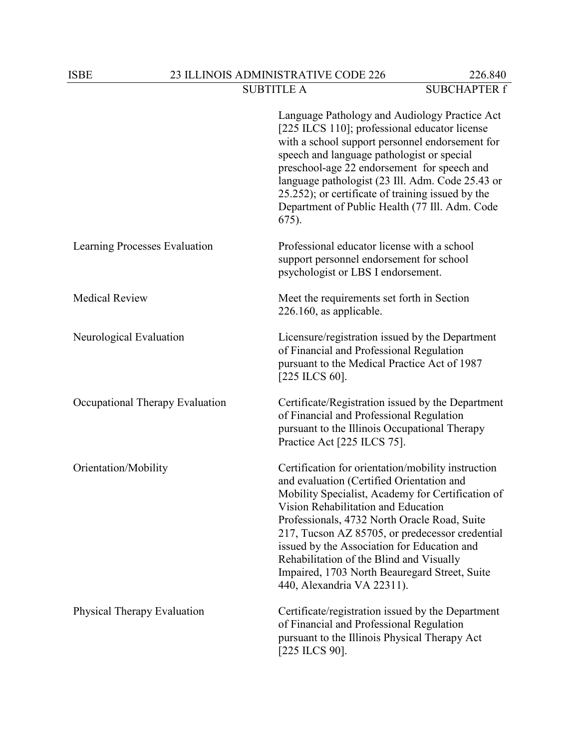|                                 | Language Pathology and Audiology Practice Act<br>[225 ILCS 110]; professional educator license<br>with a school support personnel endorsement for<br>speech and language pathologist or special<br>preschool-age 22 endorsement for speech and<br>language pathologist (23 Ill. Adm. Code 25.43 or<br>25.252); or certificate of training issued by the<br>Department of Public Health (77 Ill. Adm. Code<br>$675$ ).                                                    |
|---------------------------------|--------------------------------------------------------------------------------------------------------------------------------------------------------------------------------------------------------------------------------------------------------------------------------------------------------------------------------------------------------------------------------------------------------------------------------------------------------------------------|
| Learning Processes Evaluation   | Professional educator license with a school<br>support personnel endorsement for school<br>psychologist or LBS I endorsement.                                                                                                                                                                                                                                                                                                                                            |
| <b>Medical Review</b>           | Meet the requirements set forth in Section<br>$226.160$ , as applicable.                                                                                                                                                                                                                                                                                                                                                                                                 |
| Neurological Evaluation         | Licensure/registration issued by the Department<br>of Financial and Professional Regulation<br>pursuant to the Medical Practice Act of 1987<br>$[225$ ILCS 60].                                                                                                                                                                                                                                                                                                          |
| Occupational Therapy Evaluation | Certificate/Registration issued by the Department<br>of Financial and Professional Regulation<br>pursuant to the Illinois Occupational Therapy<br>Practice Act [225 ILCS 75].                                                                                                                                                                                                                                                                                            |
| Orientation/Mobility            | Certification for orientation/mobility instruction<br>and evaluation (Certified Orientation and<br>Mobility Specialist, Academy for Certification of<br>Vision Rehabilitation and Education<br>Professionals, 4732 North Oracle Road, Suite<br>217, Tucson AZ 85705, or predecessor credential<br>issued by the Association for Education and<br>Rehabilitation of the Blind and Visually<br>Impaired, 1703 North Beauregard Street, Suite<br>440, Alexandria VA 22311). |
| Physical Therapy Evaluation     | Certificate/registration issued by the Department<br>of Financial and Professional Regulation<br>pursuant to the Illinois Physical Therapy Act<br>$[225$ ILCS 90].                                                                                                                                                                                                                                                                                                       |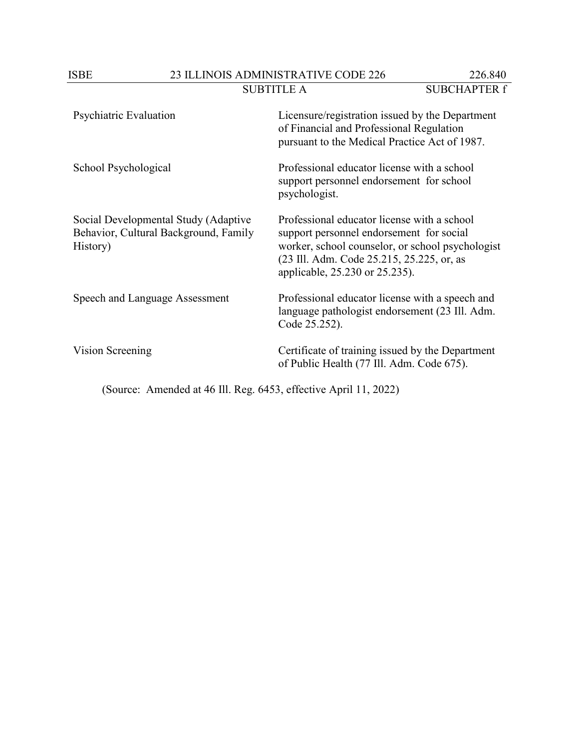ISBE 23 ILLINOIS ADMINISTRATIVE CODE 226 226.840<br>SUBTITLE A SUBCHAPTER f

| Psychiatric Evaluation                                                                    | Licensure/registration issued by the Department<br>of Financial and Professional Regulation<br>pursuant to the Medical Practice Act of 1987.                                                                               |
|-------------------------------------------------------------------------------------------|----------------------------------------------------------------------------------------------------------------------------------------------------------------------------------------------------------------------------|
| School Psychological                                                                      | Professional educator license with a school<br>support personnel endorsement for school<br>psychologist.                                                                                                                   |
| Social Developmental Study (Adaptive<br>Behavior, Cultural Background, Family<br>History) | Professional educator license with a school<br>support personnel endorsement for social<br>worker, school counselor, or school psychologist<br>(23 Ill. Adm. Code 25.215, 25.225, or, as<br>applicable, 25.230 or 25.235). |
| Speech and Language Assessment                                                            | Professional educator license with a speech and<br>language pathologist endorsement (23 Ill. Adm.<br>Code 25.252).                                                                                                         |
| Vision Screening                                                                          | Certificate of training issued by the Department<br>of Public Health (77 Ill. Adm. Code 675).                                                                                                                              |

(Source: Amended at 46 Ill. Reg. 6453, effective April 11, 2022)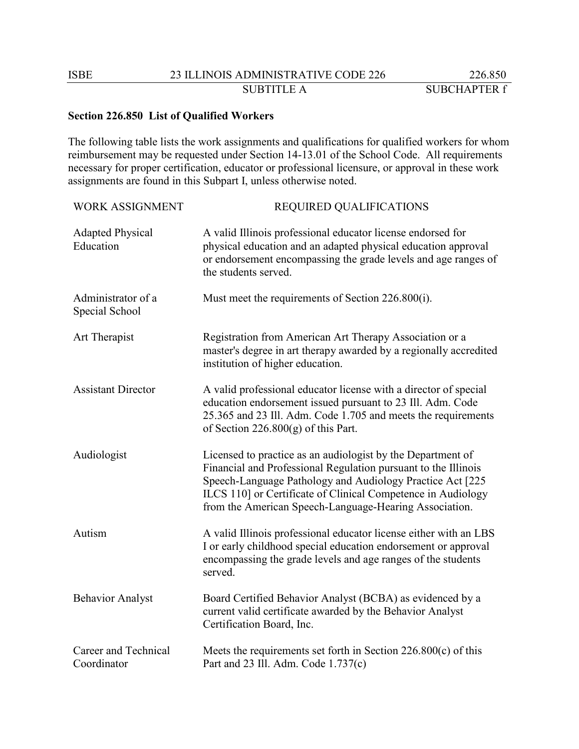## **Section 226.850 List of Qualified Workers**

The following table lists the work assignments and qualifications for qualified workers for whom reimbursement may be requested under Section 14-13.01 of the School Code. All requirements necessary for proper certification, educator or professional licensure, or approval in these work assignments are found in this Subpart I, unless otherwise noted.

| <b>WORK ASSIGNMENT</b>               | <b>REQUIRED QUALIFICATIONS</b>                                                                                                                                                                                                                                                                                        |
|--------------------------------------|-----------------------------------------------------------------------------------------------------------------------------------------------------------------------------------------------------------------------------------------------------------------------------------------------------------------------|
| <b>Adapted Physical</b><br>Education | A valid Illinois professional educator license endorsed for<br>physical education and an adapted physical education approval<br>or endorsement encompassing the grade levels and age ranges of<br>the students served.                                                                                                |
| Administrator of a<br>Special School | Must meet the requirements of Section 226.800(i).                                                                                                                                                                                                                                                                     |
| Art Therapist                        | Registration from American Art Therapy Association or a<br>master's degree in art therapy awarded by a regionally accredited<br>institution of higher education.                                                                                                                                                      |
| <b>Assistant Director</b>            | A valid professional educator license with a director of special<br>education endorsement issued pursuant to 23 Ill. Adm. Code<br>25.365 and 23 Ill. Adm. Code 1.705 and meets the requirements<br>of Section $226.800(g)$ of this Part.                                                                              |
| Audiologist                          | Licensed to practice as an audiologist by the Department of<br>Financial and Professional Regulation pursuant to the Illinois<br>Speech-Language Pathology and Audiology Practice Act [225]<br>ILCS 110] or Certificate of Clinical Competence in Audiology<br>from the American Speech-Language-Hearing Association. |
| Autism                               | A valid Illinois professional educator license either with an LBS<br>I or early childhood special education endorsement or approval<br>encompassing the grade levels and age ranges of the students<br>served.                                                                                                        |
| <b>Behavior Analyst</b>              | Board Certified Behavior Analyst (BCBA) as evidenced by a<br>current valid certificate awarded by the Behavior Analyst<br>Certification Board, Inc.                                                                                                                                                                   |
| Career and Technical<br>Coordinator  | Meets the requirements set forth in Section $226.800(c)$ of this<br>Part and 23 Ill. Adm. Code 1.737(c)                                                                                                                                                                                                               |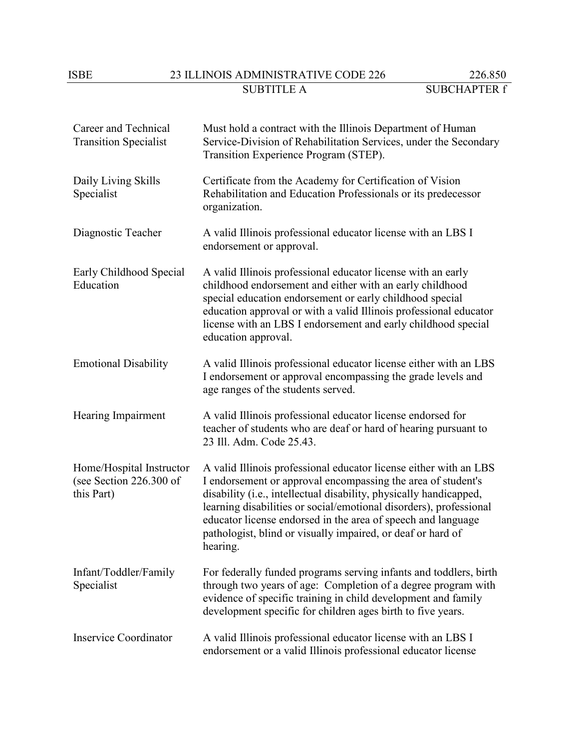# ISBE 23 ILLINOIS ADMINISTRATIVE CODE 226 226.850<br>SUBTITLE A SUBCHAPTER f

| Career and Technical<br><b>Transition Specialist</b>              | Must hold a contract with the Illinois Department of Human<br>Service-Division of Rehabilitation Services, under the Secondary<br>Transition Experience Program (STEP).                                                                                                                                                                                                                                                  |
|-------------------------------------------------------------------|--------------------------------------------------------------------------------------------------------------------------------------------------------------------------------------------------------------------------------------------------------------------------------------------------------------------------------------------------------------------------------------------------------------------------|
| Daily Living Skills<br>Specialist                                 | Certificate from the Academy for Certification of Vision<br>Rehabilitation and Education Professionals or its predecessor<br>organization.                                                                                                                                                                                                                                                                               |
| Diagnostic Teacher                                                | A valid Illinois professional educator license with an LBS I<br>endorsement or approval.                                                                                                                                                                                                                                                                                                                                 |
| Early Childhood Special<br>Education                              | A valid Illinois professional educator license with an early<br>childhood endorsement and either with an early childhood<br>special education endorsement or early childhood special<br>education approval or with a valid Illinois professional educator<br>license with an LBS I endorsement and early childhood special<br>education approval.                                                                        |
| <b>Emotional Disability</b>                                       | A valid Illinois professional educator license either with an LBS<br>I endorsement or approval encompassing the grade levels and<br>age ranges of the students served.                                                                                                                                                                                                                                                   |
| Hearing Impairment                                                | A valid Illinois professional educator license endorsed for<br>teacher of students who are deaf or hard of hearing pursuant to<br>23 Ill. Adm. Code 25.43.                                                                                                                                                                                                                                                               |
| Home/Hospital Instructor<br>(see Section 226.300 of<br>this Part) | A valid Illinois professional educator license either with an LBS<br>I endorsement or approval encompassing the area of student's<br>disability (i.e., intellectual disability, physically handicapped,<br>learning disabilities or social/emotional disorders), professional<br>educator license endorsed in the area of speech and language<br>pathologist, blind or visually impaired, or deaf or hard of<br>hearing. |
| Infant/Toddler/Family<br>Specialist                               | For federally funded programs serving infants and toddlers, birth<br>through two years of age: Completion of a degree program with<br>evidence of specific training in child development and family<br>development specific for children ages birth to five years.                                                                                                                                                       |
| <b>Inservice Coordinator</b>                                      | A valid Illinois professional educator license with an LBS I<br>endorsement or a valid Illinois professional educator license                                                                                                                                                                                                                                                                                            |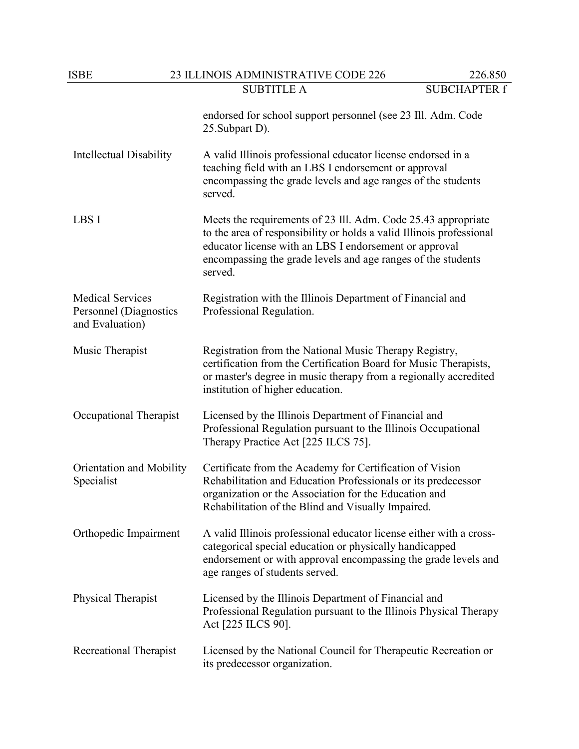| ISBE                                                                 | 23 ILLINOIS ADMINISTRATIVE CODE 226                                                                                                                                                                                                                                        | 226.850             |
|----------------------------------------------------------------------|----------------------------------------------------------------------------------------------------------------------------------------------------------------------------------------------------------------------------------------------------------------------------|---------------------|
|                                                                      | <b>SUBTITLE A</b>                                                                                                                                                                                                                                                          | <b>SUBCHAPTER f</b> |
|                                                                      | endorsed for school support personnel (see 23 Ill. Adm. Code<br>25. Subpart D).                                                                                                                                                                                            |                     |
| <b>Intellectual Disability</b>                                       | A valid Illinois professional educator license endorsed in a<br>teaching field with an LBS I endorsement or approval<br>encompassing the grade levels and age ranges of the students<br>served.                                                                            |                     |
| LBS I                                                                | Meets the requirements of 23 Ill. Adm. Code 25.43 appropriate<br>to the area of responsibility or holds a valid Illinois professional<br>educator license with an LBS I endorsement or approval<br>encompassing the grade levels and age ranges of the students<br>served. |                     |
| <b>Medical Services</b><br>Personnel (Diagnostics<br>and Evaluation) | Registration with the Illinois Department of Financial and<br>Professional Regulation.                                                                                                                                                                                     |                     |
| Music Therapist                                                      | Registration from the National Music Therapy Registry,<br>certification from the Certification Board for Music Therapists,<br>or master's degree in music therapy from a regionally accredited<br>institution of higher education.                                         |                     |
| Occupational Therapist                                               | Licensed by the Illinois Department of Financial and<br>Professional Regulation pursuant to the Illinois Occupational<br>Therapy Practice Act [225 ILCS 75].                                                                                                               |                     |
| Orientation and Mobility<br>Specialist                               | Certificate from the Academy for Certification of Vision<br>Rehabilitation and Education Professionals or its predecessor<br>organization or the Association for the Education and<br>Rehabilitation of the Blind and Visually Impaired.                                   |                     |
| Orthopedic Impairment                                                | A valid Illinois professional educator license either with a cross-<br>categorical special education or physically handicapped<br>endorsement or with approval encompassing the grade levels and<br>age ranges of students served.                                         |                     |
| Physical Therapist                                                   | Licensed by the Illinois Department of Financial and<br>Professional Regulation pursuant to the Illinois Physical Therapy<br>Act [225 ILCS 90].                                                                                                                            |                     |
| Recreational Therapist                                               | Licensed by the National Council for Therapeutic Recreation or<br>its predecessor organization.                                                                                                                                                                            |                     |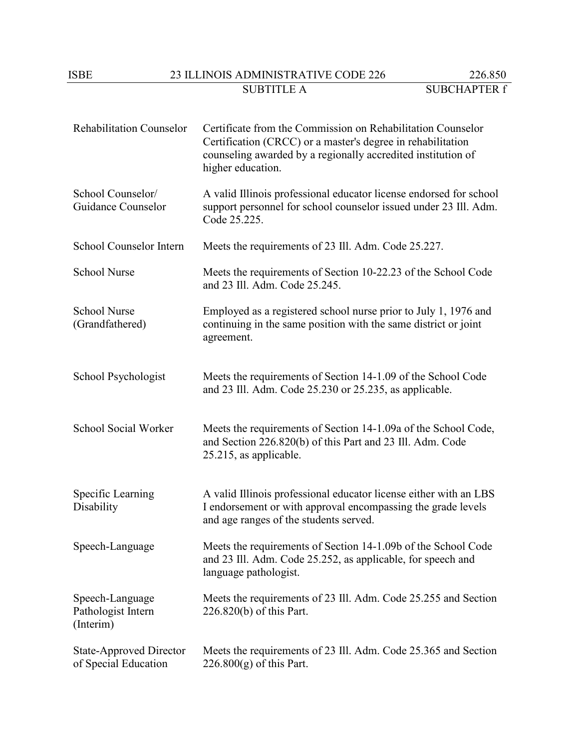# ISBE 23 ILLINOIS ADMINISTRATIVE CODE 226 226.850<br>SUBTITLE A SUBCHAPTER f

| <b>Rehabilitation Counselor</b>                        | Certificate from the Commission on Rehabilitation Counselor<br>Certification (CRCC) or a master's degree in rehabilitation<br>counseling awarded by a regionally accredited institution of<br>higher education. |
|--------------------------------------------------------|-----------------------------------------------------------------------------------------------------------------------------------------------------------------------------------------------------------------|
| School Counselor/<br>Guidance Counselor                | A valid Illinois professional educator license endorsed for school<br>support personnel for school counselor issued under 23 Ill. Adm.<br>Code 25.225.                                                          |
| School Counselor Intern                                | Meets the requirements of 23 Ill. Adm. Code 25.227.                                                                                                                                                             |
| <b>School Nurse</b>                                    | Meets the requirements of Section 10-22.23 of the School Code<br>and 23 Ill. Adm. Code 25.245.                                                                                                                  |
| <b>School Nurse</b><br>(Grandfathered)                 | Employed as a registered school nurse prior to July 1, 1976 and<br>continuing in the same position with the same district or joint<br>agreement.                                                                |
| School Psychologist                                    | Meets the requirements of Section 14-1.09 of the School Code<br>and 23 Ill. Adm. Code 25.230 or 25.235, as applicable.                                                                                          |
| School Social Worker                                   | Meets the requirements of Section 14-1.09a of the School Code,<br>and Section 226.820(b) of this Part and 23 Ill. Adm. Code<br>25.215, as applicable.                                                           |
| Specific Learning<br>Disability                        | A valid Illinois professional educator license either with an LBS<br>I endorsement or with approval encompassing the grade levels<br>and age ranges of the students served.                                     |
| Speech-Language                                        | Meets the requirements of Section 14-1.09b of the School Code<br>and 23 Ill. Adm. Code 25.252, as applicable, for speech and<br>language pathologist.                                                           |
| Speech-Language<br>Pathologist Intern<br>(Interim)     | Meets the requirements of 23 Ill. Adm. Code 25.255 and Section<br>226.820(b) of this Part.                                                                                                                      |
| <b>State-Approved Director</b><br>of Special Education | Meets the requirements of 23 Ill. Adm. Code 25.365 and Section<br>$226.800(g)$ of this Part.                                                                                                                    |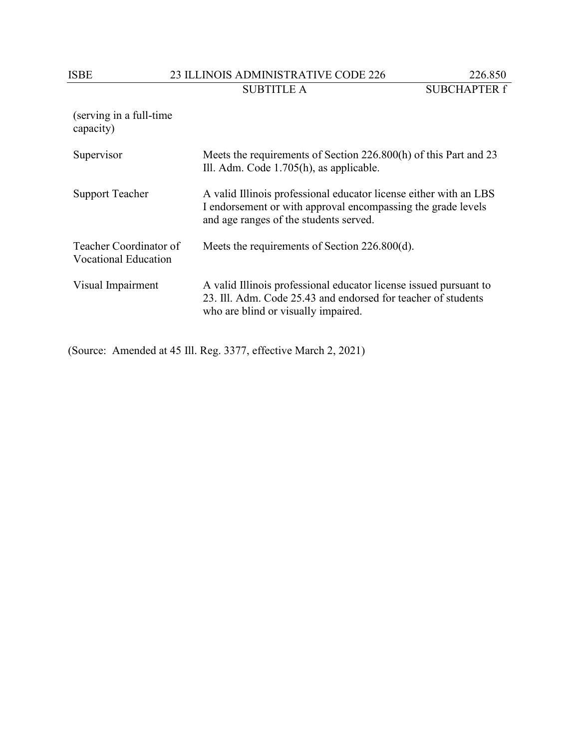# ISBE 23 ILLINOIS ADMINISTRATIVE CODE 226 226.850<br>SUBTITLE A SUBCHAPTER f

(serving in a full-time capacity)

| Supervisor                                            | Meets the requirements of Section 226.800(h) of this Part and 23<br>Ill. Adm. Code 1.705(h), as applicable.                                                                 |
|-------------------------------------------------------|-----------------------------------------------------------------------------------------------------------------------------------------------------------------------------|
| <b>Support Teacher</b>                                | A valid Illinois professional educator license either with an LBS<br>I endorsement or with approval encompassing the grade levels<br>and age ranges of the students served. |
| Teacher Coordinator of<br><b>Vocational Education</b> | Meets the requirements of Section 226.800(d).                                                                                                                               |
| Visual Impairment                                     | A valid Illinois professional educator license issued pursuant to<br>23. Ill. Adm. Code 25.43 and endorsed for teacher of students<br>who are blind or visually impaired.   |

(Source: Amended at 45 Ill. Reg. 3377, effective March 2, 2021)